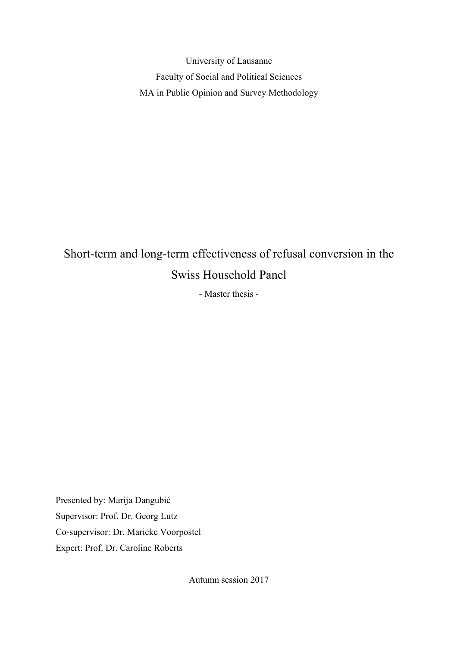University of Lausanne Faculty of Social and Political Sciences MA in Public Opinion and Survey Methodology

# Short-term and long-term effectiveness of refusal conversion in the Swiss Household Panel

- Master thesis -

Presented by: Marija Dangubić Supervisor: Prof. Dr. Georg Lutz Co-supervisor: Dr. Marieke Voorpostel Expert: Prof. Dr. Caroline Roberts

Autumn session 2017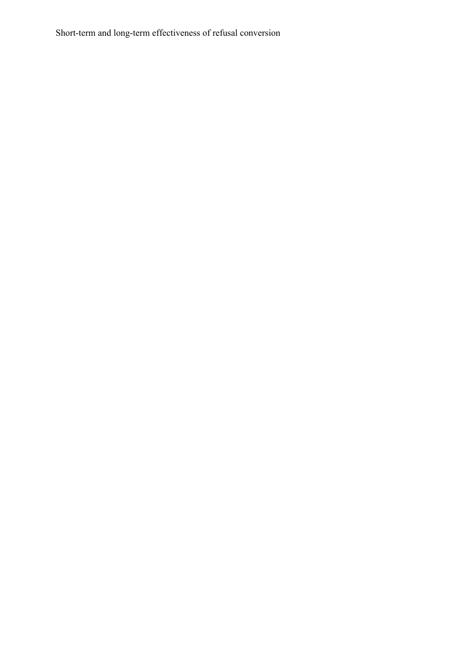Short-term and long-term effectiveness of refusal conversion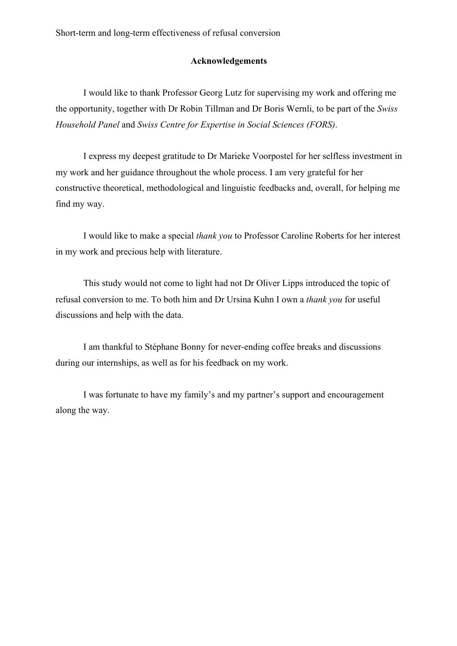## **Acknowledgements**

I would like to thank Professor Georg Lutz for supervising my work and offering me the opportunity, together with Dr Robin Tillman and Dr Boris Wernli, to be part of the *Swiss Household Panel* and *Swiss Centre for Expertise in Social Sciences (FORS)*.

I express my deepest gratitude to Dr Marieke Voorpostel for her selfless investment in my work and her guidance throughout the whole process. I am very grateful for her constructive theoretical, methodological and linguistic feedbacks and, overall, for helping me find my way.

I would like to make a special *thank you* to Professor Caroline Roberts for her interest in my work and precious help with literature.

This study would not come to light had not Dr Oliver Lipps introduced the topic of refusal conversion to me. To both him and Dr Ursina Kuhn I own a *thank you* for useful discussions and help with the data.

I am thankful to Stéphane Bonny for never-ending coffee breaks and discussions during our internships, as well as for his feedback on my work.

I was fortunate to have my family's and my partner's support and encouragement along the way.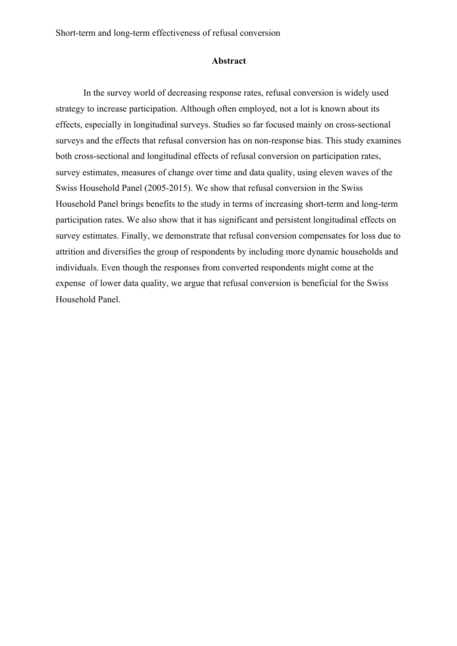Short-term and long-term effectiveness of refusal conversion

## **Abstract**

In the survey world of decreasing response rates, refusal conversion is widely used strategy to increase participation. Although often employed, not a lot is known about its effects, especially in longitudinal surveys. Studies so far focused mainly on cross-sectional surveys and the effects that refusal conversion has on non-response bias. This study examines both cross-sectional and longitudinal effects of refusal conversion on participation rates, survey estimates, measures of change over time and data quality, using eleven waves of the Swiss Household Panel (2005-2015). We show that refusal conversion in the Swiss Household Panel brings benefits to the study in terms of increasing short-term and long-term participation rates. We also show that it has significant and persistent longitudinal effects on survey estimates. Finally, we demonstrate that refusal conversion compensates for loss due to attrition and diversifies the group of respondents by including more dynamic households and individuals. Even though the responses from converted respondents might come at the expense of lower data quality, we argue that refusal conversion is beneficial for the Swiss Household Panel.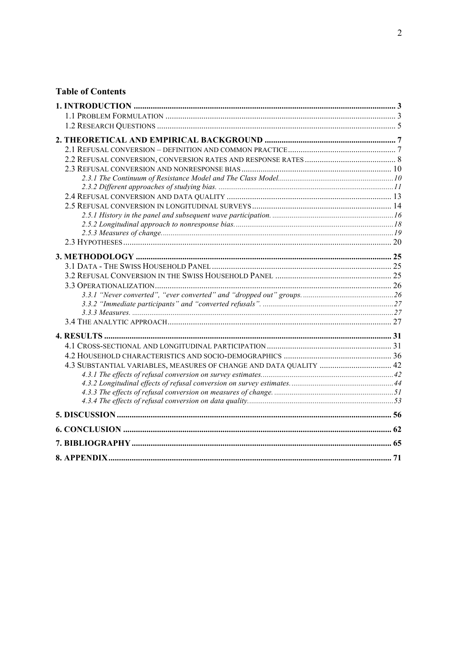## **Table of Contents**

| 4.3 SUBSTANTIAL VARIABLES, MEASURES OF CHANGE AND DATA QUALITY  42 |  |
|--------------------------------------------------------------------|--|
|                                                                    |  |
|                                                                    |  |
|                                                                    |  |
|                                                                    |  |
|                                                                    |  |
|                                                                    |  |
|                                                                    |  |
|                                                                    |  |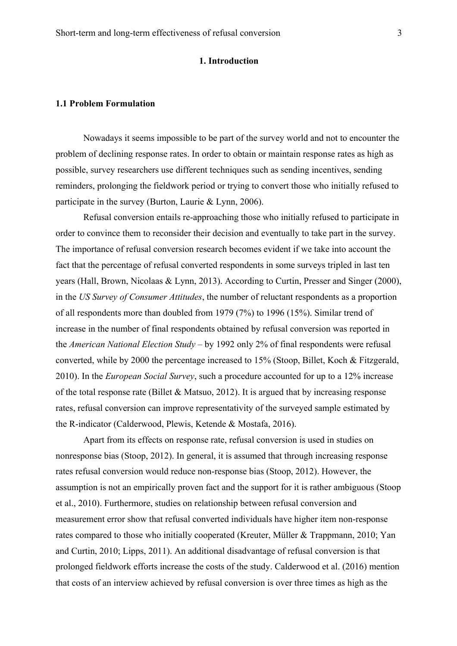## **1. Introduction**

## **1.1 Problem Formulation**

Nowadays it seems impossible to be part of the survey world and not to encounter the problem of declining response rates. In order to obtain or maintain response rates as high as possible, survey researchers use different techniques such as sending incentives, sending reminders, prolonging the fieldwork period or trying to convert those who initially refused to participate in the survey (Burton, Laurie & Lynn, 2006).

Refusal conversion entails re-approaching those who initially refused to participate in order to convince them to reconsider their decision and eventually to take part in the survey. The importance of refusal conversion research becomes evident if we take into account the fact that the percentage of refusal converted respondents in some surveys tripled in last ten years (Hall, Brown, Nicolaas & Lynn, 2013). According to Curtin, Presser and Singer (2000), in the *US Survey of Consumer Attitudes*, the number of reluctant respondents as a proportion of all respondents more than doubled from 1979 (7%) to 1996 (15%). Similar trend of increase in the number of final respondents obtained by refusal conversion was reported in the *American National Election Study* – by 1992 only 2% of final respondents were refusal converted, while by 2000 the percentage increased to 15% (Stoop, Billet, Koch & Fitzgerald, 2010). In the *European Social Survey*, such a procedure accounted for up to a 12% increase of the total response rate (Billet  $& Matsuo, 2012$ ). It is argued that by increasing response rates, refusal conversion can improve representativity of the surveyed sample estimated by the R-indicator (Calderwood, Plewis, Ketende & Mostafa, 2016).

Apart from its effects on response rate, refusal conversion is used in studies on nonresponse bias (Stoop, 2012). In general, it is assumed that through increasing response rates refusal conversion would reduce non-response bias (Stoop, 2012). However, the assumption is not an empirically proven fact and the support for it is rather ambiguous (Stoop et al., 2010). Furthermore, studies on relationship between refusal conversion and measurement error show that refusal converted individuals have higher item non-response rates compared to those who initially cooperated (Kreuter, Müller & Trappmann, 2010; Yan and Curtin, 2010; Lipps, 2011). An additional disadvantage of refusal conversion is that prolonged fieldwork efforts increase the costs of the study. Calderwood et al. (2016) mention that costs of an interview achieved by refusal conversion is over three times as high as the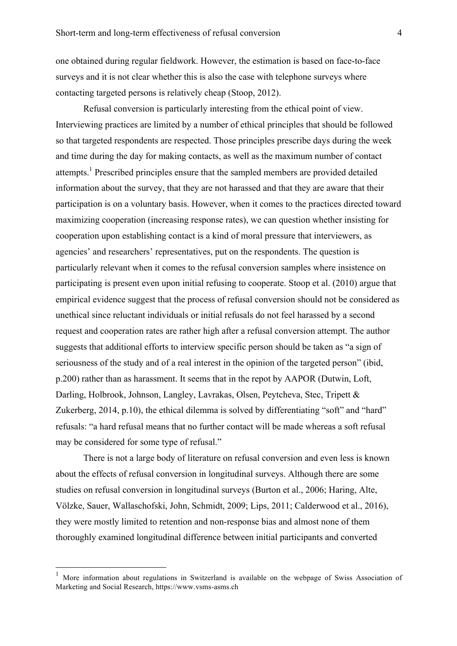one obtained during regular fieldwork. However, the estimation is based on face-to-face surveys and it is not clear whether this is also the case with telephone surveys where contacting targeted persons is relatively cheap (Stoop, 2012).

Refusal conversion is particularly interesting from the ethical point of view. Interviewing practices are limited by a number of ethical principles that should be followed so that targeted respondents are respected. Those principles prescribe days during the week and time during the day for making contacts, as well as the maximum number of contact attempts.<sup>1</sup> Prescribed principles ensure that the sampled members are provided detailed information about the survey, that they are not harassed and that they are aware that their participation is on a voluntary basis. However, when it comes to the practices directed toward maximizing cooperation (increasing response rates), we can question whether insisting for cooperation upon establishing contact is a kind of moral pressure that interviewers, as agencies' and researchers' representatives, put on the respondents. The question is particularly relevant when it comes to the refusal conversion samples where insistence on participating is present even upon initial refusing to cooperate. Stoop et al. (2010) argue that empirical evidence suggest that the process of refusal conversion should not be considered as unethical since reluctant individuals or initial refusals do not feel harassed by a second request and cooperation rates are rather high after a refusal conversion attempt. The author suggests that additional efforts to interview specific person should be taken as "a sign of seriousness of the study and of a real interest in the opinion of the targeted person" (ibid, p.200) rather than as harassment. It seems that in the repot by AAPOR (Dutwin, Loft, Darling, Holbrook, Johnson, Langley, Lavrakas, Olsen, Peytcheva, Stec, Tripett & Zukerberg, 2014, p.10), the ethical dilemma is solved by differentiating "soft" and "hard" refusals: "a hard refusal means that no further contact will be made whereas a soft refusal may be considered for some type of refusal."

There is not a large body of literature on refusal conversion and even less is known about the effects of refusal conversion in longitudinal surveys. Although there are some studies on refusal conversion in longitudinal surveys (Burton et al., 2006; Haring, Alte, Völzke, Sauer, Wallaschofski, John, Schmidt, 2009; Lips, 2011; Calderwood et al., 2016), they were mostly limited to retention and non-response bias and almost none of them thoroughly examined longitudinal difference between initial participants and converted

 <sup>1</sup> More information about regulations in Switzerland is available on the webpage of Swiss Association of Marketing and Social Research, https://www.vsms-asms.ch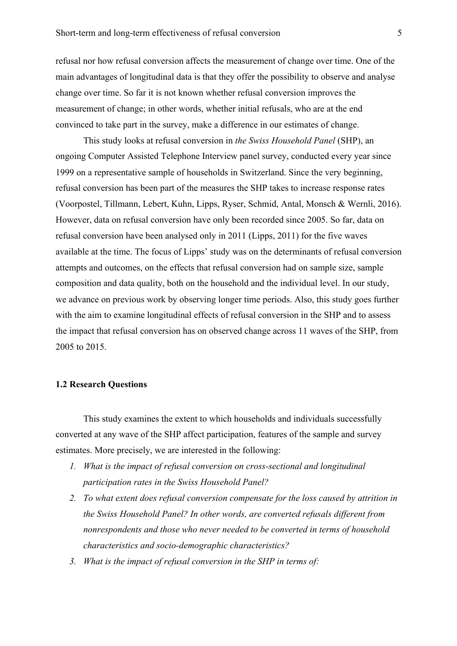refusal nor how refusal conversion affects the measurement of change over time. One of the main advantages of longitudinal data is that they offer the possibility to observe and analyse change over time. So far it is not known whether refusal conversion improves the measurement of change; in other words, whether initial refusals, who are at the end convinced to take part in the survey, make a difference in our estimates of change.

This study looks at refusal conversion in *the Swiss Household Panel* (SHP), an ongoing Computer Assisted Telephone Interview panel survey, conducted every year since 1999 on a representative sample of households in Switzerland. Since the very beginning, refusal conversion has been part of the measures the SHP takes to increase response rates (Voorpostel, Tillmann, Lebert, Kuhn, Lipps, Ryser, Schmid, Antal, Monsch & Wernli, 2016). However, data on refusal conversion have only been recorded since 2005. So far, data on refusal conversion have been analysed only in 2011 (Lipps, 2011) for the five waves available at the time. The focus of Lipps' study was on the determinants of refusal conversion attempts and outcomes, on the effects that refusal conversion had on sample size, sample composition and data quality, both on the household and the individual level. In our study, we advance on previous work by observing longer time periods. Also, this study goes further with the aim to examine longitudinal effects of refusal conversion in the SHP and to assess the impact that refusal conversion has on observed change across 11 waves of the SHP, from 2005 to 2015.

## **1.2 Research Questions**

This study examines the extent to which households and individuals successfully converted at any wave of the SHP affect participation, features of the sample and survey estimates. More precisely, we are interested in the following:

- *1. What is the impact of refusal conversion on cross-sectional and longitudinal participation rates in the Swiss Household Panel?*
- *2. To what extent does refusal conversion compensate for the loss caused by attrition in the Swiss Household Panel? In other words, are converted refusals different from nonrespondents and those who never needed to be converted in terms of household characteristics and socio-demographic characteristics?*
- *3. What is the impact of refusal conversion in the SHP in terms of:*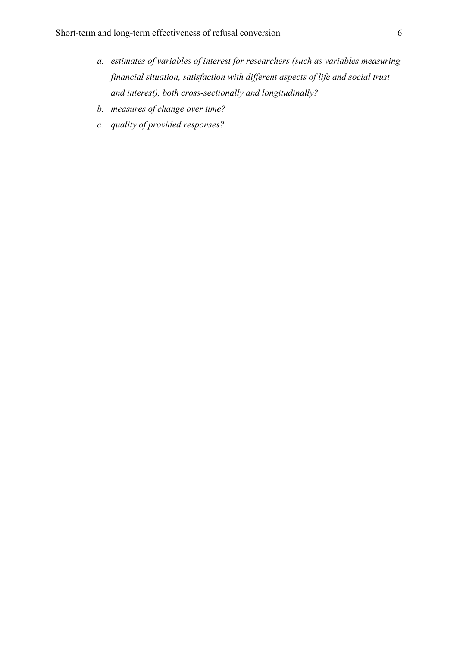- *a. estimates of variables of interest for researchers (such as variables measuring financial situation, satisfaction with different aspects of life and social trust and interest), both cross-sectionally and longitudinally?*
- *b. measures of change over time?*
- *c. quality of provided responses?*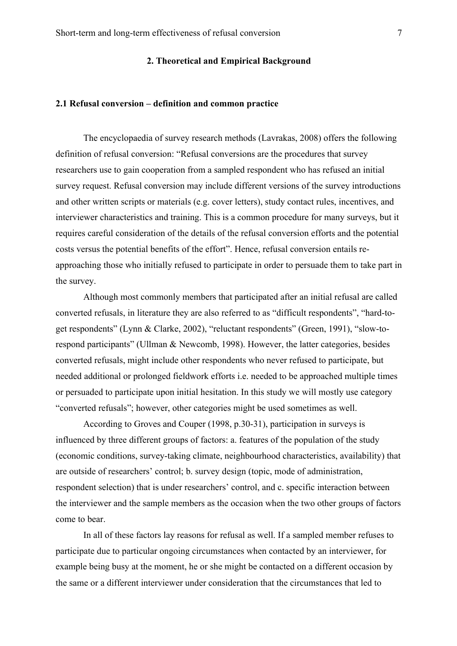## **2. Theoretical and Empirical Background**

## **2.1 Refusal conversion – definition and common practice**

The encyclopaedia of survey research methods (Lavrakas, 2008) offers the following definition of refusal conversion: "Refusal conversions are the procedures that survey researchers use to gain cooperation from a sampled respondent who has refused an initial survey request. Refusal conversion may include different versions of the survey introductions and other written scripts or materials (e.g. cover letters), study contact rules, incentives, and interviewer characteristics and training. This is a common procedure for many surveys, but it requires careful consideration of the details of the refusal conversion efforts and the potential costs versus the potential benefits of the effort". Hence, refusal conversion entails reapproaching those who initially refused to participate in order to persuade them to take part in the survey.

Although most commonly members that participated after an initial refusal are called converted refusals, in literature they are also referred to as "difficult respondents", "hard-toget respondents" (Lynn & Clarke, 2002), "reluctant respondents" (Green, 1991), "slow-torespond participants" (Ullman & Newcomb, 1998). However, the latter categories, besides converted refusals, might include other respondents who never refused to participate, but needed additional or prolonged fieldwork efforts i.e. needed to be approached multiple times or persuaded to participate upon initial hesitation. In this study we will mostly use category "converted refusals"; however, other categories might be used sometimes as well.

According to Groves and Couper (1998, p.30-31), participation in surveys is influenced by three different groups of factors: a. features of the population of the study (economic conditions, survey-taking climate, neighbourhood characteristics, availability) that are outside of researchers' control; b. survey design (topic, mode of administration, respondent selection) that is under researchers' control, and c. specific interaction between the interviewer and the sample members as the occasion when the two other groups of factors come to bear.

In all of these factors lay reasons for refusal as well. If a sampled member refuses to participate due to particular ongoing circumstances when contacted by an interviewer, for example being busy at the moment, he or she might be contacted on a different occasion by the same or a different interviewer under consideration that the circumstances that led to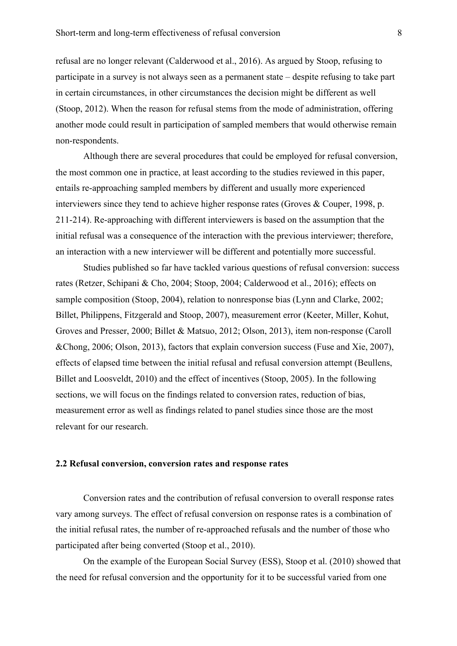refusal are no longer relevant (Calderwood et al., 2016). As argued by Stoop, refusing to participate in a survey is not always seen as a permanent state – despite refusing to take part in certain circumstances, in other circumstances the decision might be different as well (Stoop, 2012). When the reason for refusal stems from the mode of administration, offering another mode could result in participation of sampled members that would otherwise remain non-respondents.

Although there are several procedures that could be employed for refusal conversion, the most common one in practice, at least according to the studies reviewed in this paper, entails re-approaching sampled members by different and usually more experienced interviewers since they tend to achieve higher response rates (Groves & Couper, 1998, p. 211-214). Re-approaching with different interviewers is based on the assumption that the initial refusal was a consequence of the interaction with the previous interviewer; therefore, an interaction with a new interviewer will be different and potentially more successful.

Studies published so far have tackled various questions of refusal conversion: success rates (Retzer, Schipani & Cho, 2004; Stoop, 2004; Calderwood et al., 2016); effects on sample composition (Stoop, 2004), relation to nonresponse bias (Lynn and Clarke, 2002; Billet, Philippens, Fitzgerald and Stoop, 2007), measurement error (Keeter, Miller, Kohut, Groves and Presser, 2000; Billet & Matsuo, 2012; Olson, 2013), item non-response (Caroll &Chong, 2006; Olson, 2013), factors that explain conversion success (Fuse and Xie, 2007), effects of elapsed time between the initial refusal and refusal conversion attempt (Beullens, Billet and Loosveldt, 2010) and the effect of incentives (Stoop, 2005). In the following sections, we will focus on the findings related to conversion rates, reduction of bias, measurement error as well as findings related to panel studies since those are the most relevant for our research.

## **2.2 Refusal conversion, conversion rates and response rates**

Conversion rates and the contribution of refusal conversion to overall response rates vary among surveys. The effect of refusal conversion on response rates is a combination of the initial refusal rates, the number of re-approached refusals and the number of those who participated after being converted (Stoop et al., 2010).

On the example of the European Social Survey (ESS), Stoop et al. (2010) showed that the need for refusal conversion and the opportunity for it to be successful varied from one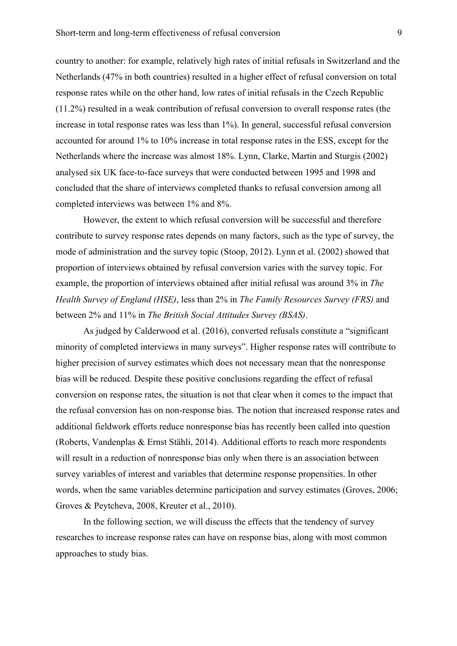country to another: for example, relatively high rates of initial refusals in Switzerland and the Netherlands (47% in both countries) resulted in a higher effect of refusal conversion on total response rates while on the other hand, low rates of initial refusals in the Czech Republic (11.2%) resulted in a weak contribution of refusal conversion to overall response rates (the increase in total response rates was less than 1%). In general, successful refusal conversion accounted for around 1% to 10% increase in total response rates in the ESS, except for the Netherlands where the increase was almost 18%. Lynn, Clarke, Martin and Sturgis (2002) analysed six UK face-to-face surveys that were conducted between 1995 and 1998 and concluded that the share of interviews completed thanks to refusal conversion among all completed interviews was between 1% and 8%.

However, the extent to which refusal conversion will be successful and therefore contribute to survey response rates depends on many factors, such as the type of survey, the mode of administration and the survey topic (Stoop, 2012). Lynn et al. (2002) showed that proportion of interviews obtained by refusal conversion varies with the survey topic. For example, the proportion of interviews obtained after initial refusal was around 3% in *The Health Survey of England (HSE)*, less than 2% in *The Family Resources Survey (FRS)* and between 2% and 11% in *The British Social Attitudes Survey (BSAS)*.

As judged by Calderwood et al. (2016), converted refusals constitute a "significant minority of completed interviews in many surveys". Higher response rates will contribute to higher precision of survey estimates which does not necessary mean that the nonresponse bias will be reduced. Despite these positive conclusions regarding the effect of refusal conversion on response rates, the situation is not that clear when it comes to the impact that the refusal conversion has on non-response bias. The notion that increased response rates and additional fieldwork efforts reduce nonresponse bias has recently been called into question (Roberts, Vandenplas & Ernst Stähli, 2014). Additional efforts to reach more respondents will result in a reduction of nonresponse bias only when there is an association between survey variables of interest and variables that determine response propensities. In other words, when the same variables determine participation and survey estimates (Groves, 2006; Groves & Peytcheva, 2008, Kreuter et al., 2010).

In the following section, we will discuss the effects that the tendency of survey researches to increase response rates can have on response bias, along with most common approaches to study bias.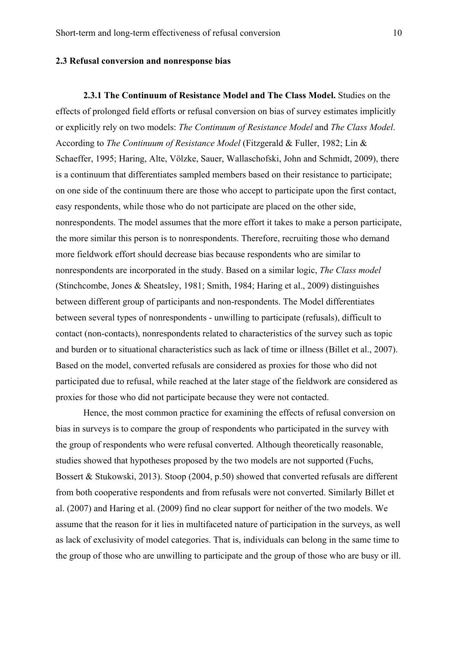#### **2.3 Refusal conversion and nonresponse bias**

**2.3.1 The Continuum of Resistance Model and The Class Model.** Studies on the effects of prolonged field efforts or refusal conversion on bias of survey estimates implicitly or explicitly rely on two models: *The Continuum of Resistance Model* and *The Class Model*. According to *The Continuum of Resistance Model* (Fitzgerald & Fuller, 1982; Lin & Schaeffer, 1995; Haring, Alte, Völzke, Sauer, Wallaschofski, John and Schmidt, 2009), there is a continuum that differentiates sampled members based on their resistance to participate; on one side of the continuum there are those who accept to participate upon the first contact, easy respondents, while those who do not participate are placed on the other side, nonrespondents. The model assumes that the more effort it takes to make a person participate, the more similar this person is to nonrespondents. Therefore, recruiting those who demand more fieldwork effort should decrease bias because respondents who are similar to nonrespondents are incorporated in the study. Based on a similar logic, *The Class model* (Stinchcombe, Jones & Sheatsley, 1981; Smith, 1984; Haring et al., 2009) distinguishes between different group of participants and non-respondents. The Model differentiates between several types of nonrespondents - unwilling to participate (refusals), difficult to contact (non-contacts), nonrespondents related to characteristics of the survey such as topic and burden or to situational characteristics such as lack of time or illness (Billet et al., 2007). Based on the model, converted refusals are considered as proxies for those who did not participated due to refusal, while reached at the later stage of the fieldwork are considered as proxies for those who did not participate because they were not contacted.

Hence, the most common practice for examining the effects of refusal conversion on bias in surveys is to compare the group of respondents who participated in the survey with the group of respondents who were refusal converted. Although theoretically reasonable, studies showed that hypotheses proposed by the two models are not supported (Fuchs, Bossert & Stukowski, 2013). Stoop (2004, p.50) showed that converted refusals are different from both cooperative respondents and from refusals were not converted. Similarly Billet et al. (2007) and Haring et al. (2009) find no clear support for neither of the two models. We assume that the reason for it lies in multifaceted nature of participation in the surveys, as well as lack of exclusivity of model categories. That is, individuals can belong in the same time to the group of those who are unwilling to participate and the group of those who are busy or ill.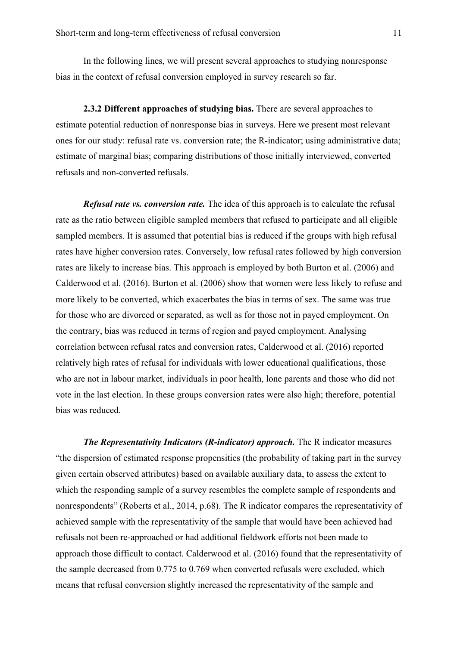In the following lines, we will present several approaches to studying nonresponse bias in the context of refusal conversion employed in survey research so far.

**2.3.2 Different approaches of studying bias.** There are several approaches to estimate potential reduction of nonresponse bias in surveys. Here we present most relevant ones for our study: refusal rate vs. conversion rate; the R-indicator; using administrative data; estimate of marginal bias; comparing distributions of those initially interviewed, converted refusals and non-converted refusals.

*Refusal rate vs. conversion rate.* The idea of this approach is to calculate the refusal rate as the ratio between eligible sampled members that refused to participate and all eligible sampled members. It is assumed that potential bias is reduced if the groups with high refusal rates have higher conversion rates. Conversely, low refusal rates followed by high conversion rates are likely to increase bias. This approach is employed by both Burton et al. (2006) and Calderwood et al. (2016). Burton et al. (2006) show that women were less likely to refuse and more likely to be converted, which exacerbates the bias in terms of sex. The same was true for those who are divorced or separated, as well as for those not in payed employment. On the contrary, bias was reduced in terms of region and payed employment. Analysing correlation between refusal rates and conversion rates, Calderwood et al. (2016) reported relatively high rates of refusal for individuals with lower educational qualifications, those who are not in labour market, individuals in poor health, lone parents and those who did not vote in the last election. In these groups conversion rates were also high; therefore, potential bias was reduced.

*The Representativity Indicators (R-indicator) approach.* The R indicator measures "the dispersion of estimated response propensities (the probability of taking part in the survey given certain observed attributes) based on available auxiliary data, to assess the extent to which the responding sample of a survey resembles the complete sample of respondents and nonrespondents" (Roberts et al., 2014, p.68). The R indicator compares the representativity of achieved sample with the representativity of the sample that would have been achieved had refusals not been re-approached or had additional fieldwork efforts not been made to approach those difficult to contact. Calderwood et al. (2016) found that the representativity of the sample decreased from 0.775 to 0.769 when converted refusals were excluded, which means that refusal conversion slightly increased the representativity of the sample and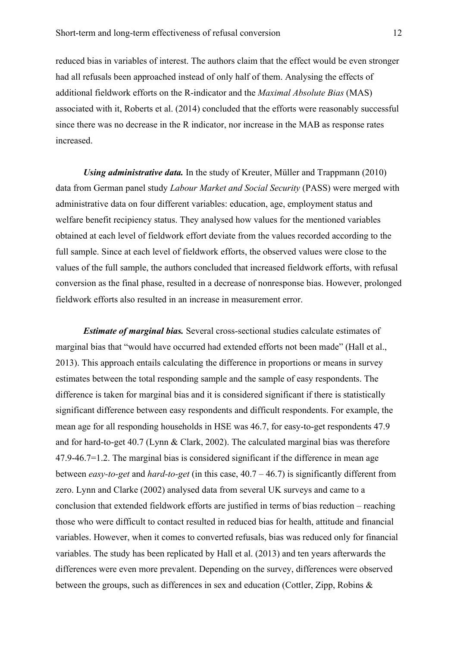reduced bias in variables of interest. The authors claim that the effect would be even stronger had all refusals been approached instead of only half of them. Analysing the effects of additional fieldwork efforts on the R-indicator and the *Maximal Absolute Bias* (MAS) associated with it, Roberts et al. (2014) concluded that the efforts were reasonably successful since there was no decrease in the R indicator, nor increase in the MAB as response rates increased.

*Using administrative data*. In the study of Kreuter, Müller and Trappmann (2010) data from German panel study *Labour Market and Social Security* (PASS) were merged with administrative data on four different variables: education, age, employment status and welfare benefit recipiency status. They analysed how values for the mentioned variables obtained at each level of fieldwork effort deviate from the values recorded according to the full sample. Since at each level of fieldwork efforts, the observed values were close to the values of the full sample, the authors concluded that increased fieldwork efforts, with refusal conversion as the final phase, resulted in a decrease of nonresponse bias. However, prolonged fieldwork efforts also resulted in an increase in measurement error.

*Estimate of marginal bias.* Several cross-sectional studies calculate estimates of marginal bias that "would have occurred had extended efforts not been made" (Hall et al., 2013). This approach entails calculating the difference in proportions or means in survey estimates between the total responding sample and the sample of easy respondents. The difference is taken for marginal bias and it is considered significant if there is statistically significant difference between easy respondents and difficult respondents. For example, the mean age for all responding households in HSE was 46.7, for easy-to-get respondents 47.9 and for hard-to-get 40.7 (Lynn & Clark, 2002). The calculated marginal bias was therefore 47.9-46.7=1.2. The marginal bias is considered significant if the difference in mean age between *easy-to-get* and *hard-to-get* (in this case, 40.7 – 46.7) is significantly different from zero. Lynn and Clarke (2002) analysed data from several UK surveys and came to a conclusion that extended fieldwork efforts are justified in terms of bias reduction – reaching those who were difficult to contact resulted in reduced bias for health, attitude and financial variables. However, when it comes to converted refusals, bias was reduced only for financial variables. The study has been replicated by Hall et al. (2013) and ten years afterwards the differences were even more prevalent. Depending on the survey, differences were observed between the groups, such as differences in sex and education (Cottler, Zipp, Robins &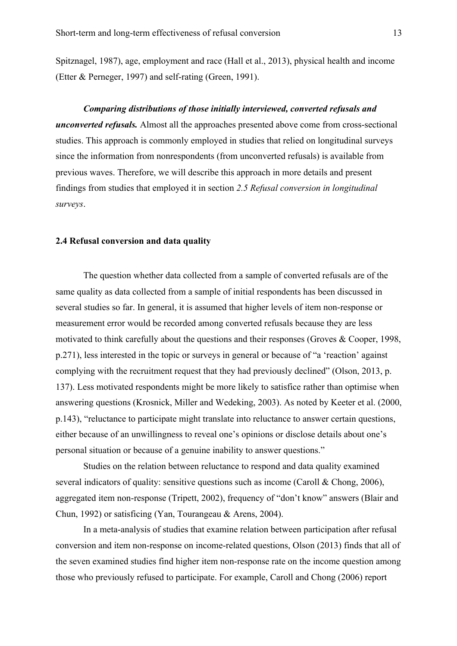Spitznagel, 1987), age, employment and race (Hall et al., 2013), physical health and income (Etter & Perneger, 1997) and self-rating (Green, 1991).

*Comparing distributions of those initially interviewed, converted refusals and unconverted refusals.* Almost all the approaches presented above come from cross-sectional studies. This approach is commonly employed in studies that relied on longitudinal surveys since the information from nonrespondents (from unconverted refusals) is available from previous waves. Therefore, we will describe this approach in more details and present findings from studies that employed it in section *2.5 Refusal conversion in longitudinal surveys*.

## **2.4 Refusal conversion and data quality**

The question whether data collected from a sample of converted refusals are of the same quality as data collected from a sample of initial respondents has been discussed in several studies so far. In general, it is assumed that higher levels of item non-response or measurement error would be recorded among converted refusals because they are less motivated to think carefully about the questions and their responses (Groves & Cooper, 1998, p.271), less interested in the topic or surveys in general or because of "a 'reaction' against complying with the recruitment request that they had previously declined" (Olson, 2013, p. 137). Less motivated respondents might be more likely to satisfice rather than optimise when answering questions (Krosnick, Miller and Wedeking, 2003). As noted by Keeter et al. (2000, p.143), "reluctance to participate might translate into reluctance to answer certain questions, either because of an unwillingness to reveal one's opinions or disclose details about one's personal situation or because of a genuine inability to answer questions."

Studies on the relation between reluctance to respond and data quality examined several indicators of quality: sensitive questions such as income (Caroll & Chong, 2006), aggregated item non-response (Tripett, 2002), frequency of "don't know" answers (Blair and Chun, 1992) or satisficing (Yan, Tourangeau & Arens, 2004).

In a meta-analysis of studies that examine relation between participation after refusal conversion and item non-response on income-related questions, Olson (2013) finds that all of the seven examined studies find higher item non-response rate on the income question among those who previously refused to participate. For example, Caroll and Chong (2006) report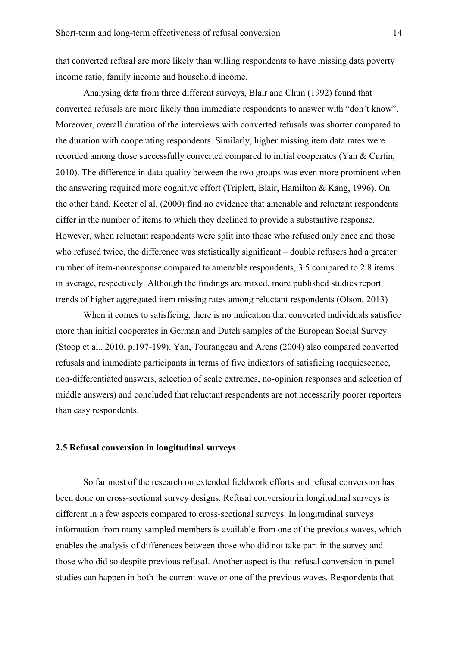that converted refusal are more likely than willing respondents to have missing data poverty income ratio, family income and household income.

Analysing data from three different surveys, Blair and Chun (1992) found that converted refusals are more likely than immediate respondents to answer with "don't know". Moreover, overall duration of the interviews with converted refusals was shorter compared to the duration with cooperating respondents. Similarly, higher missing item data rates were recorded among those successfully converted compared to initial cooperates (Yan & Curtin, 2010). The difference in data quality between the two groups was even more prominent when the answering required more cognitive effort (Triplett, Blair, Hamilton & Kang, 1996). On the other hand, Keeter el al. (2000) find no evidence that amenable and reluctant respondents differ in the number of items to which they declined to provide a substantive response. However, when reluctant respondents were split into those who refused only once and those who refused twice, the difference was statistically significant – double refusers had a greater number of item-nonresponse compared to amenable respondents, 3.5 compared to 2.8 items in average, respectively. Although the findings are mixed, more published studies report trends of higher aggregated item missing rates among reluctant respondents (Olson, 2013)

When it comes to satisficing, there is no indication that converted individuals satisfice more than initial cooperates in German and Dutch samples of the European Social Survey (Stoop et al., 2010, p.197-199). Yan, Tourangeau and Arens (2004) also compared converted refusals and immediate participants in terms of five indicators of satisficing (acquiescence, non-differentiated answers, selection of scale extremes, no-opinion responses and selection of middle answers) and concluded that reluctant respondents are not necessarily poorer reporters than easy respondents.

## **2.5 Refusal conversion in longitudinal surveys**

So far most of the research on extended fieldwork efforts and refusal conversion has been done on cross-sectional survey designs. Refusal conversion in longitudinal surveys is different in a few aspects compared to cross-sectional surveys. In longitudinal surveys information from many sampled members is available from one of the previous waves, which enables the analysis of differences between those who did not take part in the survey and those who did so despite previous refusal. Another aspect is that refusal conversion in panel studies can happen in both the current wave or one of the previous waves. Respondents that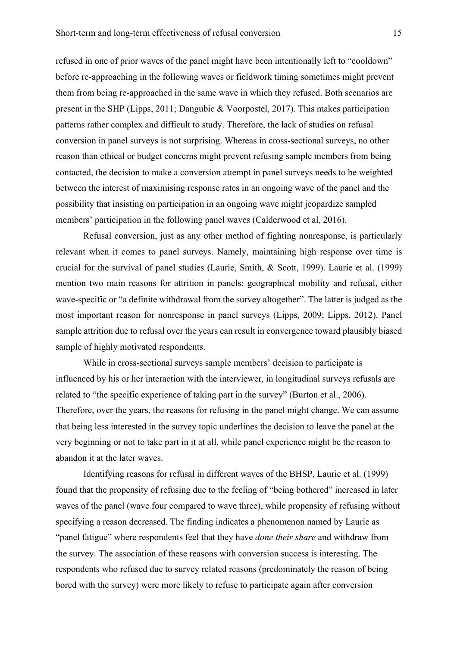refused in one of prior waves of the panel might have been intentionally left to "cooldown" before re-approaching in the following waves or fieldwork timing sometimes might prevent them from being re-approached in the same wave in which they refused. Both scenarios are present in the SHP (Lipps, 2011; Dangubic & Voorpostel, 2017). This makes participation patterns rather complex and difficult to study. Therefore, the lack of studies on refusal conversion in panel surveys is not surprising. Whereas in cross-sectional surveys, no other reason than ethical or budget concerns might prevent refusing sample members from being contacted, the decision to make a conversion attempt in panel surveys needs to be weighted between the interest of maximising response rates in an ongoing wave of the panel and the possibility that insisting on participation in an ongoing wave might jeopardize sampled members' participation in the following panel waves (Calderwood et al, 2016).

Refusal conversion, just as any other method of fighting nonresponse, is particularly relevant when it comes to panel surveys. Namely, maintaining high response over time is crucial for the survival of panel studies (Laurie, Smith, & Scott, 1999). Laurie et al. (1999) mention two main reasons for attrition in panels: geographical mobility and refusal, either wave-specific or "a definite withdrawal from the survey altogether". The latter is judged as the most important reason for nonresponse in panel surveys (Lipps, 2009; Lipps, 2012). Panel sample attrition due to refusal over the years can result in convergence toward plausibly biased sample of highly motivated respondents.

While in cross-sectional surveys sample members' decision to participate is influenced by his or her interaction with the interviewer, in longitudinal surveys refusals are related to "the specific experience of taking part in the survey" (Burton et al., 2006). Therefore, over the years, the reasons for refusing in the panel might change. We can assume that being less interested in the survey topic underlines the decision to leave the panel at the very beginning or not to take part in it at all, while panel experience might be the reason to abandon it at the later waves.

Identifying reasons for refusal in different waves of the BHSP, Laurie et al. (1999) found that the propensity of refusing due to the feeling of "being bothered" increased in later waves of the panel (wave four compared to wave three), while propensity of refusing without specifying a reason decreased. The finding indicates a phenomenon named by Laurie as "panel fatigue" where respondents feel that they have *done their share* and withdraw from the survey. The association of these reasons with conversion success is interesting. The respondents who refused due to survey related reasons (predominately the reason of being bored with the survey) were more likely to refuse to participate again after conversion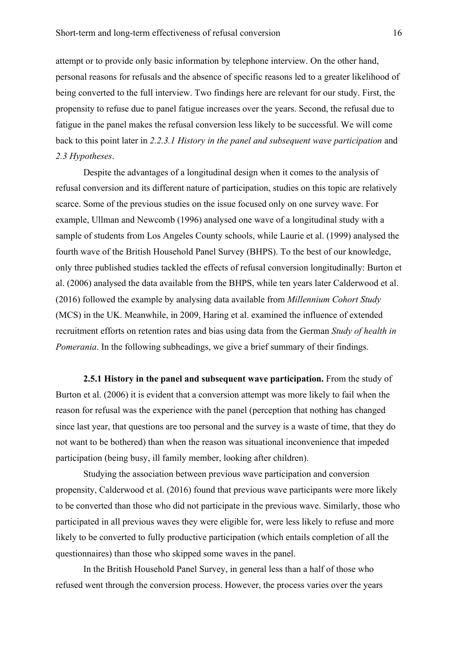attempt or to provide only basic information by telephone interview. On the other hand, personal reasons for refusals and the absence of specific reasons led to a greater likelihood of being converted to the full interview. Two findings here are relevant for our study. First, the propensity to refuse due to panel fatigue increases over the years. Second, the refusal due to fatigue in the panel makes the refusal conversion less likely to be successful. We will come back to this point later in 2.2.3.1 History in the panel and subsequent wave participation and *2.3 Hypotheses*.

Despite the advantages of a longitudinal design when it comes to the analysis of refusal conversion and its different nature of participation, studies on this topic are relatively scarce. Some of the previous studies on the issue focused only on one survey wave. For example, Ullman and Newcomb (1996) analysed one wave of a longitudinal study with a sample of students from Los Angeles County schools, while Laurie et al. (1999) analysed the fourth wave of the British Household Panel Survey (BHPS). To the best of our knowledge, only three published studies tackled the effects of refusal conversion longitudinally: Burton et al. (2006) analysed the data available from the BHPS, while ten years later Calderwood et al. (2016) followed the example by analysing data available from *Millennium Cohort Study* (MCS) in the UK. Meanwhile, in 2009, Haring et al. examined the influence of extended recruitment efforts on retention rates and bias using data from the German *Study of health in Pomerania*. In the following subheadings, we give a brief summary of their findings.

**2.5.1 History in the panel and subsequent wave participation.** From the study of Burton et al. (2006) it is evident that a conversion attempt was more likely to fail when the reason for refusal was the experience with the panel (perception that nothing has changed since last year, that questions are too personal and the survey is a waste of time, that they do not want to be bothered) than when the reason was situational inconvenience that impeded participation (being busy, ill family member, looking after children).

Studying the association between previous wave participation and conversion propensity, Calderwood et al. (2016) found that previous wave participants were more likely to be converted than those who did not participate in the previous wave. Similarly, those who participated in all previous waves they were eligible for, were less likely to refuse and more likely to be converted to fully productive participation (which entails completion of all the questionnaires) than those who skipped some waves in the panel.

In the British Household Panel Survey, in general less than a half of those who refused went through the conversion process. However, the process varies over the years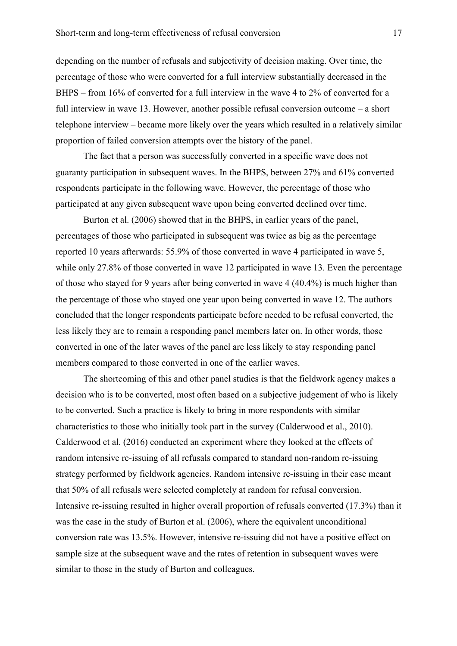depending on the number of refusals and subjectivity of decision making. Over time, the percentage of those who were converted for a full interview substantially decreased in the BHPS – from 16% of converted for a full interview in the wave 4 to 2% of converted for a full interview in wave 13. However, another possible refusal conversion outcome – a short telephone interview – became more likely over the years which resulted in a relatively similar proportion of failed conversion attempts over the history of the panel.

The fact that a person was successfully converted in a specific wave does not guaranty participation in subsequent waves. In the BHPS, between 27% and 61% converted respondents participate in the following wave. However, the percentage of those who participated at any given subsequent wave upon being converted declined over time.

Burton et al. (2006) showed that in the BHPS, in earlier years of the panel, percentages of those who participated in subsequent was twice as big as the percentage reported 10 years afterwards: 55.9% of those converted in wave 4 participated in wave 5, while only 27.8% of those converted in wave 12 participated in wave 13. Even the percentage of those who stayed for 9 years after being converted in wave 4 (40.4%) is much higher than the percentage of those who stayed one year upon being converted in wave 12. The authors concluded that the longer respondents participate before needed to be refusal converted, the less likely they are to remain a responding panel members later on. In other words, those converted in one of the later waves of the panel are less likely to stay responding panel members compared to those converted in one of the earlier waves.

The shortcoming of this and other panel studies is that the fieldwork agency makes a decision who is to be converted, most often based on a subjective judgement of who is likely to be converted. Such a practice is likely to bring in more respondents with similar characteristics to those who initially took part in the survey (Calderwood et al., 2010). Calderwood et al. (2016) conducted an experiment where they looked at the effects of random intensive re-issuing of all refusals compared to standard non-random re-issuing strategy performed by fieldwork agencies. Random intensive re-issuing in their case meant that 50% of all refusals were selected completely at random for refusal conversion. Intensive re-issuing resulted in higher overall proportion of refusals converted (17.3%) than it was the case in the study of Burton et al. (2006), where the equivalent unconditional conversion rate was 13.5%. However, intensive re-issuing did not have a positive effect on sample size at the subsequent wave and the rates of retention in subsequent waves were similar to those in the study of Burton and colleagues.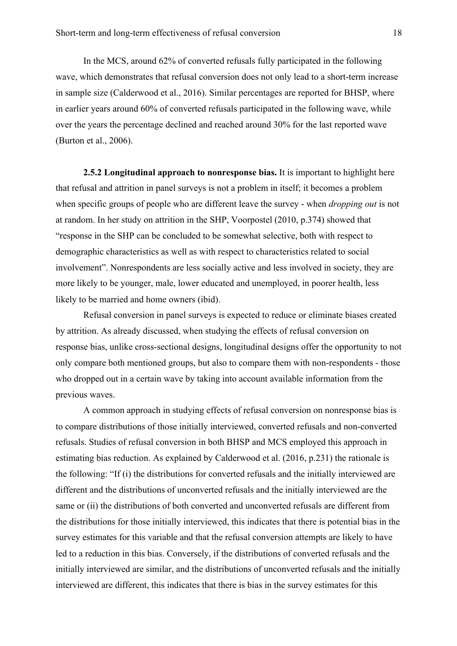In the MCS, around 62% of converted refusals fully participated in the following wave, which demonstrates that refusal conversion does not only lead to a short-term increase in sample size (Calderwood et al., 2016). Similar percentages are reported for BHSP, where in earlier years around 60% of converted refusals participated in the following wave, while over the years the percentage declined and reached around 30% for the last reported wave (Burton et al., 2006).

**2.5.2 Longitudinal approach to nonresponse bias.** It is important to highlight here that refusal and attrition in panel surveys is not a problem in itself; it becomes a problem when specific groups of people who are different leave the survey - when *dropping out* is not at random. In her study on attrition in the SHP, Voorpostel (2010, p.374) showed that "response in the SHP can be concluded to be somewhat selective, both with respect to demographic characteristics as well as with respect to characteristics related to social involvement". Nonrespondents are less socially active and less involved in society, they are more likely to be younger, male, lower educated and unemployed, in poorer health, less likely to be married and home owners (ibid).

Refusal conversion in panel surveys is expected to reduce or eliminate biases created by attrition. As already discussed, when studying the effects of refusal conversion on response bias, unlike cross-sectional designs, longitudinal designs offer the opportunity to not only compare both mentioned groups, but also to compare them with non-respondents - those who dropped out in a certain wave by taking into account available information from the previous waves.

A common approach in studying effects of refusal conversion on nonresponse bias is to compare distributions of those initially interviewed, converted refusals and non-converted refusals. Studies of refusal conversion in both BHSP and MCS employed this approach in estimating bias reduction. As explained by Calderwood et al. (2016, p.231) the rationale is the following: "If (i) the distributions for converted refusals and the initially interviewed are different and the distributions of unconverted refusals and the initially interviewed are the same or (ii) the distributions of both converted and unconverted refusals are different from the distributions for those initially interviewed, this indicates that there is potential bias in the survey estimates for this variable and that the refusal conversion attempts are likely to have led to a reduction in this bias. Conversely, if the distributions of converted refusals and the initially interviewed are similar, and the distributions of unconverted refusals and the initially interviewed are different, this indicates that there is bias in the survey estimates for this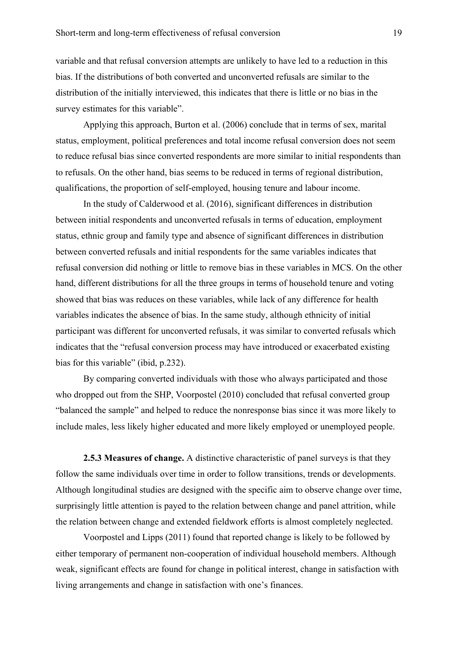variable and that refusal conversion attempts are unlikely to have led to a reduction in this bias. If the distributions of both converted and unconverted refusals are similar to the distribution of the initially interviewed, this indicates that there is little or no bias in the survey estimates for this variable".

Applying this approach, Burton et al. (2006) conclude that in terms of sex, marital status, employment, political preferences and total income refusal conversion does not seem to reduce refusal bias since converted respondents are more similar to initial respondents than to refusals. On the other hand, bias seems to be reduced in terms of regional distribution, qualifications, the proportion of self-employed, housing tenure and labour income.

In the study of Calderwood et al. (2016), significant differences in distribution between initial respondents and unconverted refusals in terms of education, employment status, ethnic group and family type and absence of significant differences in distribution between converted refusals and initial respondents for the same variables indicates that refusal conversion did nothing or little to remove bias in these variables in MCS. On the other hand, different distributions for all the three groups in terms of household tenure and voting showed that bias was reduces on these variables, while lack of any difference for health variables indicates the absence of bias. In the same study, although ethnicity of initial participant was different for unconverted refusals, it was similar to converted refusals which indicates that the "refusal conversion process may have introduced or exacerbated existing bias for this variable" (ibid, p.232).

By comparing converted individuals with those who always participated and those who dropped out from the SHP, Voorpostel (2010) concluded that refusal converted group "balanced the sample" and helped to reduce the nonresponse bias since it was more likely to include males, less likely higher educated and more likely employed or unemployed people.

**2.5.3 Measures of change.** A distinctive characteristic of panel surveys is that they follow the same individuals over time in order to follow transitions, trends or developments. Although longitudinal studies are designed with the specific aim to observe change over time, surprisingly little attention is payed to the relation between change and panel attrition, while the relation between change and extended fieldwork efforts is almost completely neglected.

Voorpostel and Lipps (2011) found that reported change is likely to be followed by either temporary of permanent non-cooperation of individual household members. Although weak, significant effects are found for change in political interest, change in satisfaction with living arrangements and change in satisfaction with one's finances.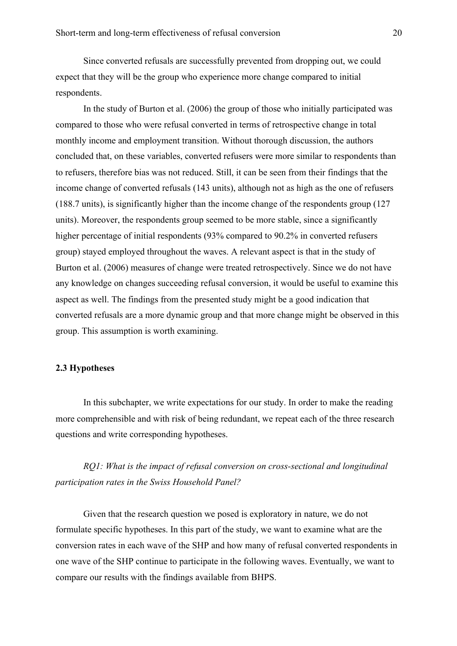Since converted refusals are successfully prevented from dropping out, we could expect that they will be the group who experience more change compared to initial respondents.

In the study of Burton et al. (2006) the group of those who initially participated was compared to those who were refusal converted in terms of retrospective change in total monthly income and employment transition. Without thorough discussion, the authors concluded that, on these variables, converted refusers were more similar to respondents than to refusers, therefore bias was not reduced. Still, it can be seen from their findings that the income change of converted refusals (143 units), although not as high as the one of refusers (188.7 units), is significantly higher than the income change of the respondents group (127 units). Moreover, the respondents group seemed to be more stable, since a significantly higher percentage of initial respondents (93% compared to 90.2% in converted refusers group) stayed employed throughout the waves. A relevant aspect is that in the study of Burton et al. (2006) measures of change were treated retrospectively. Since we do not have any knowledge on changes succeeding refusal conversion, it would be useful to examine this aspect as well. The findings from the presented study might be a good indication that converted refusals are a more dynamic group and that more change might be observed in this group. This assumption is worth examining.

## **2.3 Hypotheses**

In this subchapter, we write expectations for our study. In order to make the reading more comprehensible and with risk of being redundant, we repeat each of the three research questions and write corresponding hypotheses.

*RQ1: What is the impact of refusal conversion on cross-sectional and longitudinal participation rates in the Swiss Household Panel?*

Given that the research question we posed is exploratory in nature, we do not formulate specific hypotheses. In this part of the study, we want to examine what are the conversion rates in each wave of the SHP and how many of refusal converted respondents in one wave of the SHP continue to participate in the following waves. Eventually, we want to compare our results with the findings available from BHPS.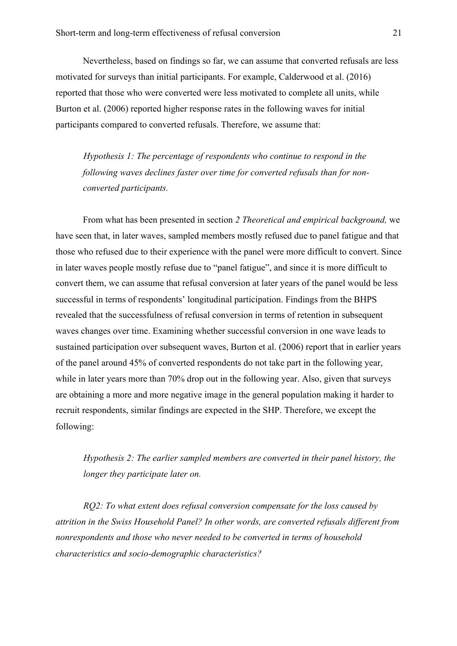Nevertheless, based on findings so far, we can assume that converted refusals are less motivated for surveys than initial participants. For example, Calderwood et al. (2016) reported that those who were converted were less motivated to complete all units, while Burton et al. (2006) reported higher response rates in the following waves for initial participants compared to converted refusals. Therefore, we assume that:

*Hypothesis 1: The percentage of respondents who continue to respond in the following waves declines faster over time for converted refusals than for nonconverted participants.*

From what has been presented in section *2 Theoretical and empirical background,* we have seen that, in later waves, sampled members mostly refused due to panel fatigue and that those who refused due to their experience with the panel were more difficult to convert. Since in later waves people mostly refuse due to "panel fatigue", and since it is more difficult to convert them, we can assume that refusal conversion at later years of the panel would be less successful in terms of respondents' longitudinal participation. Findings from the BHPS revealed that the successfulness of refusal conversion in terms of retention in subsequent waves changes over time. Examining whether successful conversion in one wave leads to sustained participation over subsequent waves, Burton et al. (2006) report that in earlier years of the panel around 45% of converted respondents do not take part in the following year, while in later years more than 70% drop out in the following year. Also, given that surveys are obtaining a more and more negative image in the general population making it harder to recruit respondents, similar findings are expected in the SHP. Therefore, we except the following:

*Hypothesis 2: The earlier sampled members are converted in their panel history, the longer they participate later on.*

*RQ2: To what extent does refusal conversion compensate for the loss caused by attrition in the Swiss Household Panel? In other words, are converted refusals different from nonrespondents and those who never needed to be converted in terms of household characteristics and socio-demographic characteristics?*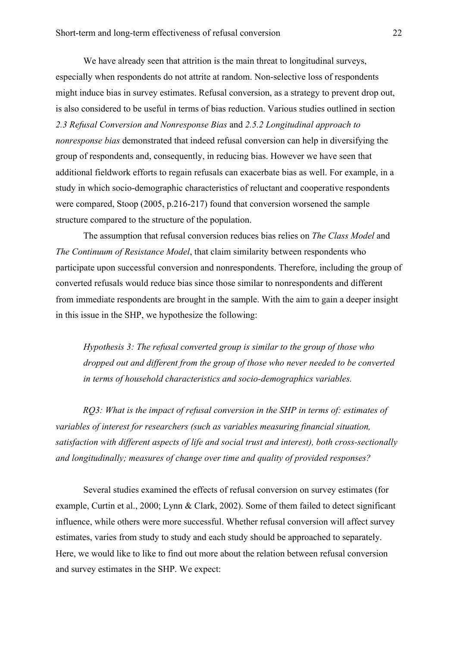We have already seen that attrition is the main threat to longitudinal surveys, especially when respondents do not attrite at random. Non-selective loss of respondents might induce bias in survey estimates. Refusal conversion, as a strategy to prevent drop out, is also considered to be useful in terms of bias reduction. Various studies outlined in section *2.3 Refusal Conversion and Nonresponse Bias* and *2.5.2 Longitudinal approach to nonresponse bias* demonstrated that indeed refusal conversion can help in diversifying the group of respondents and, consequently, in reducing bias. However we have seen that additional fieldwork efforts to regain refusals can exacerbate bias as well. For example, in a study in which socio-demographic characteristics of reluctant and cooperative respondents were compared, Stoop (2005, p.216-217) found that conversion worsened the sample structure compared to the structure of the population.

The assumption that refusal conversion reduces bias relies on *The Class Model* and *The Continuum of Resistance Model*, that claim similarity between respondents who participate upon successful conversion and nonrespondents. Therefore, including the group of converted refusals would reduce bias since those similar to nonrespondents and different from immediate respondents are brought in the sample. With the aim to gain a deeper insight in this issue in the SHP, we hypothesize the following:

*Hypothesis 3: The refusal converted group is similar to the group of those who dropped out and different from the group of those who never needed to be converted in terms of household characteristics and socio-demographics variables.*

*RQ3: What is the impact of refusal conversion in the SHP in terms of: estimates of variables of interest for researchers (such as variables measuring financial situation, satisfaction with different aspects of life and social trust and interest), both cross-sectionally and longitudinally; measures of change over time and quality of provided responses?*

Several studies examined the effects of refusal conversion on survey estimates (for example, Curtin et al., 2000; Lynn & Clark, 2002). Some of them failed to detect significant influence, while others were more successful. Whether refusal conversion will affect survey estimates, varies from study to study and each study should be approached to separately. Here, we would like to like to find out more about the relation between refusal conversion and survey estimates in the SHP. We expect: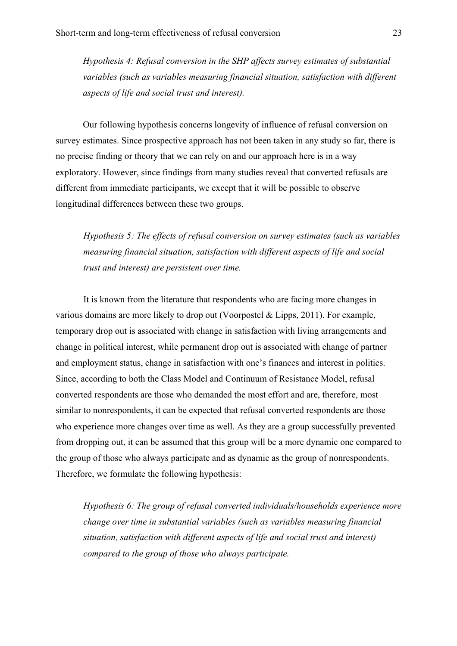*Hypothesis 4: Refusal conversion in the SHP affects survey estimates of substantial variables (such as variables measuring financial situation, satisfaction with different aspects of life and social trust and interest).*

Our following hypothesis concerns longevity of influence of refusal conversion on survey estimates. Since prospective approach has not been taken in any study so far, there is no precise finding or theory that we can rely on and our approach here is in a way exploratory. However, since findings from many studies reveal that converted refusals are different from immediate participants, we except that it will be possible to observe longitudinal differences between these two groups.

*Hypothesis 5: The effects of refusal conversion on survey estimates (such as variables measuring financial situation, satisfaction with different aspects of life and social trust and interest) are persistent over time.*

It is known from the literature that respondents who are facing more changes in various domains are more likely to drop out (Voorpostel & Lipps, 2011). For example, temporary drop out is associated with change in satisfaction with living arrangements and change in political interest, while permanent drop out is associated with change of partner and employment status, change in satisfaction with one's finances and interest in politics. Since, according to both the Class Model and Continuum of Resistance Model, refusal converted respondents are those who demanded the most effort and are, therefore, most similar to nonrespondents, it can be expected that refusal converted respondents are those who experience more changes over time as well. As they are a group successfully prevented from dropping out, it can be assumed that this group will be a more dynamic one compared to the group of those who always participate and as dynamic as the group of nonrespondents. Therefore, we formulate the following hypothesis:

*Hypothesis 6: The group of refusal converted individuals/households experience more change over time in substantial variables (such as variables measuring financial situation, satisfaction with different aspects of life and social trust and interest) compared to the group of those who always participate.*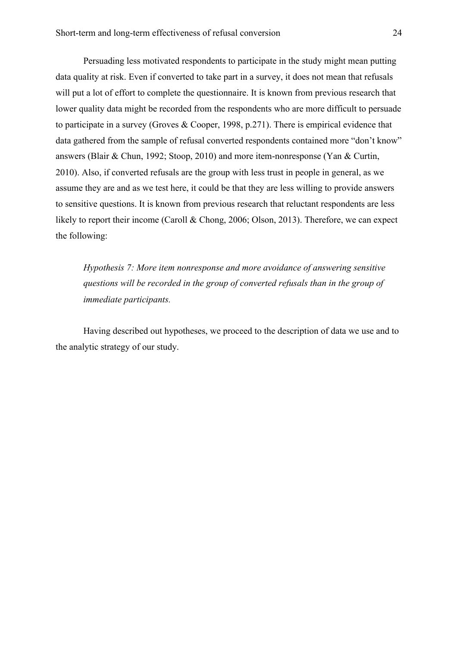Persuading less motivated respondents to participate in the study might mean putting data quality at risk. Even if converted to take part in a survey, it does not mean that refusals will put a lot of effort to complete the questionnaire. It is known from previous research that lower quality data might be recorded from the respondents who are more difficult to persuade to participate in a survey (Groves & Cooper, 1998, p.271). There is empirical evidence that data gathered from the sample of refusal converted respondents contained more "don't know" answers (Blair & Chun, 1992; Stoop, 2010) and more item-nonresponse (Yan & Curtin, 2010). Also, if converted refusals are the group with less trust in people in general, as we assume they are and as we test here, it could be that they are less willing to provide answers to sensitive questions. It is known from previous research that reluctant respondents are less likely to report their income (Caroll & Chong, 2006; Olson, 2013). Therefore, we can expect the following:

*Hypothesis 7: More item nonresponse and more avoidance of answering sensitive questions will be recorded in the group of converted refusals than in the group of immediate participants.*

Having described out hypotheses, we proceed to the description of data we use and to the analytic strategy of our study.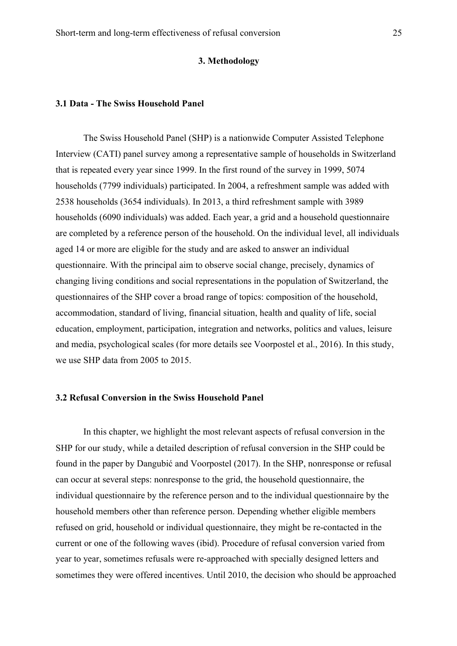## **3. Methodology**

## **3.1 Data - The Swiss Household Panel**

The Swiss Household Panel (SHP) is a nationwide Computer Assisted Telephone Interview (CATI) panel survey among a representative sample of households in Switzerland that is repeated every year since 1999. In the first round of the survey in 1999, 5074 households (7799 individuals) participated. In 2004, a refreshment sample was added with 2538 households (3654 individuals). In 2013, a third refreshment sample with 3989 households (6090 individuals) was added. Each year, a grid and a household questionnaire are completed by a reference person of the household. On the individual level, all individuals aged 14 or more are eligible for the study and are asked to answer an individual questionnaire. With the principal aim to observe social change, precisely, dynamics of changing living conditions and social representations in the population of Switzerland, the questionnaires of the SHP cover a broad range of topics: composition of the household, accommodation, standard of living, financial situation, health and quality of life, social education, employment, participation, integration and networks, politics and values, leisure and media, psychological scales (for more details see Voorpostel et al., 2016). In this study, we use SHP data from 2005 to 2015.

## **3.2 Refusal Conversion in the Swiss Household Panel**

In this chapter, we highlight the most relevant aspects of refusal conversion in the SHP for our study, while a detailed description of refusal conversion in the SHP could be found in the paper by Dangubić and Voorpostel (2017). In the SHP, nonresponse or refusal can occur at several steps: nonresponse to the grid, the household questionnaire, the individual questionnaire by the reference person and to the individual questionnaire by the household members other than reference person. Depending whether eligible members refused on grid, household or individual questionnaire, they might be re-contacted in the current or one of the following waves (ibid). Procedure of refusal conversion varied from year to year, sometimes refusals were re-approached with specially designed letters and sometimes they were offered incentives. Until 2010, the decision who should be approached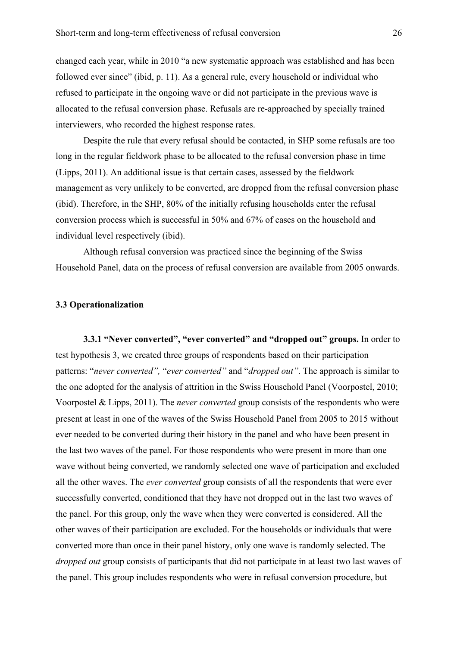changed each year, while in 2010 "a new systematic approach was established and has been followed ever since" (ibid, p. 11). As a general rule, every household or individual who refused to participate in the ongoing wave or did not participate in the previous wave is allocated to the refusal conversion phase. Refusals are re-approached by specially trained interviewers, who recorded the highest response rates.

Despite the rule that every refusal should be contacted, in SHP some refusals are too long in the regular fieldwork phase to be allocated to the refusal conversion phase in time (Lipps, 2011). An additional issue is that certain cases, assessed by the fieldwork management as very unlikely to be converted, are dropped from the refusal conversion phase (ibid). Therefore, in the SHP, 80% of the initially refusing households enter the refusal conversion process which is successful in 50% and 67% of cases on the household and individual level respectively (ibid).

Although refusal conversion was practiced since the beginning of the Swiss Household Panel, data on the process of refusal conversion are available from 2005 onwards.

## **3.3 Operationalization**

**3.3.1 "Never converted", "ever converted" and "dropped out" groups.** In order to test hypothesis 3, we created three groups of respondents based on their participation patterns: "*never converted",* "*ever converted"* and "*dropped out"*. The approach is similar to the one adopted for the analysis of attrition in the Swiss Household Panel (Voorpostel, 2010; Voorpostel & Lipps, 2011). The *never converted* group consists of the respondents who were present at least in one of the waves of the Swiss Household Panel from 2005 to 2015 without ever needed to be converted during their history in the panel and who have been present in the last two waves of the panel. For those respondents who were present in more than one wave without being converted, we randomly selected one wave of participation and excluded all the other waves. The *ever converted* group consists of all the respondents that were ever successfully converted, conditioned that they have not dropped out in the last two waves of the panel. For this group, only the wave when they were converted is considered. All the other waves of their participation are excluded. For the households or individuals that were converted more than once in their panel history, only one wave is randomly selected. The *dropped out* group consists of participants that did not participate in at least two last waves of the panel. This group includes respondents who were in refusal conversion procedure, but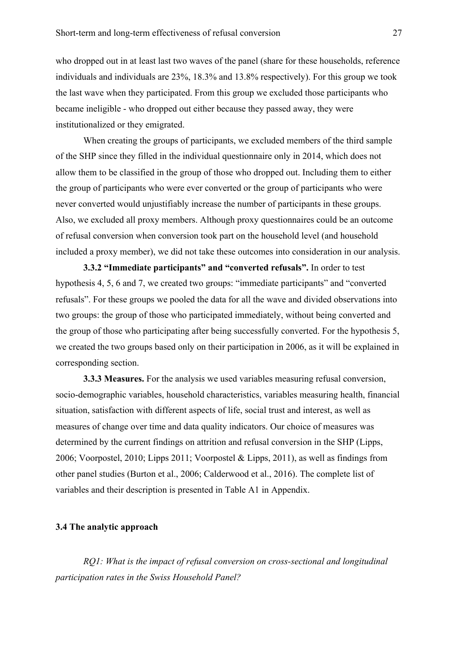who dropped out in at least last two waves of the panel (share for these households, reference individuals and individuals are 23%, 18.3% and 13.8% respectively). For this group we took the last wave when they participated. From this group we excluded those participants who became ineligible - who dropped out either because they passed away, they were institutionalized or they emigrated.

When creating the groups of participants, we excluded members of the third sample of the SHP since they filled in the individual questionnaire only in 2014, which does not allow them to be classified in the group of those who dropped out. Including them to either the group of participants who were ever converted or the group of participants who were never converted would unjustifiably increase the number of participants in these groups. Also, we excluded all proxy members. Although proxy questionnaires could be an outcome of refusal conversion when conversion took part on the household level (and household included a proxy member), we did not take these outcomes into consideration in our analysis.

**3.3.2 "Immediate participants" and "converted refusals".** In order to test hypothesis 4, 5, 6 and 7, we created two groups: "immediate participants" and "converted refusals". For these groups we pooled the data for all the wave and divided observations into two groups: the group of those who participated immediately, without being converted and the group of those who participating after being successfully converted. For the hypothesis 5, we created the two groups based only on their participation in 2006, as it will be explained in corresponding section.

**3.3.3 Measures.** For the analysis we used variables measuring refusal conversion, socio-demographic variables, household characteristics, variables measuring health, financial situation, satisfaction with different aspects of life, social trust and interest, as well as measures of change over time and data quality indicators. Our choice of measures was determined by the current findings on attrition and refusal conversion in the SHP (Lipps, 2006; Voorpostel, 2010; Lipps 2011; Voorpostel & Lipps, 2011), as well as findings from other panel studies (Burton et al., 2006; Calderwood et al., 2016). The complete list of variables and their description is presented in Table A1 in Appendix.

## **3.4 The analytic approach**

*RQ1: What is the impact of refusal conversion on cross-sectional and longitudinal participation rates in the Swiss Household Panel?*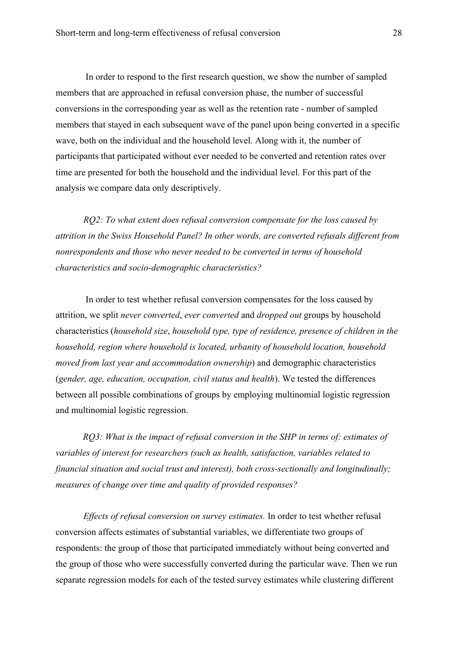In order to respond to the first research question, we show the number of sampled members that are approached in refusal conversion phase, the number of successful conversions in the corresponding year as well as the retention rate - number of sampled members that stayed in each subsequent wave of the panel upon being converted in a specific wave, both on the individual and the household level. Along with it, the number of participants that participated without ever needed to be converted and retention rates over time are presented for both the household and the individual level. For this part of the analysis we compare data only descriptively.

*RQ2: To what extent does refusal conversion compensate for the loss caused by attrition in the Swiss Household Panel? In other words, are converted refusals different from nonrespondents and those who never needed to be converted in terms of household characteristics and socio-demographic characteristics?*

In order to test whether refusal conversion compensates for the loss caused by attrition, we split *never converted*, *ever converted* and *dropped out* groups by household characteristics (*household size*, *household type, type of residence, presence of children in the household, region where household is located, urbanity of household location, household moved from last year and accommodation ownership*) and demographic characteristics (*gender, age, education, occupation, civil status and health*). We tested the differences between all possible combinations of groups by employing multinomial logistic regression and multinomial logistic regression.

*RQ3: What is the impact of refusal conversion in the SHP in terms of: estimates of variables of interest for researchers (such as health, satisfaction, variables related to financial situation and social trust and interest), both cross-sectionally and longitudinally; measures of change over time and quality of provided responses?*

*Effects of refusal conversion on survey estimates.* In order to test whether refusal conversion affects estimates of substantial variables, we differentiate two groups of respondents: the group of those that participated immediately without being converted and the group of those who were successfully converted during the particular wave. Then we run separate regression models for each of the tested survey estimates while clustering different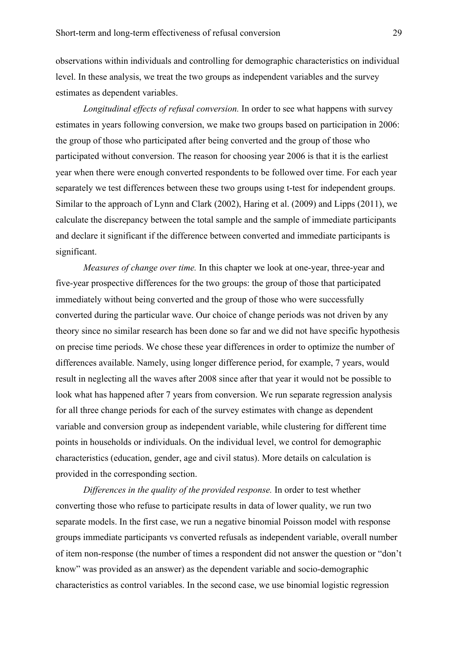observations within individuals and controlling for demographic characteristics on individual level. In these analysis, we treat the two groups as independent variables and the survey estimates as dependent variables.

*Longitudinal effects of refusal conversion.* In order to see what happens with survey estimates in years following conversion, we make two groups based on participation in 2006: the group of those who participated after being converted and the group of those who participated without conversion. The reason for choosing year 2006 is that it is the earliest year when there were enough converted respondents to be followed over time. For each year separately we test differences between these two groups using t-test for independent groups. Similar to the approach of Lynn and Clark (2002), Haring et al. (2009) and Lipps (2011), we calculate the discrepancy between the total sample and the sample of immediate participants and declare it significant if the difference between converted and immediate participants is significant.

*Measures of change over time.* In this chapter we look at one-year, three-year and five-year prospective differences for the two groups: the group of those that participated immediately without being converted and the group of those who were successfully converted during the particular wave. Our choice of change periods was not driven by any theory since no similar research has been done so far and we did not have specific hypothesis on precise time periods. We chose these year differences in order to optimize the number of differences available. Namely, using longer difference period, for example, 7 years, would result in neglecting all the waves after 2008 since after that year it would not be possible to look what has happened after 7 years from conversion. We run separate regression analysis for all three change periods for each of the survey estimates with change as dependent variable and conversion group as independent variable, while clustering for different time points in households or individuals. On the individual level, we control for demographic characteristics (education, gender, age and civil status). More details on calculation is provided in the corresponding section.

*Differences in the quality of the provided response.* In order to test whether converting those who refuse to participate results in data of lower quality, we run two separate models. In the first case, we run a negative binomial Poisson model with response groups immediate participants vs converted refusals as independent variable, overall number of item non-response (the number of times a respondent did not answer the question or "don't know" was provided as an answer) as the dependent variable and socio-demographic characteristics as control variables. In the second case, we use binomial logistic regression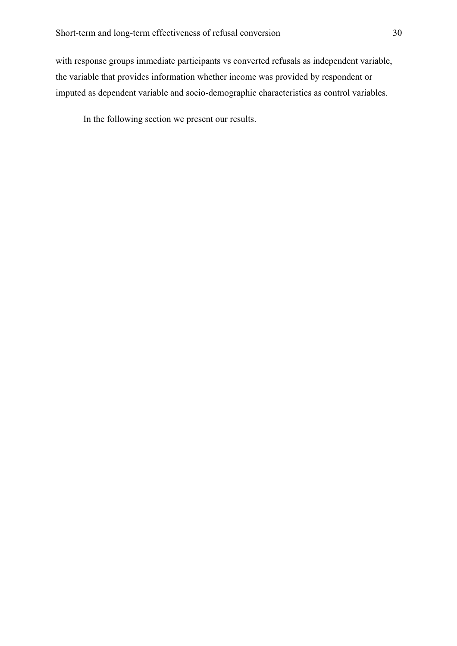with response groups immediate participants vs converted refusals as independent variable, the variable that provides information whether income was provided by respondent or imputed as dependent variable and socio-demographic characteristics as control variables.

In the following section we present our results.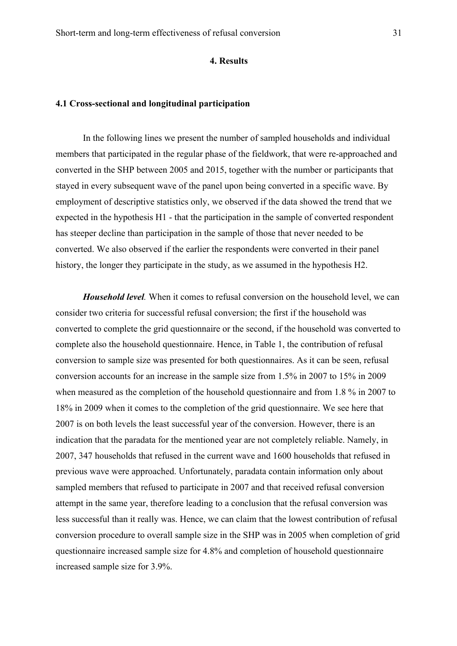## **4. Results**

## **4.1 Cross-sectional and longitudinal participation**

In the following lines we present the number of sampled households and individual members that participated in the regular phase of the fieldwork, that were re-approached and converted in the SHP between 2005 and 2015, together with the number or participants that stayed in every subsequent wave of the panel upon being converted in a specific wave. By employment of descriptive statistics only, we observed if the data showed the trend that we expected in the hypothesis H1 - that the participation in the sample of converted respondent has steeper decline than participation in the sample of those that never needed to be converted. We also observed if the earlier the respondents were converted in their panel history, the longer they participate in the study, as we assumed in the hypothesis H2.

*Household level.* When it comes to refusal conversion on the household level, we can consider two criteria for successful refusal conversion; the first if the household was converted to complete the grid questionnaire or the second, if the household was converted to complete also the household questionnaire. Hence, in Table 1, the contribution of refusal conversion to sample size was presented for both questionnaires. As it can be seen, refusal conversion accounts for an increase in the sample size from 1.5% in 2007 to 15% in 2009 when measured as the completion of the household questionnaire and from 1.8 % in 2007 to 18% in 2009 when it comes to the completion of the grid questionnaire. We see here that 2007 is on both levels the least successful year of the conversion. However, there is an indication that the paradata for the mentioned year are not completely reliable. Namely, in 2007, 347 households that refused in the current wave and 1600 households that refused in previous wave were approached. Unfortunately, paradata contain information only about sampled members that refused to participate in 2007 and that received refusal conversion attempt in the same year, therefore leading to a conclusion that the refusal conversion was less successful than it really was. Hence, we can claim that the lowest contribution of refusal conversion procedure to overall sample size in the SHP was in 2005 when completion of grid questionnaire increased sample size for 4.8% and completion of household questionnaire increased sample size for 3.9%.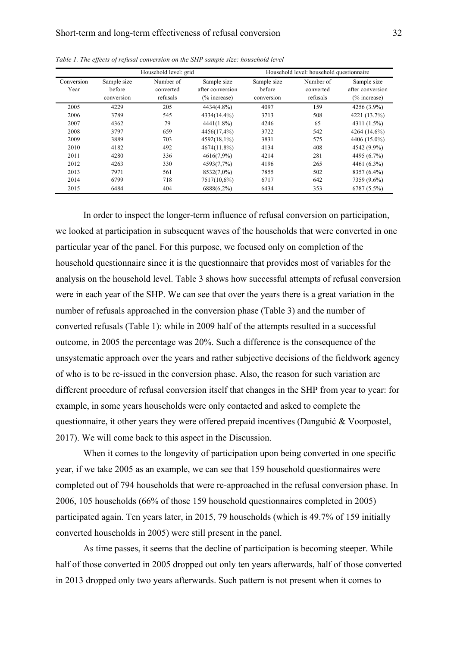| Household level: grid |                                     |                                    | Household level: household questionnaire           |                                     |                                    |                                                    |
|-----------------------|-------------------------------------|------------------------------------|----------------------------------------------------|-------------------------------------|------------------------------------|----------------------------------------------------|
| Conversion<br>Year    | Sample size<br>before<br>conversion | Number of<br>converted<br>refusals | Sample size<br>after conversion<br>$(\%$ increase) | Sample size<br>before<br>conversion | Number of<br>converted<br>refusals | Sample size<br>after conversion<br>$(\%$ increase) |
| 2005                  | 4229                                | 205                                | 4434(4.8%)                                         | 4097                                | 159                                | 4256 (3.9%)                                        |
| 2006                  | 3789                                | 545                                | 4334(14.4%)                                        | 3713                                | 508                                | 4221 (13.7%)                                       |
| 2007                  | 4362                                | 79                                 | 4441(1.8%)                                         | 4246                                | 65                                 | 4311 (1.5%)                                        |
| 2008                  | 3797                                | 659                                | 4456(17,4%)                                        | 3722                                | 542                                | 4264 (14.6%)                                       |
| 2009                  | 3889                                | 703                                | 4592(18,1%)                                        | 3831                                | 575                                | 4406 (15.0%)                                       |
| 2010                  | 4182                                | 492                                | 4674(11.8%)                                        | 4134                                | 408                                | 4542 (9.9%)                                        |
| 2011                  | 4280                                | 336                                | 4616(7,9%)                                         | 4214                                | 281                                | 4495 (6.7%)                                        |
| 2012                  | 4263                                | 330                                | 4593(7,7%)                                         | 4196                                | 265                                | 4461 (6.3%)                                        |
| 2013                  | 7971                                | 561                                | 8532(7,0%)                                         | 7855                                | 502                                | 8357 (6.4%)                                        |
| 2014                  | 6799                                | 718                                | 7517(10,6%)                                        | 6717                                | 642                                | 7359 (9.6%)                                        |
| 2015                  | 6484                                | 404                                | 6888(6,2%)                                         | 6434                                | 353                                | 6787 (5.5%)                                        |

*Table 1. The effects of refusal conversion on the SHP sample size: household level* 

In order to inspect the longer-term influence of refusal conversion on participation, we looked at participation in subsequent waves of the households that were converted in one particular year of the panel. For this purpose, we focused only on completion of the household questionnaire since it is the questionnaire that provides most of variables for the analysis on the household level. Table 3 shows how successful attempts of refusal conversion were in each year of the SHP. We can see that over the years there is a great variation in the number of refusals approached in the conversion phase (Table 3) and the number of converted refusals (Table 1): while in 2009 half of the attempts resulted in a successful outcome, in 2005 the percentage was 20%. Such a difference is the consequence of the unsystematic approach over the years and rather subjective decisions of the fieldwork agency of who is to be re-issued in the conversion phase. Also, the reason for such variation are different procedure of refusal conversion itself that changes in the SHP from year to year: for example, in some years households were only contacted and asked to complete the questionnaire, it other years they were offered prepaid incentives (Dangubić & Voorpostel, 2017). We will come back to this aspect in the Discussion.

When it comes to the longevity of participation upon being converted in one specific year, if we take 2005 as an example, we can see that 159 household questionnaires were completed out of 794 households that were re-approached in the refusal conversion phase. In 2006, 105 households (66% of those 159 household questionnaires completed in 2005) participated again. Ten years later, in 2015, 79 households (which is 49.7% of 159 initially converted households in 2005) were still present in the panel.

As time passes, it seems that the decline of participation is becoming steeper. While half of those converted in 2005 dropped out only ten years afterwards, half of those converted in 2013 dropped only two years afterwards. Such pattern is not present when it comes to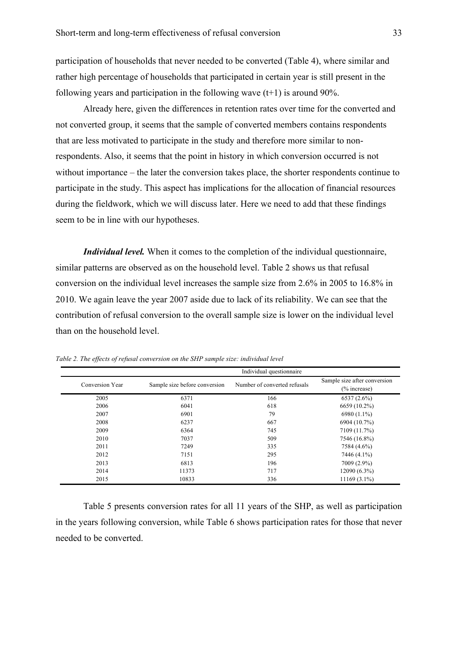participation of households that never needed to be converted (Table 4), where similar and rather high percentage of households that participated in certain year is still present in the following years and participation in the following wave  $(t+1)$  is around 90%.

Already here, given the differences in retention rates over time for the converted and not converted group, it seems that the sample of converted members contains respondents that are less motivated to participate in the study and therefore more similar to nonrespondents. Also, it seems that the point in history in which conversion occurred is not without importance – the later the conversion takes place, the shorter respondents continue to participate in the study. This aspect has implications for the allocation of financial resources during the fieldwork, which we will discuss later. Here we need to add that these findings seem to be in line with our hypotheses.

*Individual level.* When it comes to the completion of the individual questionnaire, similar patterns are observed as on the household level. Table 2 shows us that refusal conversion on the individual level increases the sample size from 2.6% in 2005 to 16.8% in 2010. We again leave the year 2007 aside due to lack of its reliability. We can see that the contribution of refusal conversion to the overall sample size is lower on the individual level than on the household level.

|                 | Individual questionnaire      |                              |                                                 |  |  |
|-----------------|-------------------------------|------------------------------|-------------------------------------------------|--|--|
| Conversion Year | Sample size before conversion | Number of converted refusals | Sample size after conversion<br>$(\%$ increase) |  |  |
| 2005            | 6371                          | 166                          | $6537(2.6\%)$                                   |  |  |
| 2006            | 6041                          | 618                          | 6659 (10.2%)                                    |  |  |
| 2007            | 6901                          | 79                           | 6980 (1.1%)                                     |  |  |
| 2008            | 6237                          | 667                          | 6904 (10.7%)                                    |  |  |
| 2009            | 6364                          | 745                          | 7109 (11.7%)                                    |  |  |
| 2010            | 7037                          | 509                          | 7546 (16.8%)                                    |  |  |
| 2011            | 7249                          | 335                          | 7584 (4.6%)                                     |  |  |
| 2012            | 7151                          | 295                          | 7446 (4.1%)                                     |  |  |
| 2013            | 6813                          | 196                          | 7009 (2.9%)                                     |  |  |
| 2014            | 11373                         | 717                          | 12090 (6.3%)                                    |  |  |
| 2015            | 10833                         | 336                          | $11169(3.1\%)$                                  |  |  |

*Table 2. The effects of refusal conversion on the SHP sample size: individual level* 

Table 5 presents conversion rates for all 11 years of the SHP, as well as participation in the years following conversion, while Table 6 shows participation rates for those that never needed to be converted.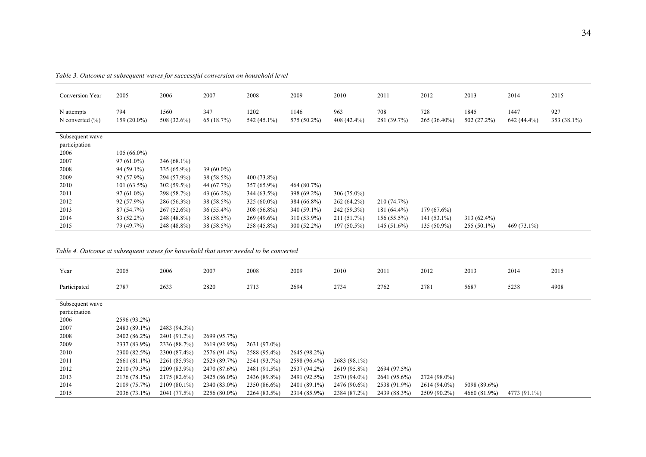| Conversion Year                   | 2005                 | 2006                | 2007             | 2008                | 2009                | 2010                 | 2011               | 2012                | 2013                | 2014                | 2015               |
|-----------------------------------|----------------------|---------------------|------------------|---------------------|---------------------|----------------------|--------------------|---------------------|---------------------|---------------------|--------------------|
| N attempts<br>N converted $(\% )$ | 794<br>$159(20.0\%)$ | 1560<br>508 (32.6%) | 347<br>65(18.7%) | 1202<br>542 (45.1%) | 1146<br>575 (50.2%) | 963<br>$408(42.4\%)$ | 708<br>281 (39.7%) | 728<br>265 (36.40%) | 1845<br>502 (27.2%) | 1447<br>642 (44.4%) | 927<br>353 (38.1%) |
| Subsequent wave<br>participation  |                      |                     |                  |                     |                     |                      |                    |                     |                     |                     |                    |
| 2006                              | $105(66.0\%)$        |                     |                  |                     |                     |                      |                    |                     |                     |                     |                    |
| 2007                              | $97(61.0\%)$         | $346(68.1\%)$       |                  |                     |                     |                      |                    |                     |                     |                     |                    |
| 2008                              | 94 (59.1%)           | 335 (65.9%)         | $39(60.0\%)$     |                     |                     |                      |                    |                     |                     |                     |                    |
| 2009                              | $92(57.9\%)$         | 294 (57.9%)         | 38 (58.5%)       | $400(73.8\%)$       |                     |                      |                    |                     |                     |                     |                    |
| 2010                              | $101(63.5\%)$        | 302 (59.5%)         | 44 (67.7%)       | $357(65.9\%)$       | 464 (80.7%)         |                      |                    |                     |                     |                     |                    |
| 2011                              | $97(61.0\%)$         | 298 (58.7%)         | 43 $(66.2\%)$    | $344(63.5\%)$       | 398 (69.2%)         | $306(75.0\%)$        |                    |                     |                     |                     |                    |
| 2012                              | 92 (57.9%)           | 286 (56.3%)         | 38 (58.5%)       | $325(60.0\%)$       | 384 (66.8%)         | $262(64.2\%)$        | 210(74.7%)         |                     |                     |                     |                    |
| 2013                              | 87(54.7%)            | $267(52.6\%)$       | $36(55.4\%)$     | $308(56.8\%)$       | 340 (59.1%)         | 242 (59.3%)          | $181(64.4\%)$      | 179 (67.6%)         |                     |                     |                    |
| 2014                              | 83 (52.2%)           | 248 (48.8%)         | 38 (58.5%)       | $269(49.6\%)$       | 310 (53.9%)         | 211(51.7%)           | $156(55.5\%)$      | $141(53.1\%)$       | 313 (62.4%)         |                     |                    |
| 2015                              | 79 (49.7%)           | 248 (48.8%)         | 38 (58.5%)       | 258 (45.8%)         | $300(52.2\%)$       | $197(50.5\%)$        | $145(51.6\%)$      | $135(50.9\%)$       | $255(50.1\%)$       | 469 (73.1%)         |                    |

*Table 3. Outcome at subsequent waves for successful conversion on household level*

#### *Table 4. Outcome at subsequent waves for household that never needed to be converted*

| Year            | 2005           | 2006         | 2007           | 2008         | 2009         | 2010         | 2011         | 2012         | 2013         | 2014         | 2015 |
|-----------------|----------------|--------------|----------------|--------------|--------------|--------------|--------------|--------------|--------------|--------------|------|
| Participated    | 2787           | 2633         | 2820           | 2713         | 2694         | 2734         | 2762         | 2781         | 5687         | 5238         | 4908 |
|                 |                |              |                |              |              |              |              |              |              |              |      |
| Subsequent wave |                |              |                |              |              |              |              |              |              |              |      |
| participation   |                |              |                |              |              |              |              |              |              |              |      |
| 2006            | 2596 (93.2%)   |              |                |              |              |              |              |              |              |              |      |
| 2007            | 2483 (89.1%)   | 2483 (94.3%) |                |              |              |              |              |              |              |              |      |
| 2008            | 2402 (86.2%)   | 2401 (91.2%) | 2699 (95.7%)   |              |              |              |              |              |              |              |      |
| 2009            | 2337 (83.9%)   | 2336 (88.7%) | 2619 (92.9%)   | 2631 (97.0%) |              |              |              |              |              |              |      |
| 2010            | 2300 (82.5%)   | 2300 (87.4%) | 2576 (91.4%)   | 2588 (95.4%) | 2645 (98.2%) |              |              |              |              |              |      |
| 2011            | 2661 (81.1%)   | 2261 (85.9%) | 2529 (89.7%)   | 2541 (93.7%) | 2598 (96.4%) | 2683 (98.1%) |              |              |              |              |      |
| 2012            | 2210 (79.3%)   | 2209 (83.9%) | 2470 (87.6%)   | 2481 (91.5%) | 2537 (94.2%) | 2619 (95.8%) | 2694 (97.5%) |              |              |              |      |
| 2013            | 2176 (78.1%)   | 2175 (82.6%) | 2425 (86.0%)   | 2436 (89.8%) | 2491 (92.5%) | 2570 (94.0%) | 2641 (95.6%) | 2724 (98.0%) |              |              |      |
| 2014            | 2109 (75.7%)   | 2109 (80.1%) | 2340 (83.0%)   | 2350 (86.6%) | 2401 (89.1%) | 2476 (90.6%) | 2538 (91.9%) | 2614 (94.0%) | 5098 (89.6%) |              |      |
| 2015            | $2036(73.1\%)$ | 2041 (77.5%) | $2256(80.0\%)$ | 2264 (83.5%) | 2314 (85.9%) | 2384 (87.2%) | 2439 (88.3%) | 2509 (90.2%) | 4660 (81.9%) | 4773 (91.1%) |      |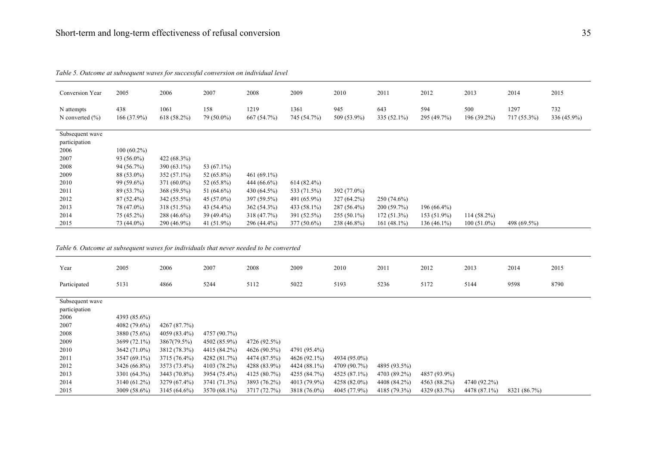| Conversion Year                                                                        | 2005          | 2006          | 2007          | 2008           | 2009          | 2010         | 2011           | 2012          | 2013          | 2014        | 2015        |
|----------------------------------------------------------------------------------------|---------------|---------------|---------------|----------------|---------------|--------------|----------------|---------------|---------------|-------------|-------------|
| N attempts                                                                             | 438           | 1061          | 158           | 1219           | 1361          | 945          | 643            | 594           | 500           | 1297        | 732         |
| N converted $(\% )$                                                                    | 166 (37.9%)   | $618(58.2\%)$ | 79 (50.0%)    | 667 (54.7%)    | 745 (54.7%)   | 509 (53.9%)  | 335 (52.1%)    | 295 (49.7%)   | 196 (39.2%)   | 717 (55.3%) | 336 (45.9%) |
| Subsequent wave                                                                        |               |               |               |                |               |              |                |               |               |             |             |
| participation                                                                          |               |               |               |                |               |              |                |               |               |             |             |
| 2006                                                                                   | $100(60.2\%)$ |               |               |                |               |              |                |               |               |             |             |
| 2007                                                                                   | 93 (56.0%)    | 422 (68.3%)   |               |                |               |              |                |               |               |             |             |
| 2008                                                                                   | 94 (56.7%)    | 390 (63.1%)   | 53 (67.1%)    |                |               |              |                |               |               |             |             |
| 2009                                                                                   | 88 (53.0%)    | 352 (57.1%)   | 52 (65.8%)    | 461 $(69.1\%)$ |               |              |                |               |               |             |             |
| 2010                                                                                   | 99 (59.6%)    | 371 (60.0%)   | 52 (65.8%)    | 444 (66.6%)    | $614(82.4\%)$ |              |                |               |               |             |             |
| 2011                                                                                   | 89 (53.7%)    | 368 (59.5%)   | 51 $(64.6\%)$ | 430 (64.5%)    | 533 (71.5%)   | 392 (77.0%)  |                |               |               |             |             |
| 2012                                                                                   | $87(52.4\%)$  | 342 (55.5%)   | 45 $(57.0\%)$ | 397 (59.5%)    | 491 (65.9%)   | 327 (64.2%)  | 250 (74.6%)    |               |               |             |             |
| 2013                                                                                   | 78 (47.0%)    | 318 (51.5%)   | 43 (54.4%)    | 362 (54.3%)    | 433 (58.1%)   | 287 (56.4%)  | 200 (59.7%)    | $196(66.4\%)$ |               |             |             |
| 2014                                                                                   | 75 (45.2%)    | 288 (46.6%)   | 39 (49.4%)    | 318 (47.7%)    | 391 (52.5%)   | 255 (50.1%)  | 172 (51.3%)    | 153 (51.9%)   | $114(58.2\%)$ |             |             |
| 2015                                                                                   | 73 (44.0%)    | 290 (46.9%)   | 41 (51.9%)    | 296 (44.4%)    | 377 (50.6%)   | 238 (46.8%)  | 161 $(48.1\%)$ | $136(46.1\%)$ | $100(51.0\%)$ | 498 (69.5%) |             |
| Table 6. Outcome at subsequent waves for individuals that never needed to be converted |               |               |               |                |               |              |                |               |               |             |             |
| Year                                                                                   | 2005          | 2006          | 2007          | 2008           | 2009          | 2010         | 2011           | 2012          | 2013          | 2014        | 2015        |
| Participated                                                                           | 5131          | 4866          | 5244          | 5112           | 5022          | 5193         | 5236           | 5172          | 5144          | 9598        | 8790        |
| Subsequent wave                                                                        |               |               |               |                |               |              |                |               |               |             |             |
| participation                                                                          |               |               |               |                |               |              |                |               |               |             |             |
| 2006                                                                                   | 4393 (85.6%)  |               |               |                |               |              |                |               |               |             |             |
| 2007                                                                                   | 4082 (79.6%)  | 4267 (87.7%)  |               |                |               |              |                |               |               |             |             |
| 2008                                                                                   | 3880 (75.6%)  | 4059 (83.4%)  | 4757 (90.7%)  |                |               |              |                |               |               |             |             |
| 2009                                                                                   | 3699 (72.1%)  | 3867(79.5%)   | 4502 (85.9%)  | 4726 (92.5%)   |               |              |                |               |               |             |             |
| 2010                                                                                   | 3642 (71.0%)  | 3812 (78.3%)  | 4415 (84.2%)  | 4626 (90.5%)   | 4791 (95.4%)  |              |                |               |               |             |             |
| 2011                                                                                   | 3547 (69.1%)  | 3715 (76.4%)  | 4282 (81.7%)  | 4474 (87.5%)   | 4626 (92.1%)  | 4934 (95.0%) |                |               |               |             |             |

*Table 5. Outcome at subsequent waves for successful conversion on individual level*

 3426 (66.8%) 3573 (73.4%) 4103 (78.2%) 4288 (83.9%) 4424 (88.1%) 4709 (90.7%) 4895 (93.5%) 3301 (64.3%) 3443 (70.8%) 3954 (75.4%) 4125 (80.7%) 4255 (84.7%) 4525 (87.1%) 4703 (89.2%) 4857 (93.9%) 3140 (61.2%) 3279 (67.4%) 3741 (71.3%) 3893 (76.2%) 4013 (79.9%) 4258 (82.0%) 4408 (84.2%) 4563 (88.2%) 4740 (92.2%) 3009 (58.6%) 3145 (64.6%) 3570 (68.1%) 3717 (72.7%) 3818 (76.0%) 4045 (77.9%) 4185 (79.3%) 4329 (83.7%) 4478 (87.1%) 8321 (86.7%)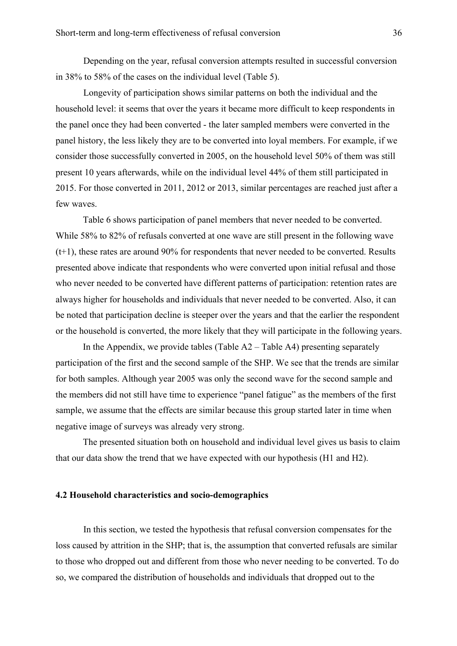Depending on the year, refusal conversion attempts resulted in successful conversion in 38% to 58% of the cases on the individual level (Table 5).

Longevity of participation shows similar patterns on both the individual and the household level: it seems that over the years it became more difficult to keep respondents in the panel once they had been converted - the later sampled members were converted in the panel history, the less likely they are to be converted into loyal members. For example, if we consider those successfully converted in 2005, on the household level 50% of them was still present 10 years afterwards, while on the individual level 44% of them still participated in 2015. For those converted in 2011, 2012 or 2013, similar percentages are reached just after a few waves.

Table 6 shows participation of panel members that never needed to be converted. While 58% to 82% of refusals converted at one wave are still present in the following wave (t+1), these rates are around 90% for respondents that never needed to be converted. Results presented above indicate that respondents who were converted upon initial refusal and those who never needed to be converted have different patterns of participation: retention rates are always higher for households and individuals that never needed to be converted. Also, it can be noted that participation decline is steeper over the years and that the earlier the respondent or the household is converted, the more likely that they will participate in the following years.

In the Appendix, we provide tables (Table  $A2 - Table A4$ ) presenting separately participation of the first and the second sample of the SHP. We see that the trends are similar for both samples. Although year 2005 was only the second wave for the second sample and the members did not still have time to experience "panel fatigue" as the members of the first sample, we assume that the effects are similar because this group started later in time when negative image of surveys was already very strong.

The presented situation both on household and individual level gives us basis to claim that our data show the trend that we have expected with our hypothesis (H1 and H2).

## **4.2 Household characteristics and socio-demographics**

In this section, we tested the hypothesis that refusal conversion compensates for the loss caused by attrition in the SHP; that is, the assumption that converted refusals are similar to those who dropped out and different from those who never needing to be converted. To do so, we compared the distribution of households and individuals that dropped out to the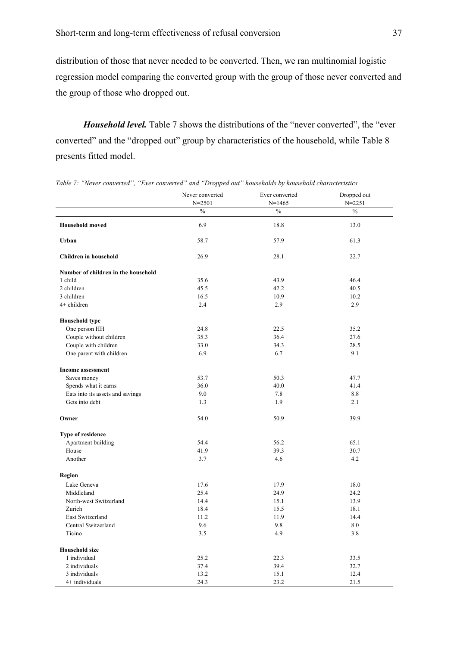distribution of those that never needed to be converted. Then, we ran multinomial logistic regression model comparing the converted group with the group of those never converted and the group of those who dropped out.

*Household level.* Table 7 shows the distributions of the "never converted", the "ever converted" and the "dropped out" group by characteristics of the household, while Table 8 presents fitted model.

|                                     | Never converted | Ever converted | Dropped out |
|-------------------------------------|-----------------|----------------|-------------|
|                                     | $N = 2501$      | $N = 1465$     | $N = 2251$  |
|                                     | $\%$            | $\%$           | $\%$        |
| <b>Household moved</b>              | 6.9             | 18.8           | 13.0        |
| Urban                               | 58.7            | 57.9           | 61.3        |
| <b>Children in household</b>        | 26.9            | 28.1           | 22.7        |
| Number of children in the household |                 |                |             |
| 1 child                             | 35.6            | 43.9           | 46.4        |
| 2 children                          | 45.5            | 42.2           | 40.5        |
| 3 children                          | 16.5            | 10.9           | 10.2        |
| 4+ children                         | 2.4             | 2.9            | 2.9         |
| <b>Household type</b>               |                 |                |             |
| One person HH                       | 24.8            | 22.5           | 35.2        |
| Couple without children             | 35.3            | 36.4           | 27.6        |
| Couple with children                | 33.0            | 34.3           | 28.5        |
| One parent with children            | 6.9             | 6.7            | 9.1         |
| <b>Income assessment</b>            |                 |                |             |
| Saves money                         | 53.7            | 50.3           | 47.7        |
| Spends what it earns                | 36.0            | 40.0           | 41.4        |
| Eats into its assets and savings    | 9.0             | 7.8            | 8.8         |
| Gets into debt                      | 1.3             | 1.9            | 2.1         |
| Owner                               | 54.0            | 50.9           | 39.9        |
| Type of residence                   |                 |                |             |
| Apartment building                  | 54.4            | 56.2           | 65.1        |
| House                               | 41.9            | 39.3           | 30.7        |
| Another                             | 3.7             | 4.6            | 4.2         |
| Region                              |                 |                |             |
| Lake Geneva                         | 17.6            | 17.9           | 18.0        |
| Middleland                          | 25.4            | 24.9           | 24.2        |
| North-west Switzerland              | 14.4            | 15.1           | 13.9        |
| Zurich                              | 18.4            | 15.5           | 18.1        |
| East Switzerland                    | 11.2            | 11.9           | 14.4        |
| Central Switzerland                 | 9.6             | 9.8            | 8.0         |
| Ticino                              | 3.5             | 4.9            | 3.8         |
| <b>Household size</b>               |                 |                |             |
| 1 individual                        | 25.2            | 22.3           | 33.5        |
| 2 individuals                       | 37.4            | 39.4           | 32.7        |
| 3 individuals                       | 13.2            | 15.1           | 12.4        |
| 4+ individuals                      | 24.3            | 23.2           | 21.5        |

*Table 7: "Never converted", "Ever converted" and "Dropped out" households by household characteristics*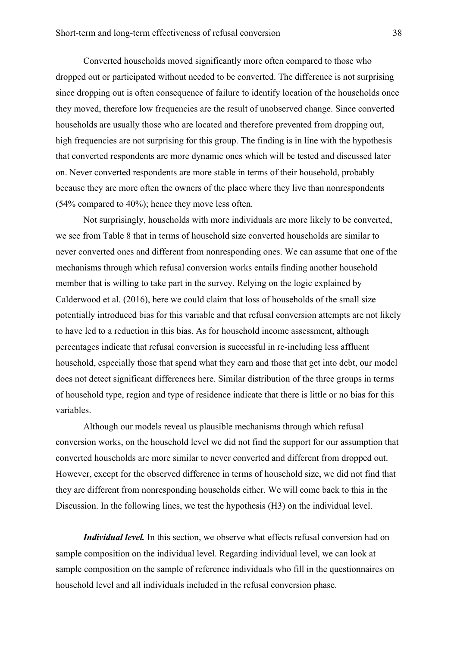Converted households moved significantly more often compared to those who dropped out or participated without needed to be converted. The difference is not surprising since dropping out is often consequence of failure to identify location of the households once they moved, therefore low frequencies are the result of unobserved change. Since converted households are usually those who are located and therefore prevented from dropping out. high frequencies are not surprising for this group. The finding is in line with the hypothesis that converted respondents are more dynamic ones which will be tested and discussed later on. Never converted respondents are more stable in terms of their household, probably because they are more often the owners of the place where they live than nonrespondents (54% compared to 40%); hence they move less often.

Not surprisingly, households with more individuals are more likely to be converted, we see from Table 8 that in terms of household size converted households are similar to never converted ones and different from nonresponding ones. We can assume that one of the mechanisms through which refusal conversion works entails finding another household member that is willing to take part in the survey. Relying on the logic explained by Calderwood et al. (2016), here we could claim that loss of households of the small size potentially introduced bias for this variable and that refusal conversion attempts are not likely to have led to a reduction in this bias. As for household income assessment, although percentages indicate that refusal conversion is successful in re-including less affluent household, especially those that spend what they earn and those that get into debt, our model does not detect significant differences here. Similar distribution of the three groups in terms of household type, region and type of residence indicate that there is little or no bias for this variables.

Although our models reveal us plausible mechanisms through which refusal conversion works, on the household level we did not find the support for our assumption that converted households are more similar to never converted and different from dropped out. However, except for the observed difference in terms of household size, we did not find that they are different from nonresponding households either. We will come back to this in the Discussion. In the following lines, we test the hypothesis (H3) on the individual level.

*Individual level.* In this section, we observe what effects refusal conversion had on sample composition on the individual level. Regarding individual level, we can look at sample composition on the sample of reference individuals who fill in the questionnaires on household level and all individuals included in the refusal conversion phase.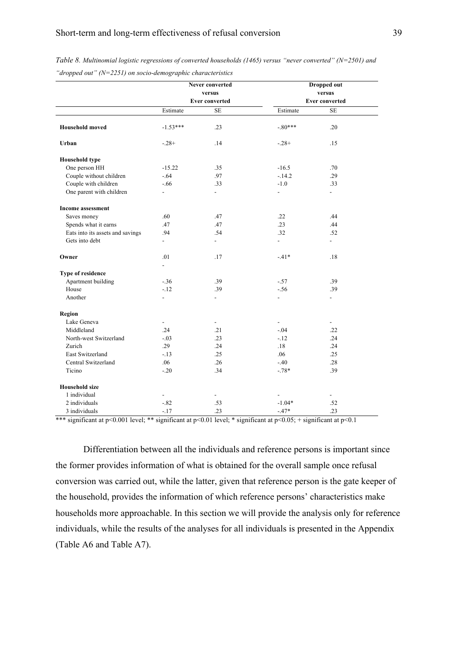|                                  |                          | Never converted          |                | <b>Dropped out</b>       |  |
|----------------------------------|--------------------------|--------------------------|----------------|--------------------------|--|
|                                  |                          | versus                   |                | versus                   |  |
|                                  |                          | <b>Ever converted</b>    |                | <b>Ever converted</b>    |  |
|                                  | Estimate                 | SE                       | Estimate       | SE                       |  |
| <b>Household moved</b>           | $-1.53***$               | .23                      | $-.80***$      | .20                      |  |
| Urban                            | $-.28+$                  | .14                      | $-.28+$        | .15                      |  |
| <b>Household type</b>            |                          |                          |                |                          |  |
| One person HH                    | $-15.22$                 | .35                      | $-16.5$        | .70                      |  |
| Couple without children          | $-.64$                   | .97                      | $-.14.2$       | .29                      |  |
| Couple with children             | $-.66$                   | .33                      | $-1.0$         | .33                      |  |
| One parent with children         | $\overline{a}$           | ÷.                       | $\overline{a}$ | $\overline{a}$           |  |
| <b>Income assessment</b>         |                          |                          |                |                          |  |
| Saves money                      | .60                      | .47                      | .22            | .44                      |  |
| Spends what it earns             | .47                      | .47                      | .23            | .44                      |  |
| Eats into its assets and savings | .94                      | .54                      | .32            | .52                      |  |
| Gets into debt                   | $\overline{\phantom{a}}$ | ÷.                       | $\overline{a}$ | $\overline{a}$           |  |
| Owner                            | .01                      | .17                      | $-41*$         | .18                      |  |
|                                  | $\overline{\phantom{a}}$ |                          |                |                          |  |
| Type of residence                |                          |                          |                |                          |  |
| Apartment building               | $-.36$                   | .39                      | $-.57$         | .39                      |  |
| House                            | $-.12$                   | .39                      | $-.56$         | .39                      |  |
| Another                          | $\frac{1}{2}$            | L.                       | $\overline{a}$ | $\overline{\phantom{a}}$ |  |
| Region                           |                          |                          |                |                          |  |
| Lake Geneva                      |                          |                          |                |                          |  |
| Middleland                       | .24                      | .21                      | $-.04$         | .22                      |  |
| North-west Switzerland           | $-.03$                   | .23                      | $-.12$         | .24                      |  |
| Zurich                           | .29                      | .24                      | .18            | .24                      |  |
| East Switzerland                 | $-.13$                   | .25                      | .06            | .25                      |  |
| Central Switzerland              | .06                      | .26                      | $-.40$         | .28                      |  |
| Ticino                           | $-.20$                   | .34                      | $-.78*$        | .39                      |  |
| <b>Household size</b>            |                          |                          |                |                          |  |
| 1 individual                     |                          | $\overline{\phantom{0}}$ |                |                          |  |
| 2 individuals                    | $-.82$                   | .53                      | $-1.04*$       | .52                      |  |
| 3 individuals                    | $-.17$                   | .23                      | $-.47*$        | .23                      |  |

*Table 8. Multinomial logistic regressions of converted households (1465) versus "never converted" (N=2501) and "dropped out" (N=2251) on socio-demographic characteristics*

\*\*\* significant at p<0.001 level; \*\* significant at p<0.01 level; \* significant at p<0.05; + significant at p<0.1

Differentiation between all the individuals and reference persons is important since the former provides information of what is obtained for the overall sample once refusal conversion was carried out, while the latter, given that reference person is the gate keeper of the household, provides the information of which reference persons' characteristics make households more approachable. In this section we will provide the analysis only for reference individuals, while the results of the analyses for all individuals is presented in the Appendix (Table A6 and Table A7).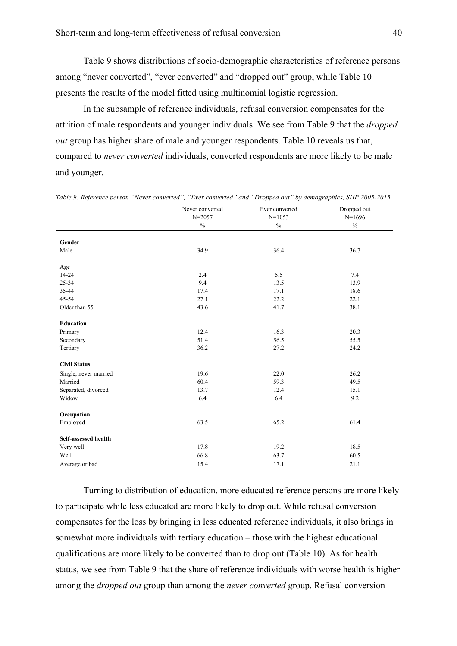Table 9 shows distributions of socio-demographic characteristics of reference persons among "never converted", "ever converted" and "dropped out" group, while Table 10 presents the results of the model fitted using multinomial logistic regression.

In the subsample of reference individuals, refusal conversion compensates for the attrition of male respondents and younger individuals. We see from Table 9 that the *dropped out* group has higher share of male and younger respondents. Table 10 reveals us that, compared to *never converted* individuals, converted respondents are more likely to be male and younger.

|                       | Never converted | Ever converted | Dropped out   |
|-----------------------|-----------------|----------------|---------------|
|                       | $N = 2057$      | $N=1053$       | $N=1696$      |
|                       | $\%$            | $\%$           | $\frac{0}{0}$ |
|                       |                 |                |               |
| Gender                |                 |                |               |
| Male                  | 34.9            | 36.4           | 36.7          |
|                       |                 |                |               |
| Age                   |                 |                |               |
| $14 - 24$             | 2.4             | 5.5            | 7.4           |
| 25-34                 | 9.4             | 13.5           | 13.9          |
| 35-44                 | 17.4            | 17.1           | 18.6          |
| 45-54                 | 27.1            | 22.2           | 22.1          |
| Older than 55         | 43.6            | 41.7           | 38.1          |
|                       |                 |                |               |
| <b>Education</b>      |                 |                |               |
| Primary               | 12.4            | 16.3           | 20.3          |
| Secondary             | 51.4            | 56.5           | 55.5          |
| Tertiary              | 36.2            | 27.2           | 24.2          |
|                       |                 |                |               |
| <b>Civil Status</b>   |                 |                |               |
| Single, never married | 19.6            | 22.0           | 26.2          |
| Married               | 60.4            | 59.3           | 49.5          |
| Separated, divorced   | 13.7            | 12.4           | 15.1          |
| Widow                 | 6.4             | 6.4            | 9.2           |
|                       |                 |                |               |
| Occupation            |                 |                |               |
| Employed              | 63.5            | 65.2           | 61.4          |
|                       |                 |                |               |
| Self-assessed health  |                 |                |               |
| Very well             | 17.8            | 19.2           | 18.5          |
| Well                  | 66.8            | 63.7           | 60.5          |
| Average or bad        | 15.4            | 17.1           | 21.1          |

*Table 9: Reference person "Never converted", "Ever converted" and "Dropped out" by demographics, SHP 2005-2015*

Turning to distribution of education, more educated reference persons are more likely to participate while less educated are more likely to drop out. While refusal conversion compensates for the loss by bringing in less educated reference individuals, it also brings in somewhat more individuals with tertiary education – those with the highest educational qualifications are more likely to be converted than to drop out (Table 10). As for health status, we see from Table 9 that the share of reference individuals with worse health is higher among the *dropped out* group than among the *never converted* group. Refusal conversion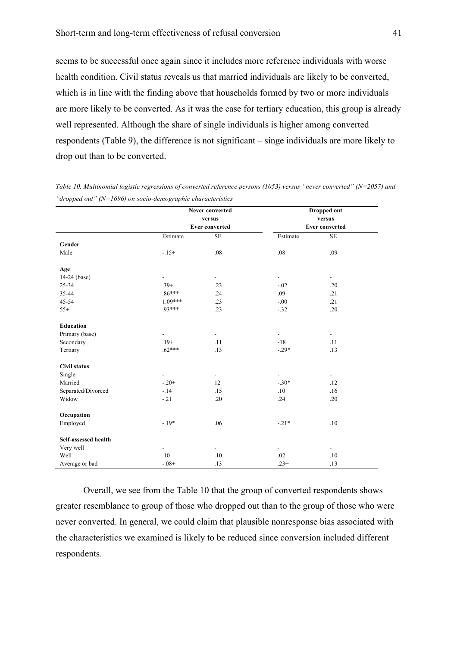seems to be successful once again since it includes more reference individuals with worse health condition. Civil status reveals us that married individuals are likely to be converted, which is in line with the finding above that households formed by two or more individuals are more likely to be converted. As it was the case for tertiary education, this group is already well represented. Although the share of single individuals is higher among converted respondents (Table 9), the difference is not significant – singe individuals are more likely to drop out than to be converted.

|                      |                          | Never converted          |                          | Dropped out              |  |
|----------------------|--------------------------|--------------------------|--------------------------|--------------------------|--|
|                      |                          | versus                   |                          | versus                   |  |
|                      |                          | <b>Ever converted</b>    |                          | <b>Ever converted</b>    |  |
|                      | Estimate                 | <b>SE</b>                | Estimate                 | $\rm SE$                 |  |
| Gender               |                          |                          |                          |                          |  |
| Male                 | $-15+$                   | .08                      | .08                      | .09                      |  |
| Age                  |                          |                          |                          |                          |  |
| $14-24$ (base)       | $\blacksquare$           | $\overline{\phantom{a}}$ | $\overline{\phantom{a}}$ | $\overline{\phantom{a}}$ |  |
| $25 - 34$            | $.39+$                   | .23                      | $-.02$                   | .20                      |  |
| 35-44                | $.86***$                 | .24                      | .09                      | .21                      |  |
| $45 - 54$            | $1.09***$                | .23                      | $-0.00$                  | .21                      |  |
| $55+$                | 93***                    | .23                      | $-.32$                   | .20                      |  |
| <b>Education</b>     |                          |                          |                          |                          |  |
| Primary (base)       | $\blacksquare$           | $\overline{\phantom{a}}$ | $\blacksquare$           | $\blacksquare$           |  |
| Secondary            | $.19+$                   | .11                      | $-18$                    | .11                      |  |
| Tertiary             | $.62***$                 | .13                      | $-.29*$                  | .13                      |  |
| <b>Civil status</b>  |                          |                          |                          |                          |  |
| Single               | $\overline{\phantom{a}}$ | $\blacksquare$           | $\overline{\phantom{a}}$ | $\blacksquare$           |  |
| Married              | $-.20+$                  | 12                       | $-.30*$                  | .12                      |  |
| Separated/Divorced   | $-14$                    | .15                      | .10                      | .16                      |  |
| Widow                | $-.21$                   | .20                      | .24                      | .20                      |  |
| Occupation           |                          |                          |                          |                          |  |
| Employed             | $-19*$                   | .06                      | $-.21*$                  | .10                      |  |
| Self-assessed health |                          |                          |                          |                          |  |
| Very well            | $\blacksquare$           | $\blacksquare$           | $\blacksquare$           | $\blacksquare$           |  |
| Well                 | .10                      | .10                      | .02                      | $.10\,$                  |  |
| Average or bad       | $-0.08 +$                | .13                      | $.23+$                   | .13                      |  |

*Table 10. Multinomial logistic regressions of converted reference persons (1053) versus "never converted" (N=2057) and "dropped out" (N=1696) on socio-demographic characteristics* 

Overall, we see from the Table 10 that the group of converted respondents shows greater resemblance to group of those who dropped out than to the group of those who were never converted. In general, we could claim that plausible nonresponse bias associated with the characteristics we examined is likely to be reduced since conversion included different respondents.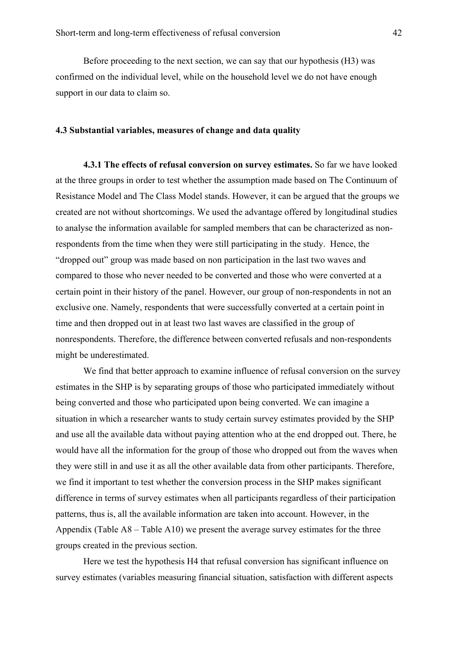Before proceeding to the next section, we can say that our hypothesis (H3) was confirmed on the individual level, while on the household level we do not have enough support in our data to claim so.

# **4.3 Substantial variables, measures of change and data quality**

**4.3.1 The effects of refusal conversion on survey estimates.** So far we have looked at the three groups in order to test whether the assumption made based on The Continuum of Resistance Model and The Class Model stands. However, it can be argued that the groups we created are not without shortcomings. We used the advantage offered by longitudinal studies to analyse the information available for sampled members that can be characterized as nonrespondents from the time when they were still participating in the study. Hence, the "dropped out" group was made based on non participation in the last two waves and compared to those who never needed to be converted and those who were converted at a certain point in their history of the panel. However, our group of non-respondents in not an exclusive one. Namely, respondents that were successfully converted at a certain point in time and then dropped out in at least two last waves are classified in the group of nonrespondents. Therefore, the difference between converted refusals and non-respondents might be underestimated.

We find that better approach to examine influence of refusal conversion on the survey estimates in the SHP is by separating groups of those who participated immediately without being converted and those who participated upon being converted. We can imagine a situation in which a researcher wants to study certain survey estimates provided by the SHP and use all the available data without paying attention who at the end dropped out. There, he would have all the information for the group of those who dropped out from the waves when they were still in and use it as all the other available data from other participants. Therefore, we find it important to test whether the conversion process in the SHP makes significant difference in terms of survey estimates when all participants regardless of their participation patterns, thus is, all the available information are taken into account. However, in the Appendix (Table A8 – Table A10) we present the average survey estimates for the three groups created in the previous section.

Here we test the hypothesis H4 that refusal conversion has significant influence on survey estimates (variables measuring financial situation, satisfaction with different aspects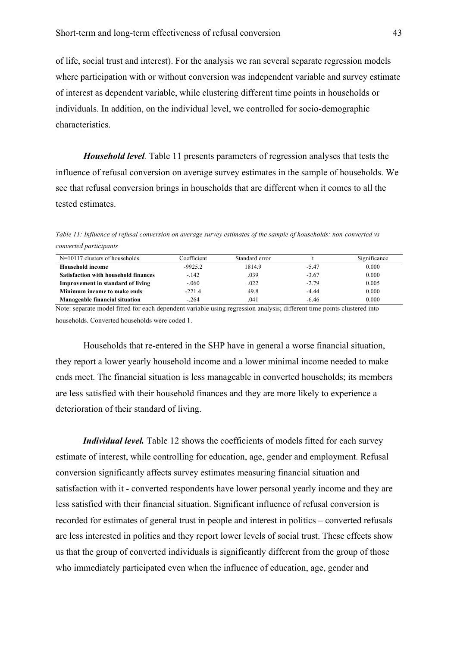of life, social trust and interest). For the analysis we ran several separate regression models where participation with or without conversion was independent variable and survey estimate of interest as dependent variable, while clustering different time points in households or individuals. In addition, on the individual level, we controlled for socio-demographic characteristics.

*Household level.* Table 11 presents parameters of regression analyses that tests the influence of refusal conversion on average survey estimates in the sample of households. We see that refusal conversion brings in households that are different when it comes to all the tested estimates.

*Table 11: Influence of refusal conversion on average survey estimates of the sample of households: non-converted vs converted participants*

| $N=10117$ clusters of households            | Coefficient | Standard error |         | Significance |
|---------------------------------------------|-------------|----------------|---------|--------------|
| Household income                            | $-9925.2$   | 1814.9         | $-5.47$ | 0.000        |
| <b>Satisfaction with household finances</b> | $-.142$     | .039           | $-3.67$ | 0.000        |
| <b>Improvement in standard of living</b>    | $-.060$     | .022           | $-2.79$ | 0.005        |
| Minimum income to make ends                 | $-221.4$    | 49.8           | $-4.44$ | 0.000        |
| Manageable financial situation              | $-264$      | .041           | $-6.46$ | 0.000        |

Note: separate model fitted for each dependent variable using regression analysis; different time points clustered into households. Converted households were coded 1.

Households that re-entered in the SHP have in general a worse financial situation, they report a lower yearly household income and a lower minimal income needed to make ends meet. The financial situation is less manageable in converted households; its members are less satisfied with their household finances and they are more likely to experience a deterioration of their standard of living.

*Individual level.* Table 12 shows the coefficients of models fitted for each survey estimate of interest, while controlling for education, age, gender and employment. Refusal conversion significantly affects survey estimates measuring financial situation and satisfaction with it - converted respondents have lower personal yearly income and they are less satisfied with their financial situation. Significant influence of refusal conversion is recorded for estimates of general trust in people and interest in politics – converted refusals are less interested in politics and they report lower levels of social trust. These effects show us that the group of converted individuals is significantly different from the group of those who immediately participated even when the influence of education, age, gender and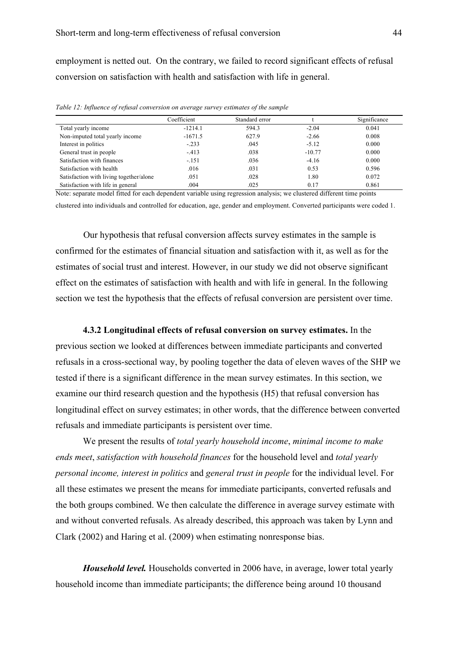employment is netted out. On the contrary, we failed to record significant effects of refusal conversion on satisfaction with health and satisfaction with life in general.

|                                         | Coefficient | Standard error |          | Significance |
|-----------------------------------------|-------------|----------------|----------|--------------|
| Total yearly income                     | $-1214.1$   | 594.3          | $-2.04$  | 0.041        |
| Non-imputed total yearly income         | $-1671.5$   | 627.9          | $-2.66$  | 0.008        |
| Interest in politics                    | $-.233$     | .045           | $-5.12$  | 0.000        |
| General trust in people                 | $-413$      | .038           | $-10.77$ | 0.000        |
| Satisfaction with finances              | $-.151$     | .036           | $-4.16$  | 0.000        |
| Satisfaction with health                | .016        | .031           | 0.53     | 0.596        |
| Satisfaction with living together/alone | .051        | .028           | 1.80     | 0.072        |
| Satisfaction with life in general       | .004        | .025           | 0.17     | 0.861        |

*Table 12: Influence of refusal conversion on average survey estimates of the sample*

Note: separate model fitted for each dependent variable using regression analysis; we clustered different time points clustered into individuals and controlled for education, age, gender and employment. Converted participants were coded 1.

Our hypothesis that refusal conversion affects survey estimates in the sample is confirmed for the estimates of financial situation and satisfaction with it, as well as for the estimates of social trust and interest. However, in our study we did not observe significant effect on the estimates of satisfaction with health and with life in general. In the following section we test the hypothesis that the effects of refusal conversion are persistent over time.

**4.3.2 Longitudinal effects of refusal conversion on survey estimates.** In the previous section we looked at differences between immediate participants and converted refusals in a cross-sectional way, by pooling together the data of eleven waves of the SHP we tested if there is a significant difference in the mean survey estimates. In this section, we examine our third research question and the hypothesis (H5) that refusal conversion has longitudinal effect on survey estimates; in other words, that the difference between converted refusals and immediate participants is persistent over time.

We present the results of *total yearly household income*, *minimal income to make ends meet*, *satisfaction with household finances* for the household level and *total yearly personal income, interest in politics* and *general trust in people* for the individual level. For all these estimates we present the means for immediate participants, converted refusals and the both groups combined. We then calculate the difference in average survey estimate with and without converted refusals. As already described, this approach was taken by Lynn and Clark (2002) and Haring et al. (2009) when estimating nonresponse bias.

*Household level.* Households converted in 2006 have, in average, lower total yearly household income than immediate participants; the difference being around 10 thousand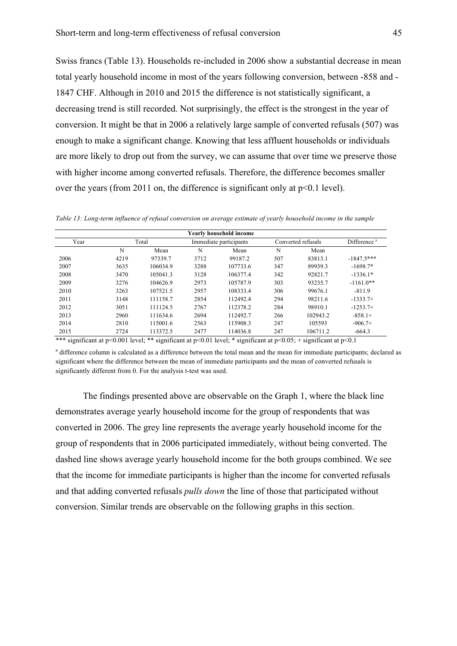Swiss francs (Table 13). Households re-included in 2006 show a substantial decrease in mean total yearly household income in most of the years following conversion, between -858 and - 1847 CHF. Although in 2010 and 2015 the difference is not statistically significant, a decreasing trend is still recorded. Not surprisingly, the effect is the strongest in the year of conversion. It might be that in 2006 a relatively large sample of converted refusals (507) was enough to make a significant change. Knowing that less affluent households or individuals are more likely to drop out from the survey, we can assume that over time we preserve those with higher income among converted refusals. Therefore, the difference becomes smaller over the years (from 2011 on, the difference is significant only at p<0.1 level).

*Table 13: Long-term influence of refusal conversion on average estimate of yearly household income in the sample*

| <b>Yearly household income</b> |       |          |      |                        |     |                    |                         |  |  |  |  |
|--------------------------------|-------|----------|------|------------------------|-----|--------------------|-------------------------|--|--|--|--|
| Year                           | Total |          |      | Immediate participants |     | Converted refusals | Difference <sup>a</sup> |  |  |  |  |
|                                | N     | Mean     | N    | Mean                   | N   | Mean               |                         |  |  |  |  |
| 2006                           | 4219  | 97339.7  | 3712 | 99187.2                | 507 | 83813.1            | $-1847.5***$            |  |  |  |  |
| 2007                           | 3635  | 106034.9 | 3288 | 107733.6               | 347 | 89939.3            | $-1698.7*$              |  |  |  |  |
| 2008                           | 3470  | 105041.3 | 3128 | 106377.4               | 342 | 92821.7            | $-1336.1*$              |  |  |  |  |
| 2009                           | 3276  | 104626.9 | 2973 | 105787.9               | 303 | 93235.7            | $-1161.0**$             |  |  |  |  |
| 2010                           | 3263  | 107521.5 | 2957 | 108333.4               | 306 | 99676.1            | $-811.9$                |  |  |  |  |
| 2011                           | 3148  | 111158.7 | 2854 | 112492.4               | 294 | 98211.6            | $-1333.7+$              |  |  |  |  |
| 2012                           | 3051  | 111124.5 | 2767 | 112378.2               | 284 | 98910.1            | $-1253.7+$              |  |  |  |  |
| 2013                           | 2960  | 111634.6 | 2694 | 112492.7               | 266 | 102943.2           | $-858.1+$               |  |  |  |  |
| 2014                           | 2810  | 115001.6 | 2563 | 115908.3               | 247 | 105593             | $-906.7+$               |  |  |  |  |
| 2015                           | 2724  | 113372.5 | 2477 | 114036.8               | 247 | 106711.2           | $-664.3$                |  |  |  |  |

\*\*\* significant at p<0.001 level; \*\* significant at p<0.01 level; \* significant at p<0.05; + significant at p<0.1

<sup>a</sup> difference column is calculated as a difference between the total mean and the mean for immediate participants; declared as significant where the difference between the mean of immediate participants and the mean of converted refusals is significantly different from 0. For the analysis t-test was used.

The findings presented above are observable on the Graph 1, where the black line demonstrates average yearly household income for the group of respondents that was converted in 2006. The grey line represents the average yearly household income for the group of respondents that in 2006 participated immediately, without being converted. The dashed line shows average yearly household income for the both groups combined. We see that the income for immediate participants is higher than the income for converted refusals and that adding converted refusals *pulls down* the line of those that participated without conversion. Similar trends are observable on the following graphs in this section.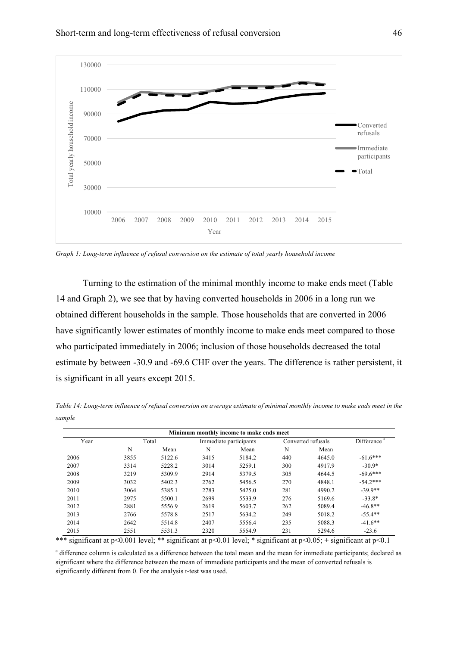



*Graph 1: Long-term influence of refusal conversion on the estimate of total yearly household income*

Turning to the estimation of the minimal monthly income to make ends meet (Table 14 and Graph 2), we see that by having converted households in 2006 in a long run we obtained different households in the sample. Those households that are converted in 2006 have significantly lower estimates of monthly income to make ends meet compared to those who participated immediately in 2006; inclusion of those households decreased the total estimate by between -30.9 and -69.6 CHF over the years. The difference is rather persistent, it is significant in all years except 2015.

*Table 14: Long-term influence of refusal conversion on average estimate of minimal monthly income to make ends meet in the sample*

|      |      |        |      | Minimum monthly income to make ends meet |     |                    |                         |  |
|------|------|--------|------|------------------------------------------|-----|--------------------|-------------------------|--|
| Year |      | Total  |      | Immediate participants                   |     | Converted refusals | Difference <sup>a</sup> |  |
|      | N    | Mean   | N    | Mean                                     | N   | Mean               |                         |  |
| 2006 | 3855 | 5122.6 | 3415 | 5184.2                                   | 440 | 4645.0             | $-61.6***$              |  |
| 2007 | 3314 | 5228.2 | 3014 | 5259.1                                   | 300 | 4917.9             | $-30.9*$                |  |
| 2008 | 3219 | 5309.9 | 2914 | 5379.5                                   | 305 | 4644.5             | $-69.6***$              |  |
| 2009 | 3032 | 5402.3 | 2762 | 5456.5                                   | 270 | 4848.1             | $-54.2***$              |  |
| 2010 | 3064 | 5385.1 | 2783 | 5425.0                                   | 281 | 4990.2             | $-39.9**$               |  |
| 2011 | 2975 | 5500.1 | 2699 | 5533.9                                   | 276 | 5169.6             | $-33.8*$                |  |
| 2012 | 2881 | 5556.9 | 2619 | 5603.7                                   | 262 | 5089.4             | $-46.8**$               |  |
| 2013 | 2766 | 5578.8 | 2517 | 5634.2                                   | 249 | 5018.2             | $-55.4**$               |  |
| 2014 | 2642 | 5514.8 | 2407 | 5556.4                                   | 235 | 5088.3             | $-41.6**$               |  |
| 2015 | 2551 | 5531.3 | 2320 | 5554.9                                   | 231 | 5294.6             | $-23.6$                 |  |

\*\*\* significant at p<0.001 level; \*\* significant at p<0.01 level; \* significant at p<0.05; + significant at p<0.1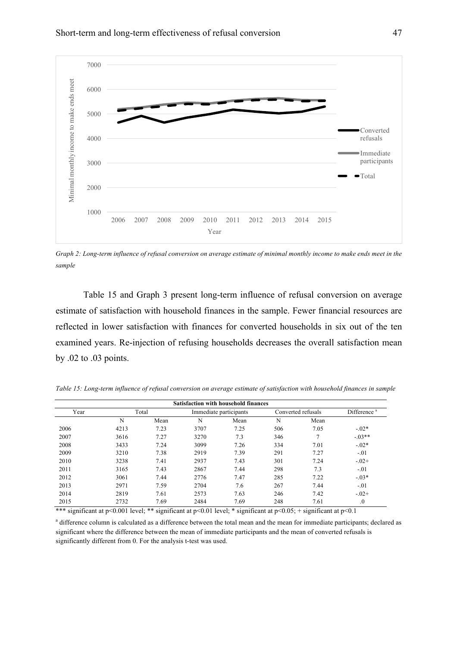

*Graph 2: Long-term influence of refusal conversion on average estimate of minimal monthly income to make ends meet in the sample*

Table 15 and Graph 3 present long-term influence of refusal conversion on average estimate of satisfaction with household finances in the sample. Fewer financial resources are reflected in lower satisfaction with finances for converted households in six out of the ten examined years. Re-injection of refusing households decreases the overall satisfaction mean by .02 to .03 points.

*Table 15: Long-term influence of refusal conversion on average estimate of satisfaction with household finances in sample*

|      | <b>Satisfaction with household finances</b> |      |      |                        |     |                    |                         |  |  |  |  |
|------|---------------------------------------------|------|------|------------------------|-----|--------------------|-------------------------|--|--|--|--|
| Year | Total                                       |      |      | Immediate participants |     | Converted refusals | Difference <sup>a</sup> |  |  |  |  |
|      | N                                           | Mean | N    | Mean                   | N   | Mean               |                         |  |  |  |  |
| 2006 | 4213                                        | 7.23 | 3707 | 7.25                   | 506 | 7.05               | $-.02*$                 |  |  |  |  |
| 2007 | 3616                                        | 7.27 | 3270 | 7.3                    | 346 |                    | $-03**$                 |  |  |  |  |
| 2008 | 3433                                        | 7.24 | 3099 | 7.26                   | 334 | 7.01               | $-.02*$                 |  |  |  |  |
| 2009 | 3210                                        | 7.38 | 2919 | 7.39                   | 291 | 7.27               | $-.01$                  |  |  |  |  |
| 2010 | 3238                                        | 7.41 | 2937 | 7.43                   | 301 | 7.24               | $-.02+$                 |  |  |  |  |
| 2011 | 3165                                        | 7.43 | 2867 | 7.44                   | 298 | 7.3                | $-.01$                  |  |  |  |  |
| 2012 | 3061                                        | 7.44 | 2776 | 7.47                   | 285 | 7.22               | $-.03*$                 |  |  |  |  |
| 2013 | 2971                                        | 7.59 | 2704 | 7.6                    | 267 | 7.44               | $-.01$                  |  |  |  |  |
| 2014 | 2819                                        | 7.61 | 2573 | 7.63                   | 246 | 7.42               | $-.02+$                 |  |  |  |  |
| 2015 | 2732                                        | 7.69 | 2484 | 7.69                   | 248 | 7.61               | $\Omega$                |  |  |  |  |

\*\*\* significant at p<0.001 level; \*\* significant at p<0.01 level; \* significant at p<0.05; + significant at p<0.1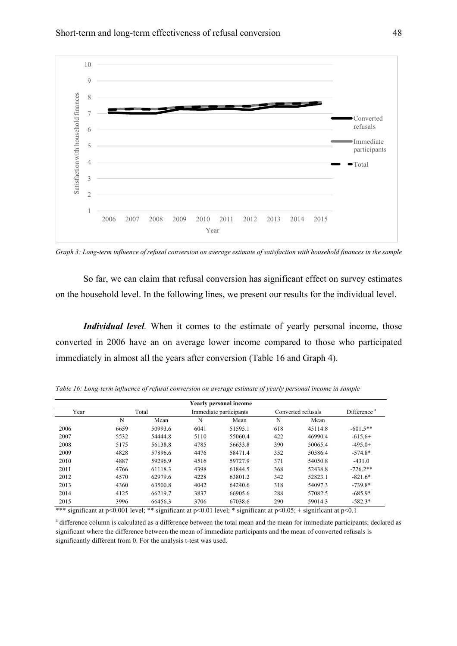

*Graph 3: Long-term influence of refusal conversion on average estimate of satisfaction with household finances in the sample*

So far, we can claim that refusal conversion has significant effect on survey estimates on the household level. In the following lines, we present our results for the individual level.

*Individual level.* When it comes to the estimate of yearly personal income, those converted in 2006 have an on average lower income compared to those who participated immediately in almost all the years after conversion (Table 16 and Graph 4).

| Yearly personal income |       |         |                        |         |                    |         |                         |
|------------------------|-------|---------|------------------------|---------|--------------------|---------|-------------------------|
| Year                   | Total |         | Immediate participants |         | Converted refusals |         | Difference <sup>a</sup> |
|                        | N     | Mean    | N                      | Mean    | N                  | Mean    |                         |
| 2006                   | 6659  | 50993.6 | 6041                   | 51595.1 | 618                | 45114.8 | $-601.5**$              |
| 2007                   | 5532  | 54444.8 | 5110                   | 55060.4 | 422                | 46990.4 | $-615.6+$               |
| 2008                   | 5175  | 56138.8 | 4785                   | 56633.8 | 390                | 50065.4 | $-495.0+$               |
| 2009                   | 4828  | 57896.6 | 4476                   | 58471.4 | 352                | 50586.4 | $-574.8*$               |
| 2010                   | 4887  | 59296.9 | 4516                   | 59727.9 | 371                | 54050.8 | $-431.0$                |
| 2011                   | 4766  | 61118.3 | 4398                   | 61844.5 | 368                | 52438.8 | $-726.2**$              |
| 2012                   | 4570  | 62979.6 | 4228                   | 63801.2 | 342                | 52823.1 | $-821.6*$               |
| 2013                   | 4360  | 63500.8 | 4042                   | 64240.6 | 318                | 54097.3 | $-739.8*$               |
| 2014                   | 4125  | 66219.7 | 3837                   | 66905.6 | 288                | 57082.5 | $-685.9*$               |
| 2015                   | 3996  | 66456.3 | 3706                   | 67038.6 | 290                | 59014.3 | $-582.3*$               |

*Table 16: Long-term influence of refusal conversion on average estimate of yearly personal income in sample*

\*\*\* significant at p<0.001 level; \*\* significant at p<0.01 level; \* significant at p<0.05; + significant at p<0.1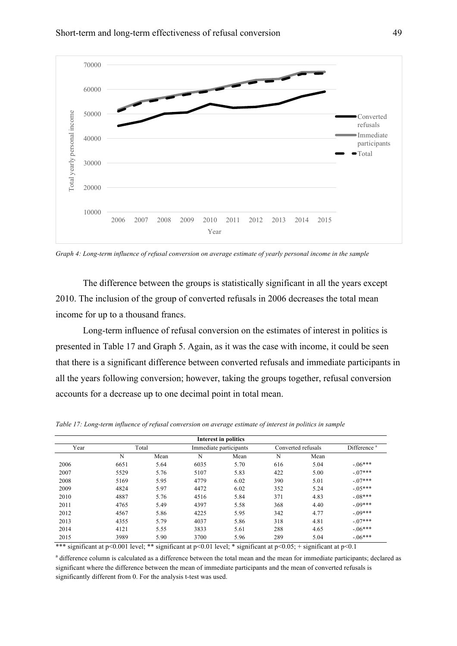

*Graph 4: Long-term influence of refusal conversion on average estimate of yearly personal income in the sample*

The difference between the groups is statistically significant in all the years except 2010. The inclusion of the group of converted refusals in 2006 decreases the total mean income for up to a thousand francs.

Long-term influence of refusal conversion on the estimates of interest in politics is presented in Table 17 and Graph 5. Again, as it was the case with income, it could be seen that there is a significant difference between converted refusals and immediate participants in all the years following conversion; however, taking the groups together, refusal conversion accounts for a decrease up to one decimal point in total mean.

|      |       |      |                        | Interest in politics |                    |      |                         |
|------|-------|------|------------------------|----------------------|--------------------|------|-------------------------|
| Year | Total |      | Immediate participants |                      | Converted refusals |      | Difference <sup>a</sup> |
|      | N     | Mean | N                      | Mean                 | N                  | Mean |                         |
| 2006 | 6651  | 5.64 | 6035                   | 5.70                 | 616                | 5.04 | $-.06***$               |
| 2007 | 5529  | 5.76 | 5107                   | 5.83                 | 422                | 5.00 | $-07***$                |
| 2008 | 5169  | 5.95 | 4779                   | 6.02                 | 390                | 5.01 | $-07***$                |
| 2009 | 4824  | 5.97 | 4472                   | 6.02                 | 352                | 5.24 | $-0.5***$               |
| 2010 | 4887  | 5.76 | 4516                   | 5.84                 | 371                | 4.83 | $-08***$                |
| 2011 | 4765  | 5.49 | 4397                   | 5.58                 | 368                | 4.40 | $-09***$                |
| 2012 | 4567  | 5.86 | 4225                   | 5.95                 | 342                | 4.77 | $-09***$                |
| 2013 | 4355  | 5.79 | 4037                   | 5.86                 | 318                | 4.81 | $-07***$                |
| 2014 | 4121  | 5.55 | 3833                   | 5.61                 | 288                | 4.65 | $-06***$                |
| 2015 | 3989  | 5.90 | 3700                   | 5.96                 | 289                | 5.04 | $-06***$                |

*Table 17: Long-term influence of refusal conversion on average estimate of interest in politics in sample*

\*\*\* significant at p<0.001 level; \*\* significant at p<0.01 level; \* significant at p<0.05; + significant at p<0.1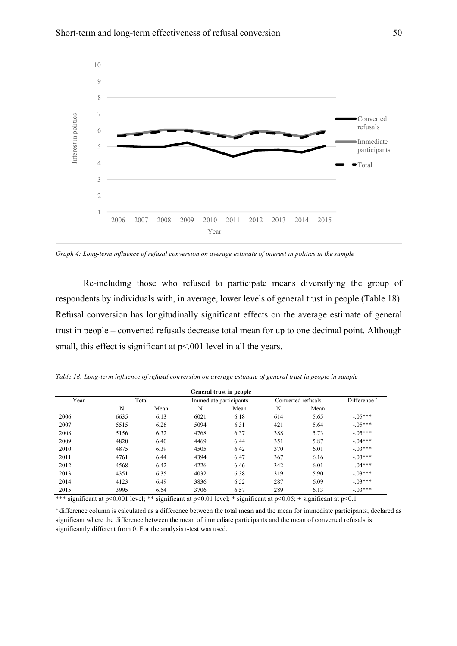

*Graph 4: Long-term influence of refusal conversion on average estimate of interest in politics in the sample*

Re-including those who refused to participate means diversifying the group of respondents by individuals with, in average, lower levels of general trust in people (Table 18). Refusal conversion has longitudinally significant effects on the average estimate of general trust in people – converted refusals decrease total mean for up to one decimal point. Although small, this effect is significant at  $p<0.001$  level in all the years.

*Table 18: Long-term influence of refusal conversion on average estimate of general trust in people in sample* 

| <b>General trust in people</b> |       |      |                        |      |                    |      |                         |
|--------------------------------|-------|------|------------------------|------|--------------------|------|-------------------------|
| Year                           | Total |      | Immediate participants |      | Converted refusals |      | Difference <sup>a</sup> |
|                                | N     | Mean | N                      | Mean | N                  | Mean |                         |
| 2006                           | 6635  | 6.13 | 6021                   | 6.18 | 614                | 5.65 | $-0.5***$               |
| 2007                           | 5515  | 6.26 | 5094                   | 6.31 | 421                | 5.64 | $-0.5***$               |
| 2008                           | 5156  | 6.32 | 4768                   | 6.37 | 388                | 5.73 | $-.05***$               |
| 2009                           | 4820  | 6.40 | 4469                   | 6.44 | 351                | 5.87 | $-04***$                |
| 2010                           | 4875  | 6.39 | 4505                   | 6.42 | 370                | 6.01 | $-03***$                |
| 2011                           | 4761  | 6.44 | 4394                   | 6.47 | 367                | 6.16 | $-03***$                |
| 2012                           | 4568  | 6.42 | 4226                   | 6.46 | 342                | 6.01 | $-04***$                |
| 2013                           | 4351  | 6.35 | 4032                   | 6.38 | 319                | 5.90 | $-03***$                |
| 2014                           | 4123  | 6.49 | 3836                   | 6.52 | 287                | 6.09 | $-03***$                |
| 2015                           | 3995  | 6.54 | 3706                   | 6.57 | 289                | 6.13 | $-03***$                |

\*\*\* significant at p<0.001 level; \*\* significant at p<0.01 level; \* significant at p<0.05; + significant at p<0.1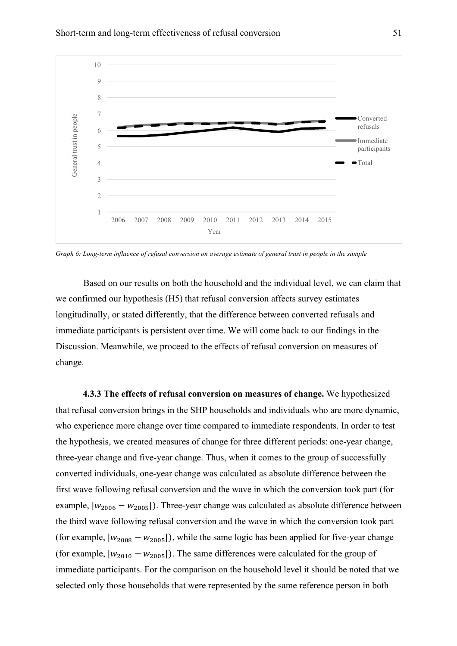

*Graph 6: Long-term influence of refusal conversion on average estimate of general trust in people in the sample* 

Based on our results on both the household and the individual level, we can claim that we confirmed our hypothesis (H5) that refusal conversion affects survey estimates longitudinally, or stated differently, that the difference between converted refusals and immediate participants is persistent over time. We will come back to our findings in the Discussion. Meanwhile, we proceed to the effects of refusal conversion on measures of change.

**4.3.3 The effects of refusal conversion on measures of change.** We hypothesized that refusal conversion brings in the SHP households and individuals who are more dynamic, who experience more change over time compared to immediate respondents. In order to test the hypothesis, we created measures of change for three different periods: one-year change, three-year change and five-year change. Thus, when it comes to the group of successfully converted individuals, one-year change was calculated as absolute difference between the first wave following refusal conversion and the wave in which the conversion took part (for example,  $|w_{2006} - w_{2005}|$ ). Three-year change was calculated as absolute difference between the third wave following refusal conversion and the wave in which the conversion took part (for example,  $|w_{2008} - w_{2005}|$ ), while the same logic has been applied for five-year change (for example,  $|w_{2010} - w_{2005}|$ ). The same differences were calculated for the group of immediate participants. For the comparison on the household level it should be noted that we selected only those households that were represented by the same reference person in both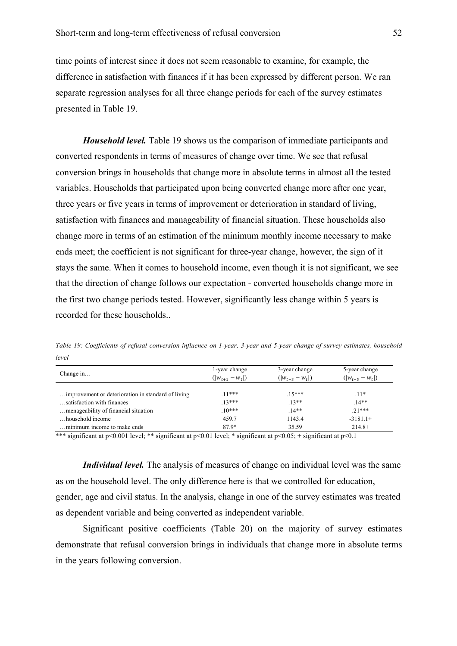time points of interest since it does not seem reasonable to examine, for example, the difference in satisfaction with finances if it has been expressed by different person. We ran separate regression analyses for all three change periods for each of the survey estimates presented in Table 19.

*Household level.* Table 19 shows us the comparison of immediate participants and converted respondents in terms of measures of change over time. We see that refusal conversion brings in households that change more in absolute terms in almost all the tested variables. Households that participated upon being converted change more after one year, three years or five years in terms of improvement or deterioration in standard of living, satisfaction with finances and manageability of financial situation. These households also change more in terms of an estimation of the minimum monthly income necessary to make ends meet; the coefficient is not significant for three-year change, however, the sign of it stays the same. When it comes to household income, even though it is not significant, we see that the direction of change follows our expectation - converted households change more in the first two change periods tested. However, significantly less change within 5 years is recorded for these households..

| Change in                                                                         | 1-year change<br>$( w_{t+1} - w_t )$ | 3-year change<br>$( w_{t+3} - w_t )$ | 5-year change<br>$( w_{t+5} - w_t )$ |
|-----------------------------------------------------------------------------------|--------------------------------------|--------------------------------------|--------------------------------------|
| improvement or deterioration in standard of living.<br>satisfaction with finances | $11***$<br>$13***$                   | $15***$<br>$13**$                    | $.11*$<br>$14**$                     |
| menageability of financial situation                                              | $10***$                              | $14**$                               | $71***$                              |
| household income                                                                  | 459.7                                | 1143.4                               | $-3181.1+$                           |
| minimum income to make ends                                                       | 87.9*                                | 35.59                                | $214.8+$                             |

*Table 19: Coefficients of refusal conversion influence on 1-year, 3-year and 5-year change of survey estimates, household level*

\*\*\* significant at p<0.001 level; \*\* significant at p<0.01 level; \* significant at p<0.05; + significant at p<0.1

*Individual level.* The analysis of measures of change on individual level was the same as on the household level. The only difference here is that we controlled for education, gender, age and civil status. In the analysis, change in one of the survey estimates was treated as dependent variable and being converted as independent variable.

Significant positive coefficients (Table 20) on the majority of survey estimates demonstrate that refusal conversion brings in individuals that change more in absolute terms in the years following conversion.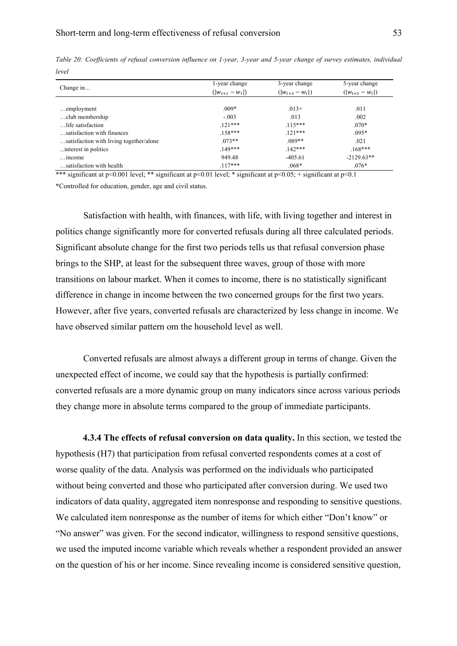| Change in                               | 1-year change<br>$( w_{t+1} - w_t )$ | 3-year change<br>$( w_{t+3} - w_t )$ | 5-year change<br>$( w_{t+5} - w_t )$ |  |
|-----------------------------------------|--------------------------------------|--------------------------------------|--------------------------------------|--|
|                                         |                                      |                                      |                                      |  |
| $\dots$ employment                      | $.009*$                              | $.013+$                              | .011                                 |  |
| club membership                         | $-.003$                              | .013                                 | .002                                 |  |
| life satisfaction                       | $121***$                             | $.115***$                            | $.070*$                              |  |
| satisfaction with finances              | $158***$                             | $121***$                             | $.095*$                              |  |
| satisfaction with living together/alone | $073**$                              | $.089**$                             | .021                                 |  |
| interest in politics.                   | $149***$                             | $142***$                             | $168***$                             |  |
| $\dots$ income                          | 949.48                               | $-405.61$                            | $-2129.63**$                         |  |
| satisfaction with health                | $117***$                             | $.068*$                              | $.076*$                              |  |

*Table 20: Coefficients of refusal conversion influence on 1-year, 3-year and 5-year change of survey estimates, individual level*

\*\*\* significant at p<0.001 level; \*\* significant at p<0.01 level; \* significant at p<0.05; + significant at p<0.1 \*Controlled for education, gender, age and civil status.

Satisfaction with health, with finances, with life, with living together and interest in politics change significantly more for converted refusals during all three calculated periods. Significant absolute change for the first two periods tells us that refusal conversion phase brings to the SHP, at least for the subsequent three waves, group of those with more transitions on labour market. When it comes to income, there is no statistically significant difference in change in income between the two concerned groups for the first two years. However, after five years, converted refusals are characterized by less change in income. We have observed similar pattern om the household level as well.

Converted refusals are almost always a different group in terms of change. Given the unexpected effect of income, we could say that the hypothesis is partially confirmed: converted refusals are a more dynamic group on many indicators since across various periods they change more in absolute terms compared to the group of immediate participants.

**4.3.4 The effects of refusal conversion on data quality.** In this section, we tested the hypothesis (H7) that participation from refusal converted respondents comes at a cost of worse quality of the data. Analysis was performed on the individuals who participated without being converted and those who participated after conversion during. We used two indicators of data quality, aggregated item nonresponse and responding to sensitive questions. We calculated item nonresponse as the number of items for which either "Don't know" or "No answer" was given. For the second indicator, willingness to respond sensitive questions, we used the imputed income variable which reveals whether a respondent provided an answer on the question of his or her income. Since revealing income is considered sensitive question,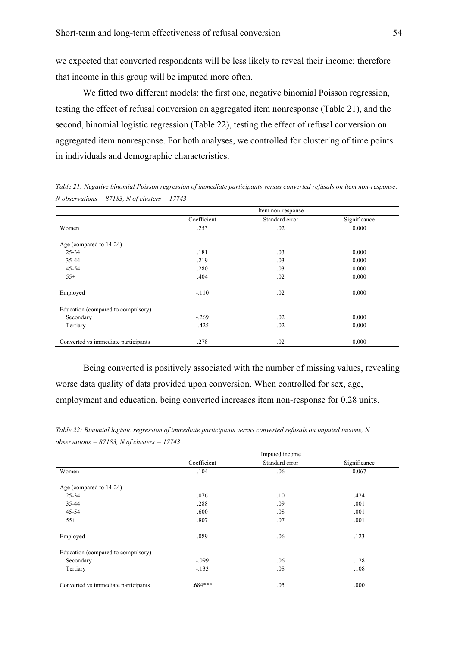we expected that converted respondents will be less likely to reveal their income; therefore that income in this group will be imputed more often.

We fitted two different models: the first one, negative binomial Poisson regression, testing the effect of refusal conversion on aggregated item nonresponse (Table 21), and the second, binomial logistic regression (Table 22), testing the effect of refusal conversion on aggregated item nonresponse. For both analyses, we controlled for clustering of time points in individuals and demographic characteristics.

*Table 21: Negative binomial Poisson regression of immediate participants versus converted refusals on item non-response; N observations = 87183, N of clusters = 17743*

|                                     |             | Item non-response |              |
|-------------------------------------|-------------|-------------------|--------------|
|                                     | Coefficient | Standard error    | Significance |
| Women                               | .253        | .02               | 0.000        |
| Age (compared to 14-24)             |             |                   |              |
| 25-34                               | .181        | .03               | 0.000        |
| 35-44                               | .219        | .03               | 0.000        |
| 45-54                               | .280        | .03               | 0.000        |
| $55+$                               | .404        | .02               | 0.000        |
| Employed                            | $-.110$     | .02               | 0.000        |
| Education (compared to compulsory)  |             |                   |              |
| Secondary                           | $-.269$     | .02               | 0.000        |
| Tertiary                            | $-.425$     | .02               | 0.000        |
| Converted vs immediate participants | .278        | .02               | 0.000        |

Being converted is positively associated with the number of missing values, revealing worse data quality of data provided upon conversion. When controlled for sex, age, employment and education, being converted increases item non-response for 0.28 units.

*Table 22: Binomial logistic regression of immediate participants versus converted refusals on imputed income, N observations = 87183, N of clusters = 17743*

|                                     |             | Imputed income |              |
|-------------------------------------|-------------|----------------|--------------|
|                                     | Coefficient | Standard error | Significance |
| Women                               | .104        | .06            | 0.067        |
| Age (compared to 14-24)             |             |                |              |
| 25-34                               | .076        | .10            | .424         |
| 35-44                               | .288        | .09            | .001         |
| 45-54                               | .600        | .08            | .001         |
| $55+$                               | .807        | .07            | .001         |
| Employed                            | .089        | .06            | .123         |
| Education (compared to compulsory)  |             |                |              |
| Secondary                           | $-.099$     | .06            | .128         |
| Tertiary                            | $-.133$     | .08            | .108         |
| Converted vs immediate participants | $.684***$   | .05            | .000         |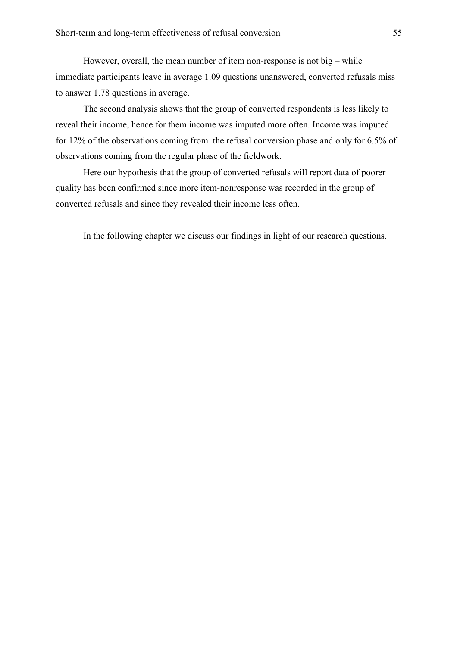However, overall, the mean number of item non-response is not big – while immediate participants leave in average 1.09 questions unanswered, converted refusals miss to answer 1.78 questions in average.

The second analysis shows that the group of converted respondents is less likely to reveal their income, hence for them income was imputed more often. Income was imputed for 12% of the observations coming from the refusal conversion phase and only for 6.5% of observations coming from the regular phase of the fieldwork.

Here our hypothesis that the group of converted refusals will report data of poorer quality has been confirmed since more item-nonresponse was recorded in the group of converted refusals and since they revealed their income less often.

In the following chapter we discuss our findings in light of our research questions.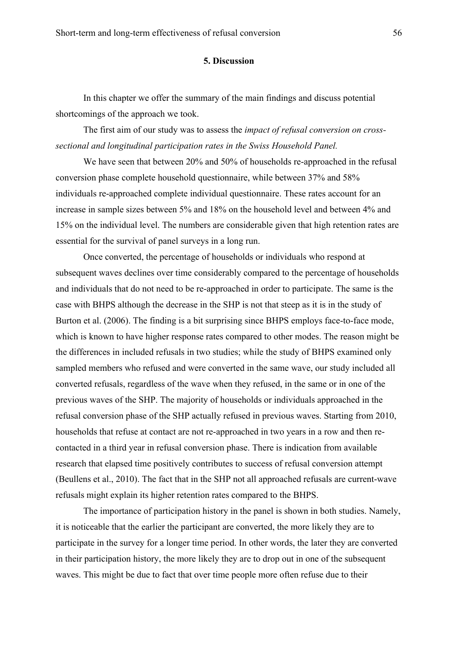#### **5. Discussion**

In this chapter we offer the summary of the main findings and discuss potential shortcomings of the approach we took.

The first aim of our study was to assess the *impact of refusal conversion on crosssectional and longitudinal participation rates in the Swiss Household Panel.* 

We have seen that between 20% and 50% of households re-approached in the refusal conversion phase complete household questionnaire, while between 37% and 58% individuals re-approached complete individual questionnaire. These rates account for an increase in sample sizes between 5% and 18% on the household level and between 4% and 15% on the individual level. The numbers are considerable given that high retention rates are essential for the survival of panel surveys in a long run.

Once converted, the percentage of households or individuals who respond at subsequent waves declines over time considerably compared to the percentage of households and individuals that do not need to be re-approached in order to participate. The same is the case with BHPS although the decrease in the SHP is not that steep as it is in the study of Burton et al. (2006). The finding is a bit surprising since BHPS employs face-to-face mode, which is known to have higher response rates compared to other modes. The reason might be the differences in included refusals in two studies; while the study of BHPS examined only sampled members who refused and were converted in the same wave, our study included all converted refusals, regardless of the wave when they refused, in the same or in one of the previous waves of the SHP. The majority of households or individuals approached in the refusal conversion phase of the SHP actually refused in previous waves. Starting from 2010, households that refuse at contact are not re-approached in two years in a row and then recontacted in a third year in refusal conversion phase. There is indication from available research that elapsed time positively contributes to success of refusal conversion attempt (Beullens et al., 2010). The fact that in the SHP not all approached refusals are current-wave refusals might explain its higher retention rates compared to the BHPS.

The importance of participation history in the panel is shown in both studies. Namely, it is noticeable that the earlier the participant are converted, the more likely they are to participate in the survey for a longer time period. In other words, the later they are converted in their participation history, the more likely they are to drop out in one of the subsequent waves. This might be due to fact that over time people more often refuse due to their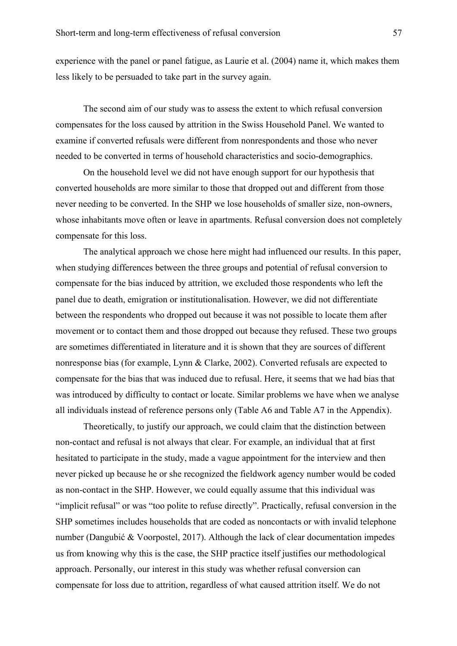experience with the panel or panel fatigue, as Laurie et al. (2004) name it, which makes them less likely to be persuaded to take part in the survey again.

The second aim of our study was to assess the extent to which refusal conversion compensates for the loss caused by attrition in the Swiss Household Panel. We wanted to examine if converted refusals were different from nonrespondents and those who never needed to be converted in terms of household characteristics and socio-demographics.

On the household level we did not have enough support for our hypothesis that converted households are more similar to those that dropped out and different from those never needing to be converted. In the SHP we lose households of smaller size, non-owners, whose inhabitants move often or leave in apartments. Refusal conversion does not completely compensate for this loss.

The analytical approach we chose here might had influenced our results. In this paper, when studying differences between the three groups and potential of refusal conversion to compensate for the bias induced by attrition, we excluded those respondents who left the panel due to death, emigration or institutionalisation. However, we did not differentiate between the respondents who dropped out because it was not possible to locate them after movement or to contact them and those dropped out because they refused. These two groups are sometimes differentiated in literature and it is shown that they are sources of different nonresponse bias (for example, Lynn & Clarke, 2002). Converted refusals are expected to compensate for the bias that was induced due to refusal. Here, it seems that we had bias that was introduced by difficulty to contact or locate. Similar problems we have when we analyse all individuals instead of reference persons only (Table A6 and Table A7 in the Appendix).

Theoretically, to justify our approach, we could claim that the distinction between non-contact and refusal is not always that clear. For example, an individual that at first hesitated to participate in the study, made a vague appointment for the interview and then never picked up because he or she recognized the fieldwork agency number would be coded as non-contact in the SHP. However, we could equally assume that this individual was "implicit refusal" or was "too polite to refuse directly". Practically, refusal conversion in the SHP sometimes includes households that are coded as noncontacts or with invalid telephone number (Dangubić & Voorpostel, 2017). Although the lack of clear documentation impedes us from knowing why this is the case, the SHP practice itself justifies our methodological approach. Personally, our interest in this study was whether refusal conversion can compensate for loss due to attrition, regardless of what caused attrition itself. We do not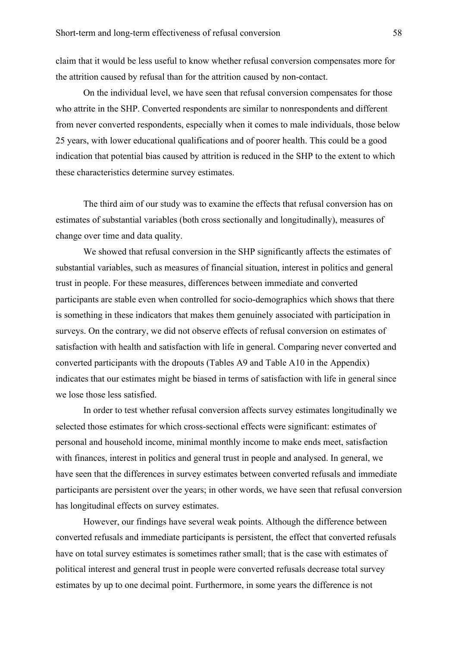claim that it would be less useful to know whether refusal conversion compensates more for the attrition caused by refusal than for the attrition caused by non-contact.

On the individual level, we have seen that refusal conversion compensates for those who attrite in the SHP. Converted respondents are similar to nonrespondents and different from never converted respondents, especially when it comes to male individuals, those below 25 years, with lower educational qualifications and of poorer health. This could be a good indication that potential bias caused by attrition is reduced in the SHP to the extent to which these characteristics determine survey estimates.

The third aim of our study was to examine the effects that refusal conversion has on estimates of substantial variables (both cross sectionally and longitudinally), measures of change over time and data quality.

We showed that refusal conversion in the SHP significantly affects the estimates of substantial variables, such as measures of financial situation, interest in politics and general trust in people. For these measures, differences between immediate and converted participants are stable even when controlled for socio-demographics which shows that there is something in these indicators that makes them genuinely associated with participation in surveys. On the contrary, we did not observe effects of refusal conversion on estimates of satisfaction with health and satisfaction with life in general. Comparing never converted and converted participants with the dropouts (Tables A9 and Table A10 in the Appendix) indicates that our estimates might be biased in terms of satisfaction with life in general since we lose those less satisfied.

In order to test whether refusal conversion affects survey estimates longitudinally we selected those estimates for which cross-sectional effects were significant: estimates of personal and household income, minimal monthly income to make ends meet, satisfaction with finances, interest in politics and general trust in people and analysed. In general, we have seen that the differences in survey estimates between converted refusals and immediate participants are persistent over the years; in other words, we have seen that refusal conversion has longitudinal effects on survey estimates.

However, our findings have several weak points. Although the difference between converted refusals and immediate participants is persistent, the effect that converted refusals have on total survey estimates is sometimes rather small; that is the case with estimates of political interest and general trust in people were converted refusals decrease total survey estimates by up to one decimal point. Furthermore, in some years the difference is not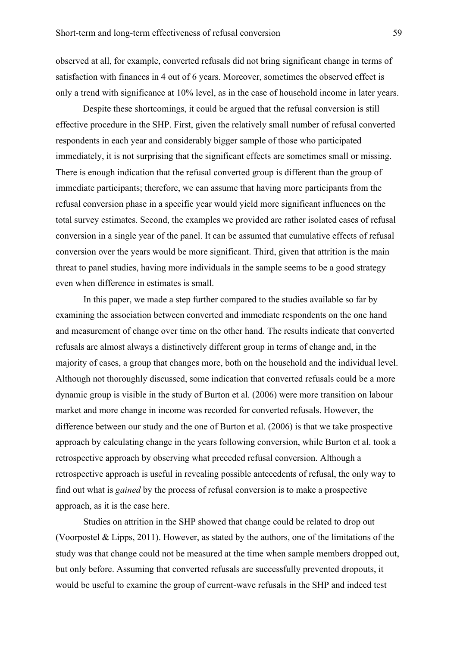observed at all, for example, converted refusals did not bring significant change in terms of satisfaction with finances in 4 out of 6 years. Moreover, sometimes the observed effect is only a trend with significance at 10% level, as in the case of household income in later years.

Despite these shortcomings, it could be argued that the refusal conversion is still effective procedure in the SHP. First, given the relatively small number of refusal converted respondents in each year and considerably bigger sample of those who participated immediately, it is not surprising that the significant effects are sometimes small or missing. There is enough indication that the refusal converted group is different than the group of immediate participants; therefore, we can assume that having more participants from the refusal conversion phase in a specific year would yield more significant influences on the total survey estimates. Second, the examples we provided are rather isolated cases of refusal conversion in a single year of the panel. It can be assumed that cumulative effects of refusal conversion over the years would be more significant. Third, given that attrition is the main threat to panel studies, having more individuals in the sample seems to be a good strategy even when difference in estimates is small.

In this paper, we made a step further compared to the studies available so far by examining the association between converted and immediate respondents on the one hand and measurement of change over time on the other hand. The results indicate that converted refusals are almost always a distinctively different group in terms of change and, in the majority of cases, a group that changes more, both on the household and the individual level. Although not thoroughly discussed, some indication that converted refusals could be a more dynamic group is visible in the study of Burton et al. (2006) were more transition on labour market and more change in income was recorded for converted refusals. However, the difference between our study and the one of Burton et al. (2006) is that we take prospective approach by calculating change in the years following conversion, while Burton et al. took a retrospective approach by observing what preceded refusal conversion. Although a retrospective approach is useful in revealing possible antecedents of refusal, the only way to find out what is *gained* by the process of refusal conversion is to make a prospective approach, as it is the case here.

Studies on attrition in the SHP showed that change could be related to drop out (Voorpostel & Lipps, 2011). However, as stated by the authors, one of the limitations of the study was that change could not be measured at the time when sample members dropped out, but only before. Assuming that converted refusals are successfully prevented dropouts, it would be useful to examine the group of current-wave refusals in the SHP and indeed test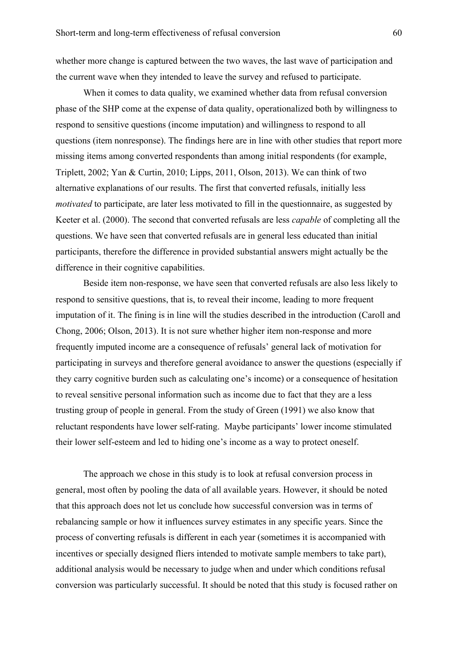whether more change is captured between the two waves, the last wave of participation and the current wave when they intended to leave the survey and refused to participate.

When it comes to data quality, we examined whether data from refusal conversion phase of the SHP come at the expense of data quality, operationalized both by willingness to respond to sensitive questions (income imputation) and willingness to respond to all questions (item nonresponse). The findings here are in line with other studies that report more missing items among converted respondents than among initial respondents (for example, Triplett, 2002; Yan & Curtin, 2010; Lipps, 2011, Olson, 2013). We can think of two alternative explanations of our results. The first that converted refusals, initially less *motivated* to participate, are later less motivated to fill in the questionnaire, as suggested by Keeter et al. (2000). The second that converted refusals are less *capable* of completing all the questions. We have seen that converted refusals are in general less educated than initial participants, therefore the difference in provided substantial answers might actually be the difference in their cognitive capabilities.

Beside item non-response, we have seen that converted refusals are also less likely to respond to sensitive questions, that is, to reveal their income, leading to more frequent imputation of it. The fining is in line will the studies described in the introduction (Caroll and Chong, 2006; Olson, 2013). It is not sure whether higher item non-response and more frequently imputed income are a consequence of refusals' general lack of motivation for participating in surveys and therefore general avoidance to answer the questions (especially if they carry cognitive burden such as calculating one's income) or a consequence of hesitation to reveal sensitive personal information such as income due to fact that they are a less trusting group of people in general. From the study of Green (1991) we also know that reluctant respondents have lower self-rating. Maybe participants' lower income stimulated their lower self-esteem and led to hiding one's income as a way to protect oneself.

The approach we chose in this study is to look at refusal conversion process in general, most often by pooling the data of all available years. However, it should be noted that this approach does not let us conclude how successful conversion was in terms of rebalancing sample or how it influences survey estimates in any specific years. Since the process of converting refusals is different in each year (sometimes it is accompanied with incentives or specially designed fliers intended to motivate sample members to take part), additional analysis would be necessary to judge when and under which conditions refusal conversion was particularly successful. It should be noted that this study is focused rather on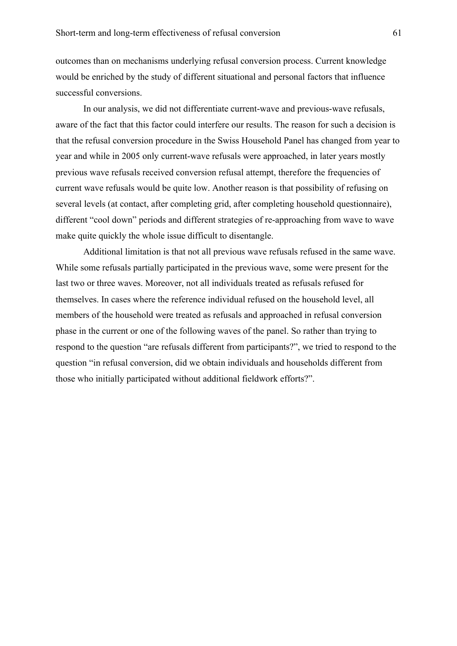outcomes than on mechanisms underlying refusal conversion process. Current knowledge would be enriched by the study of different situational and personal factors that influence successful conversions.

In our analysis, we did not differentiate current-wave and previous-wave refusals, aware of the fact that this factor could interfere our results. The reason for such a decision is that the refusal conversion procedure in the Swiss Household Panel has changed from year to year and while in 2005 only current-wave refusals were approached, in later years mostly previous wave refusals received conversion refusal attempt, therefore the frequencies of current wave refusals would be quite low. Another reason is that possibility of refusing on several levels (at contact, after completing grid, after completing household questionnaire), different "cool down" periods and different strategies of re-approaching from wave to wave make quite quickly the whole issue difficult to disentangle.

Additional limitation is that not all previous wave refusals refused in the same wave. While some refusals partially participated in the previous wave, some were present for the last two or three waves. Moreover, not all individuals treated as refusals refused for themselves. In cases where the reference individual refused on the household level, all members of the household were treated as refusals and approached in refusal conversion phase in the current or one of the following waves of the panel. So rather than trying to respond to the question "are refusals different from participants?", we tried to respond to the question "in refusal conversion, did we obtain individuals and households different from those who initially participated without additional fieldwork efforts?".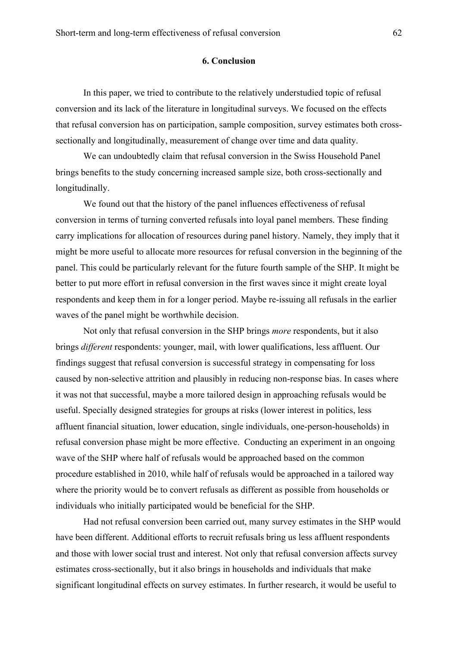## **6. Conclusion**

In this paper, we tried to contribute to the relatively understudied topic of refusal conversion and its lack of the literature in longitudinal surveys. We focused on the effects that refusal conversion has on participation, sample composition, survey estimates both crosssectionally and longitudinally, measurement of change over time and data quality.

We can undoubtedly claim that refusal conversion in the Swiss Household Panel brings benefits to the study concerning increased sample size, both cross-sectionally and longitudinally.

We found out that the history of the panel influences effectiveness of refusal conversion in terms of turning converted refusals into loyal panel members. These finding carry implications for allocation of resources during panel history. Namely, they imply that it might be more useful to allocate more resources for refusal conversion in the beginning of the panel. This could be particularly relevant for the future fourth sample of the SHP. It might be better to put more effort in refusal conversion in the first waves since it might create loyal respondents and keep them in for a longer period. Maybe re-issuing all refusals in the earlier waves of the panel might be worthwhile decision.

Not only that refusal conversion in the SHP brings *more* respondents, but it also brings *different* respondents: younger, mail, with lower qualifications, less affluent. Our findings suggest that refusal conversion is successful strategy in compensating for loss caused by non-selective attrition and plausibly in reducing non-response bias. In cases where it was not that successful, maybe a more tailored design in approaching refusals would be useful. Specially designed strategies for groups at risks (lower interest in politics, less affluent financial situation, lower education, single individuals, one-person-households) in refusal conversion phase might be more effective. Conducting an experiment in an ongoing wave of the SHP where half of refusals would be approached based on the common procedure established in 2010, while half of refusals would be approached in a tailored way where the priority would be to convert refusals as different as possible from households or individuals who initially participated would be beneficial for the SHP.

Had not refusal conversion been carried out, many survey estimates in the SHP would have been different. Additional efforts to recruit refusals bring us less affluent respondents and those with lower social trust and interest. Not only that refusal conversion affects survey estimates cross-sectionally, but it also brings in households and individuals that make significant longitudinal effects on survey estimates. In further research, it would be useful to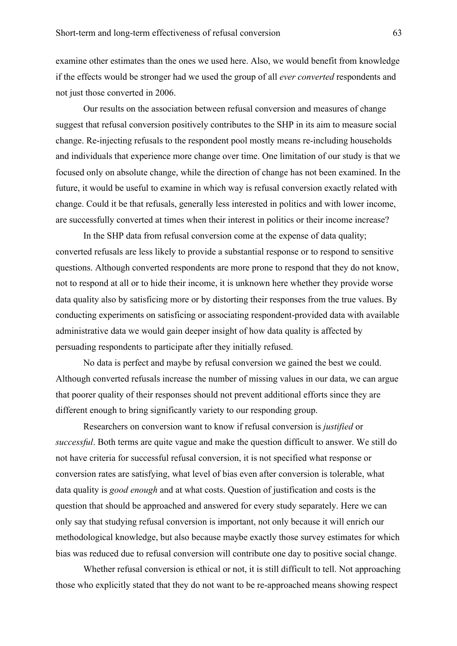examine other estimates than the ones we used here. Also, we would benefit from knowledge if the effects would be stronger had we used the group of all *ever converted* respondents and not just those converted in 2006.

Our results on the association between refusal conversion and measures of change suggest that refusal conversion positively contributes to the SHP in its aim to measure social change. Re-injecting refusals to the respondent pool mostly means re-including households and individuals that experience more change over time. One limitation of our study is that we focused only on absolute change, while the direction of change has not been examined. In the future, it would be useful to examine in which way is refusal conversion exactly related with change. Could it be that refusals, generally less interested in politics and with lower income, are successfully converted at times when their interest in politics or their income increase?

In the SHP data from refusal conversion come at the expense of data quality; converted refusals are less likely to provide a substantial response or to respond to sensitive questions. Although converted respondents are more prone to respond that they do not know, not to respond at all or to hide their income, it is unknown here whether they provide worse data quality also by satisficing more or by distorting their responses from the true values. By conducting experiments on satisficing or associating respondent-provided data with available administrative data we would gain deeper insight of how data quality is affected by persuading respondents to participate after they initially refused.

No data is perfect and maybe by refusal conversion we gained the best we could. Although converted refusals increase the number of missing values in our data, we can argue that poorer quality of their responses should not prevent additional efforts since they are different enough to bring significantly variety to our responding group.

Researchers on conversion want to know if refusal conversion is *justified* or *successful*. Both terms are quite vague and make the question difficult to answer. We still do not have criteria for successful refusal conversion, it is not specified what response or conversion rates are satisfying, what level of bias even after conversion is tolerable, what data quality is *good enough* and at what costs. Question of justification and costs is the question that should be approached and answered for every study separately. Here we can only say that studying refusal conversion is important, not only because it will enrich our methodological knowledge, but also because maybe exactly those survey estimates for which bias was reduced due to refusal conversion will contribute one day to positive social change.

Whether refusal conversion is ethical or not, it is still difficult to tell. Not approaching those who explicitly stated that they do not want to be re-approached means showing respect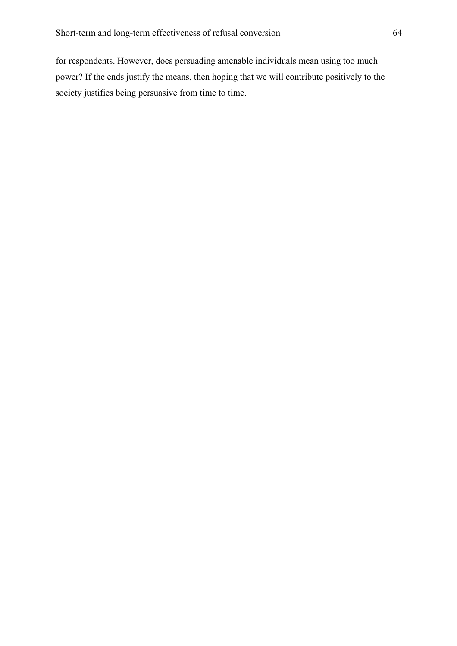for respondents. However, does persuading amenable individuals mean using too much power? If the ends justify the means, then hoping that we will contribute positively to the society justifies being persuasive from time to time.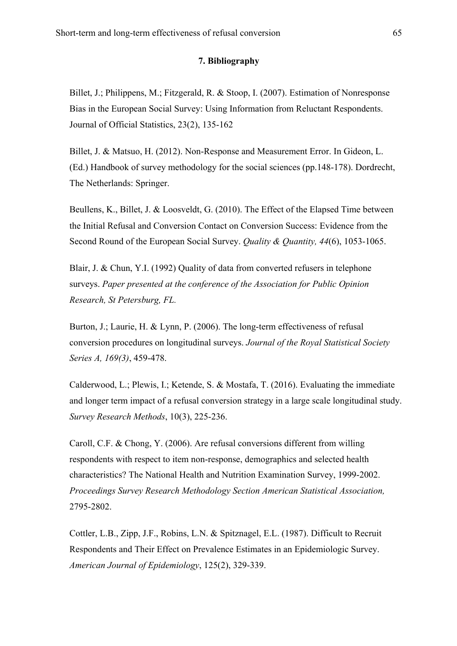## **7. Bibliography**

Billet, J.; Philippens, M.; Fitzgerald, R. & Stoop, I. (2007). Estimation of Nonresponse Bias in the European Social Survey: Using Information from Reluctant Respondents. Journal of Official Statistics, 23(2), 135-162

Billet, J. & Matsuo, H. (2012). Non-Response and Measurement Error. In Gideon, L. (Ed.) Handbook of survey methodology for the social sciences (pp.148-178). Dordrecht, The Netherlands: Springer.

Beullens, K., Billet, J. & Loosveldt, G. (2010). The Effect of the Elapsed Time between the Initial Refusal and Conversion Contact on Conversion Success: Evidence from the Second Round of the European Social Survey. *Quality & Quantity, 44*(6), 1053-1065.

Blair, J. & Chun, Y.I. (1992) Quality of data from converted refusers in telephone surveys. *Paper presented at the conference of the Association for Public Opinion Research, St Petersburg, FL.*

Burton, J.; Laurie, H. & Lynn, P. (2006). The long-term effectiveness of refusal conversion procedures on longitudinal surveys. *Journal of the Royal Statistical Society Series A, 169(3)*, 459-478.

Calderwood, L.; Plewis, I.; Ketende, S. & Mostafa, T. (2016). Evaluating the immediate and longer term impact of a refusal conversion strategy in a large scale longitudinal study. *Survey Research Methods*, 10(3), 225-236.

Caroll, C.F. & Chong, Y. (2006). Are refusal conversions different from willing respondents with respect to item non-response, demographics and selected health characteristics? The National Health and Nutrition Examination Survey, 1999-2002. *Proceedings Survey Research Methodology Section American Statistical Association,* 2795-2802.

Cottler, L.B., Zipp, J.F., Robins, L.N. & Spitznagel, E.L. (1987). Difficult to Recruit Respondents and Their Effect on Prevalence Estimates in an Epidemiologic Survey. *American Journal of Epidemiology*, 125(2), 329-339.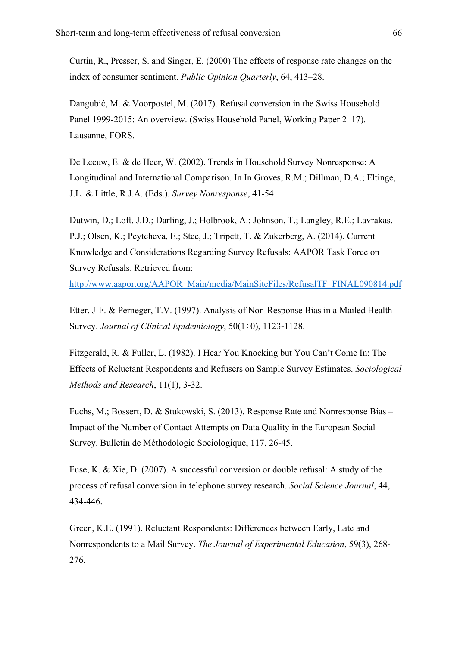Curtin, R., Presser, S. and Singer, E. (2000) The effects of response rate changes on the index of consumer sentiment. *Public Opinion Quarterly*, 64, 413–28.

Dangubić, M. & Voorpostel, M. (2017). Refusal conversion in the Swiss Household Panel 1999-2015: An overview. (Swiss Household Panel, Working Paper 2–17). Lausanne, FORS.

De Leeuw, E. & de Heer, W. (2002). Trends in Household Survey Nonresponse: A Longitudinal and International Comparison. In In Groves, R.M.; Dillman, D.A.; Eltinge, J.L. & Little, R.J.A. (Eds.). *Survey Nonresponse*, 41-54.

Dutwin, D.; Loft. J.D.; Darling, J.; Holbrook, A.; Johnson, T.; Langley, R.E.; Lavrakas, P.J.; Olsen, K.; Peytcheva, E.; Stec, J.; Tripett, T. & Zukerberg, A. (2014). Current Knowledge and Considerations Regarding Survey Refusals: AAPOR Task Force on Survey Refusals. Retrieved from:

http://www.aapor.org/AAPOR\_Main/media/MainSiteFiles/RefusalTF\_FINAL090814.pdf

Etter, J-F. & Perneger, T.V. (1997). Analysis of Non-Response Bias in a Mailed Health Survey. *Journal of Clinical Epidemiology*, 50(1÷0), 1123-1128.

Fitzgerald, R. & Fuller, L. (1982). I Hear You Knocking but You Can't Come In: The Effects of Reluctant Respondents and Refusers on Sample Survey Estimates. *Sociological Methods and Research*, 11(1), 3-32.

Fuchs, M.; Bossert, D. & Stukowski, S. (2013). Response Rate and Nonresponse Bias – Impact of the Number of Contact Attempts on Data Quality in the European Social Survey. Bulletin de Méthodologie Sociologique, 117, 26-45.

Fuse, K. & Xie, D. (2007). A successful conversion or double refusal: A study of the process of refusal conversion in telephone survey research. *Social Science Journal*, 44, 434-446.

Green, K.E. (1991). Reluctant Respondents: Differences between Early, Late and Nonrespondents to a Mail Survey. *The Journal of Experimental Education*, 59(3), 268- 276.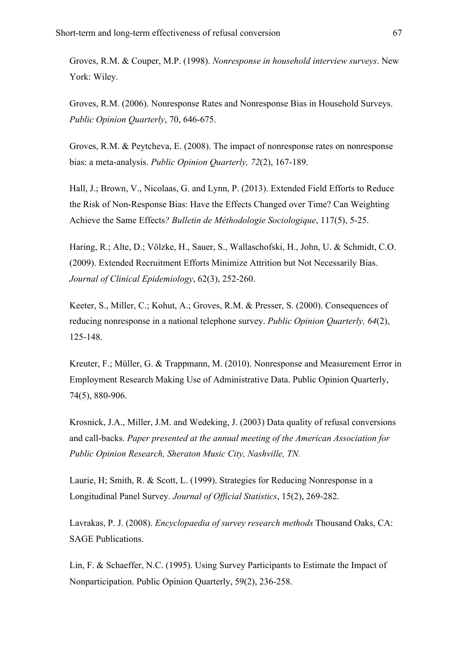Groves, R.M. & Couper, M.P. (1998). *Nonresponse in household interview surveys*. New York: Wiley.

Groves, R.M. (2006). Nonresponse Rates and Nonresponse Bias in Household Surveys. *Public Opinion Quarterly*, 70, 646-675.

Groves, R.M. & Peytcheva, E. (2008). The impact of nonresponse rates on nonresponse bias: a meta-analysis. *Public Opinion Quarterly, 72*(2), 167-189.

Hall, J.; Brown, V., Nicolaas, G. and Lynn, P. (2013). Extended Field Efforts to Reduce the Risk of Non-Response Bias: Have the Effects Changed over Time? Can Weighting Achieve the Same Effects*? Bulletin de Méthodologie Sociologique*, 117(5), 5-25.

Haring, R.; Alte, D.; Völzke, H., Sauer, S., Wallaschofski, H., John, U. & Schmidt, C.O. (2009). Extended Recruitment Efforts Minimize Attrition but Not Necessarily Bias. *Journal of Clinical Epidemiology*, 62(3), 252-260.

Keeter, S., Miller, C.; Kohut, A.; Groves, R.M. & Presser, S. (2000). Consequences of reducing nonresponse in a national telephone survey. *Public Opinion Quarterly, 64*(2), 125-148.

Kreuter, F.; Müller, G. & Trappmann, M. (2010). Nonresponse and Measurement Error in Employment Research Making Use of Administrative Data. Public Opinion Quarterly, 74(5), 880-906.

Krosnick, J.A., Miller, J.M. and Wedeking, J. (2003) Data quality of refusal conversions and call-backs. *Paper presented at the annual meeting of the American Association for Public Opinion Research, Sheraton Music City, Nashville, TN.*

Laurie, H; Smith, R. & Scott, L. (1999). Strategies for Reducing Nonresponse in a Longitudinal Panel Survey. *Journal of Official Statistics*, 15(2), 269-282.

Lavrakas, P. J. (2008). *Encyclopaedia of survey research methods* Thousand Oaks, CA: SAGE Publications.

Lin, F. & Schaeffer, N.C. (1995). Using Survey Participants to Estimate the Impact of Nonparticipation. Public Opinion Quarterly, 59(2), 236-258.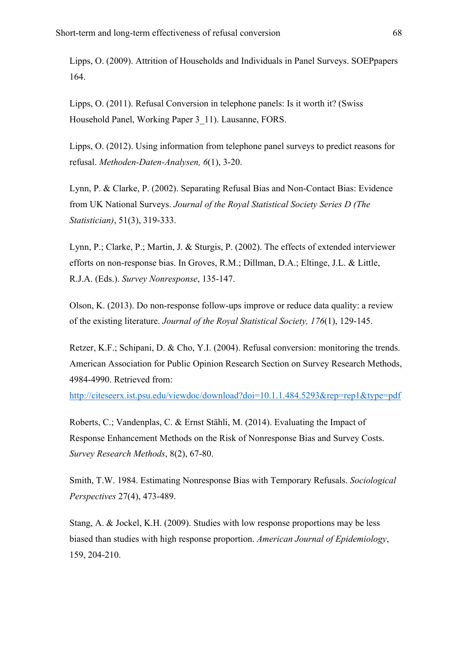Lipps, O. (2009). Attrition of Households and Individuals in Panel Surveys. SOEPpapers 164.

Lipps, O. (2011). Refusal Conversion in telephone panels: Is it worth it? (Swiss Household Panel, Working Paper 3\_11). Lausanne, FORS.

Lipps, O. (2012). Using information from telephone panel surveys to predict reasons for refusal. *Methoden-Daten-Analysen, 6*(1), 3-20.

Lynn, P. & Clarke, P. (2002). Separating Refusal Bias and Non-Contact Bias: Evidence from UK National Surveys. *Journal of the Royal Statistical Society Series D (The Statistician)*, 51(3), 319-333.

Lynn, P.; Clarke, P.; Martin, J. & Sturgis, P. (2002). The effects of extended interviewer efforts on non-response bias. In Groves, R.M.; Dillman, D.A.; Eltinge, J.L. & Little, R.J.A. (Eds.). *Survey Nonresponse*, 135-147.

Olson, K. (2013). Do non-response follow-ups improve or reduce data quality: a review of the existing literature. *Journal of the Royal Statistical Society, 176*(1), 129-145.

Retzer, K.F.; Schipani, D. & Cho, Y.I. (2004). Refusal conversion: monitoring the trends. American Association for Public Opinion Research Section on Survey Research Methods, 4984-4990. Retrieved from:

http://citeseerx.ist.psu.edu/viewdoc/download?doi=10.1.1.484.5293&rep=rep1&type=pdf

Roberts, C.; Vandenplas, C. & Ernst Stähli, M. (2014). Evaluating the Impact of Response Enhancement Methods on the Risk of Nonresponse Bias and Survey Costs. *Survey Research Methods*, 8(2), 67-80.

Smith, T.W. 1984. Estimating Nonresponse Bias with Temporary Refusals. *Sociological Perspectives* 27(4), 473-489.

Stang, A. & Jockel, K.H. (2009). Studies with low response proportions may be less biased than studies with high response proportion. *American Journal of Epidemiology*, 159, 204-210.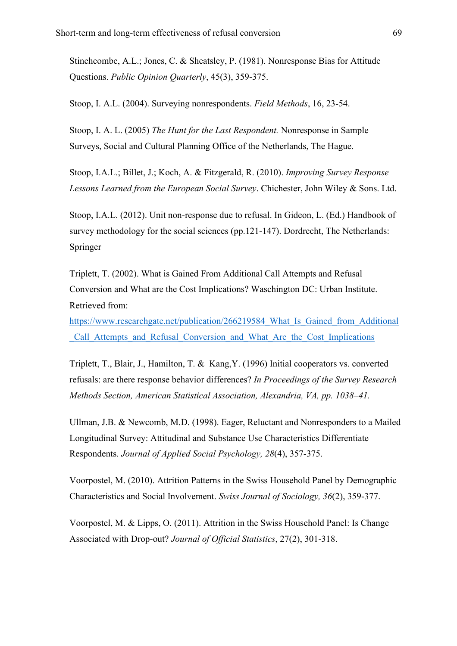Stinchcombe, A.L.; Jones, C. & Sheatsley, P. (1981). Nonresponse Bias for Attitude Questions. *Public Opinion Quarterly*, 45(3), 359-375.

Stoop, I. A.L. (2004). Surveying nonrespondents. *Field Methods*, 16, 23-54.

Stoop, I. A. L. (2005) *The Hunt for the Last Respondent.* Nonresponse in Sample Surveys, Social and Cultural Planning Office of the Netherlands, The Hague.

Stoop, I.A.L.; Billet, J.; Koch, A. & Fitzgerald, R. (2010). *Improving Survey Response Lessons Learned from the European Social Survey*. Chichester, John Wiley & Sons. Ltd.

Stoop, I.A.L. (2012). Unit non-response due to refusal. In Gideon, L. (Ed.) Handbook of survey methodology for the social sciences (pp.121-147). Dordrecht, The Netherlands: Springer

Triplett, T. (2002). What is Gained From Additional Call Attempts and Refusal Conversion and What are the Cost Implications? Waschington DC: Urban Institute. Retrieved from:

https://www.researchgate.net/publication/266219584 What Is Gained from Additional \_Call\_Attempts\_and\_Refusal\_Conversion\_and\_What\_Are\_the\_Cost\_Implications

Triplett, T., Blair, J., Hamilton, T. & Kang,Y. (1996) Initial cooperators vs. converted refusals: are there response behavior differences? *In Proceedings of the Survey Research Methods Section, American Statistical Association, Alexandria, VA, pp. 1038–41.*

Ullman, J.B. & Newcomb, M.D. (1998). Eager, Reluctant and Nonresponders to a Mailed Longitudinal Survey: Attitudinal and Substance Use Characteristics Differentiate Respondents. *Journal of Applied Social Psychology, 28*(4), 357-375.

Voorpostel, M. (2010). Attrition Patterns in the Swiss Household Panel by Demographic Characteristics and Social Involvement. *Swiss Journal of Sociology, 36*(2), 359-377.

Voorpostel, M. & Lipps, O. (2011). Attrition in the Swiss Household Panel: Is Change Associated with Drop-out? *Journal of Official Statistics*, 27(2), 301-318.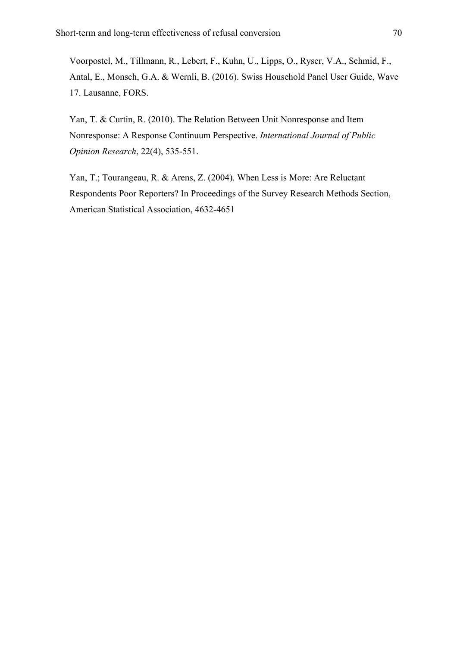Voorpostel, M., Tillmann, R., Lebert, F., Kuhn, U., Lipps, O., Ryser, V.A., Schmid, F., Antal, E., Monsch, G.A. & Wernli, B. (2016). Swiss Household Panel User Guide, Wave 17. Lausanne, FORS.

Yan, T. & Curtin, R. (2010). The Relation Between Unit Nonresponse and Item Nonresponse: A Response Continuum Perspective. *International Journal of Public Opinion Research*, 22(4), 535-551.

Yan, T.; Tourangeau, R. & Arens, Z. (2004). When Less is More: Are Reluctant Respondents Poor Reporters? In Proceedings of the Survey Research Methods Section, American Statistical Association, 4632-4651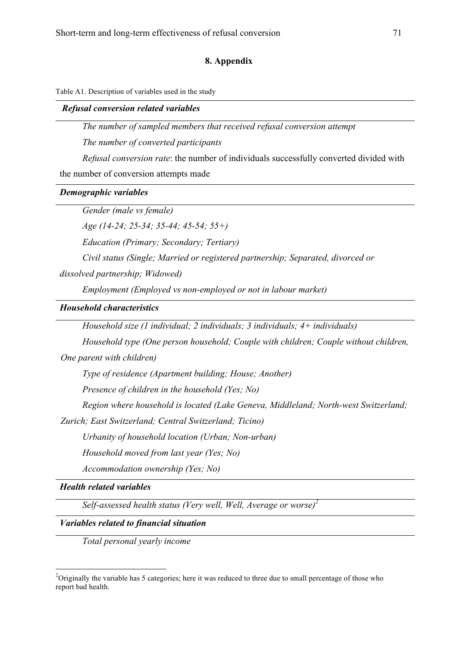### **8. Appendix**

Table A1. Description of variables used in the study

#### *Refusal conversion related variables*

*The number of sampled members that received refusal conversion attempt*

*The number of converted participants*

*Refusal conversion rate*: the number of individuals successfully converted divided with

the number of conversion attempts made

## *Demographic variables*

*Gender (male vs female)*

*Age (14-24; 25-34; 35-44; 45-54; 55+)*

*Education (Primary; Secondary; Tertiary)*

*Civil status (Single; Married or registered partnership; Separated, divorced or* 

*dissolved partnership; Widowed)* 

*Employment (Employed vs non-employed or not in labour market)*

*Household characteristics*

*Household size (1 individual; 2 individuals; 3 individuals; 4+ individuals)*

*Household type (One person household; Couple with children; Couple without children,* 

*One parent with children)*

*Type of residence (Apartment building; House; Another)*

*Presence of children in the household (Yes; No)*

*Region where household is located (Lake Geneva, Middleland; North-west Switzerland;* 

*Zurich; East Switzerland; Central Switzerland; Ticino)*

*Urbanity of household location (Urban; Non-urban)*

*Household moved from last year (Yes; No)*

*Accommodation ownership (Yes; No)*

*Health related variables*

*Self-assessed health status (Very well, Well, Average or worse)<sup>2</sup>*

### *Variables related to financial situation*

*Total personal yearly income*

 $\frac{1}{2}$ <sup>2</sup>Originally the variable has 5 categories; here it was reduced to three due to small percentage of those who report bad health.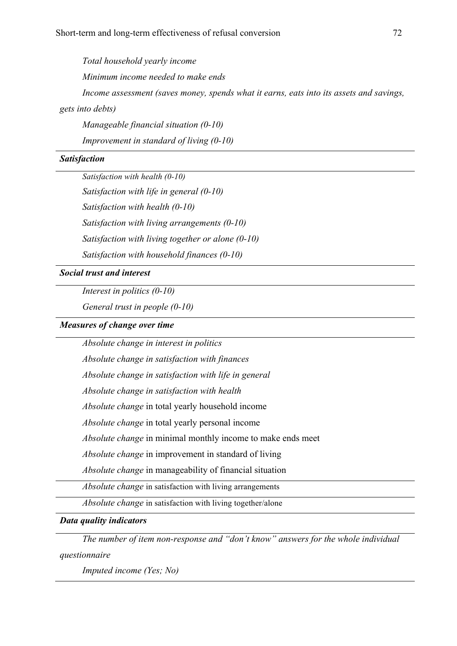*Total household yearly income Minimum income needed to make ends Income assessment (saves money, spends what it earns, eats into its assets and savings, gets into debts)*

*Manageable financial situation (0-10) Improvement in standard of living (0-10)*

## *Satisfaction*

*Satisfaction with health (0-10)*

*Satisfaction with life in general (0-10) Satisfaction with health (0-10) Satisfaction with living arrangements (0-10) Satisfaction with living together or alone (0-10)*

*Satisfaction with household finances (0-10)*

*Social trust and interest*

*Interest in politics (0-10)*

*General trust in people (0-10)*

## *Measures of change over time*

*Absolute change in interest in politics*

*Absolute change in satisfaction with finances*

*Absolute change in satisfaction with life in general*

*Absolute change in satisfaction with health*

*Absolute change* in total yearly household income

*Absolute change* in total yearly personal income

*Absolute change* in minimal monthly income to make ends meet

*Absolute change* in improvement in standard of living

*Absolute change* in manageability of financial situation

*Absolute change* in satisfaction with living arrangements

*Absolute change* in satisfaction with living together/alone

*Data quality indicators*

*The number of item non-response and "don't know" answers for the whole individual* 

*questionnaire*

*Imputed income (Yes; No)*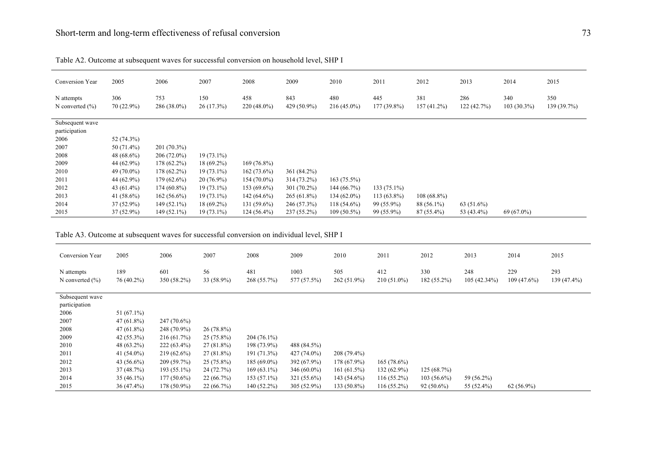| Conversion Year                   | 2005                | 2006                 | 2007             | 2008                 | 2009               | 2010                 | 2011                 | 2012                 | 2013              | 2014                 | 2015              |
|-----------------------------------|---------------------|----------------------|------------------|----------------------|--------------------|----------------------|----------------------|----------------------|-------------------|----------------------|-------------------|
| N attempts<br>N converted $(\% )$ | 306<br>$70(22.9\%)$ | 753<br>$286(38.0\%)$ | 150<br>26(17.3%) | 458<br>$220(48.0\%)$ | 843<br>429 (50.9%) | 480<br>$216(45.0\%)$ | 445<br>$177(39.8\%)$ | 381<br>$157(41.2\%)$ | 286<br>122(42.7%) | 340<br>$103(30.3\%)$ | 350<br>139(39.7%) |
| Subsequent wave                   |                     |                      |                  |                      |                    |                      |                      |                      |                   |                      |                   |
| participation                     |                     |                      |                  |                      |                    |                      |                      |                      |                   |                      |                   |
| 2006                              | 52 (74.3%)          |                      |                  |                      |                    |                      |                      |                      |                   |                      |                   |
| 2007                              | 50 (71.4%)          | $201(70.3\%)$        |                  |                      |                    |                      |                      |                      |                   |                      |                   |
| 2008                              | 48 $(68.6\%)$       | $206(72.0\%)$        | $19(73.1\%)$     |                      |                    |                      |                      |                      |                   |                      |                   |
| 2009                              | 44 (62.9%)          | $178(62.2\%)$        | $18(69.2\%)$     | $169(76.8\%)$        |                    |                      |                      |                      |                   |                      |                   |
| 2010                              | 49 (70.0%)          | $178(62.2\%)$        | $19(73.1\%)$     | $162(73.6\%)$        | 361 (84.2%)        |                      |                      |                      |                   |                      |                   |
| 2011                              | 44 (62.9%)          | $179(62.6\%)$        | $20(76.9\%)$     | $154(70.0\%)$        | 314 (73.2%)        | 163(75.5%)           |                      |                      |                   |                      |                   |
| 2012                              | 43 $(61.4\%)$       | $174(60.8\%)$        | $19(73.1\%)$     | $153(69.6\%)$        | $301(70.2\%)$      | 144(66.7%)           | $133(75.1\%)$        |                      |                   |                      |                   |
| 2013                              | 41 $(58.6\%)$       | $162(56.6\%)$        | $19(73.1\%)$     | $142(64.6\%)$        | $265(61.8\%)$      | $134(62.0\%)$        | $113(63.8\%)$        | $108(68.8\%)$        |                   |                      |                   |
| 2014                              | $37(52.9\%)$        | $149(52.1\%)$        | $18(69.2\%)$     | $131(59.6\%)$        | 246 (57.3%)        | $118(54.6\%)$        | 99 (55.9%)           | 88 (56.1%)           | $63(51.6\%)$      |                      |                   |
| 2015                              | $37(52.9\%)$        | $149(52.1\%)$        | $19(73.1\%)$     | $124(56.4\%)$        | $237(55.2\%)$      | $109(50.5\%)$        | 99 (55.9%)           | $87(55.4\%)$         | 53 (43.4%)        | 69 (67.0%)           |                   |

Table A2. Outcome at subsequent waves for successful conversion on household level, SHP I

Table A3. Outcome at subsequent waves for successful conversion on individual level, SHP I

| Conversion Year                   | 2005              | 2006               | 2007             | 2008               | 2009                | 2010                 | 2011                 | 2012                 | 2013                  | 2014                 | 2015               |
|-----------------------------------|-------------------|--------------------|------------------|--------------------|---------------------|----------------------|----------------------|----------------------|-----------------------|----------------------|--------------------|
| N attempts<br>N converted $(\% )$ | 189<br>76 (40.2%) | 601<br>350 (58.2%) | 56<br>33 (58.9%) | 481<br>268 (55.7%) | 1003<br>577 (57.5%) | 505<br>$262(51.9\%)$ | 412<br>$210(51.0\%)$ | 330<br>$182(55.2\%)$ | 248<br>$105(42.34\%)$ | 229<br>$109(47.6\%)$ | 293<br>139 (47.4%) |
| Subsequent wave                   |                   |                    |                  |                    |                     |                      |                      |                      |                       |                      |                    |
| participation                     |                   |                    |                  |                    |                     |                      |                      |                      |                       |                      |                    |
| 2006                              | $51(67.1\%)$      |                    |                  |                    |                     |                      |                      |                      |                       |                      |                    |
| 2007                              | $47(61.8\%)$      | $247(70.6\%)$      |                  |                    |                     |                      |                      |                      |                       |                      |                    |
| 2008                              | $47(61.8\%)$      | 248 (70.9%)        | $26(78.8\%)$     |                    |                     |                      |                      |                      |                       |                      |                    |
| 2009                              | $42(55.3\%)$      | 216(61.7%)         | $25(75.8\%)$     | $204(76.1\%)$      |                     |                      |                      |                      |                       |                      |                    |
| 2010                              | 48 (63.2%)        | $222(63.4\%)$      | 27 (81.8%)       | 198 (73.9%)        | 488 (84.5%)         |                      |                      |                      |                       |                      |                    |
| 2011                              | 41 $(54.0\%)$     | $219(62.6\%)$      | $27(81.8\%)$     | 191 (71.3%)        | $427(74.0\%)$       | 208 (79.4%)          |                      |                      |                       |                      |                    |
| 2012                              | 43 $(56.6\%)$     | 209 (59.7%)        | $25(75.8\%)$     | $185(69.0\%)$      | 392 (67.9%)         | 178 (67.9%)          | $165(78.6\%)$        |                      |                       |                      |                    |
| 2013                              | 37(48.7%)         | 193 (55.1%)        | 24 (72.7%)       | $169(63.1\%)$      | 346 $(60.0\%)$      | 161(61.5%)           | $132(62.9\%)$        | 125(68.7%)           |                       |                      |                    |
| 2014                              | $35(46.1\%)$      | $177(50.6\%)$      | 22(66.7%)        | $153(57.1\%)$      | 321 (55.6%)         | 143 (54.6%)          | $116(55.2\%)$        | $103(56.6\%)$        | 59 (56.2%)            |                      |                    |
| 2015                              | $36(47.4\%)$      | 178 (50.9%)        | 22(66.7%)        | 140 (52.2%)        | 305 (52.9%)         | 133 (50.8%)          | $116(55.2\%)$        | $92(50.6\%)$         | 55 (52.4%)            | $62(56.9\%)$         |                    |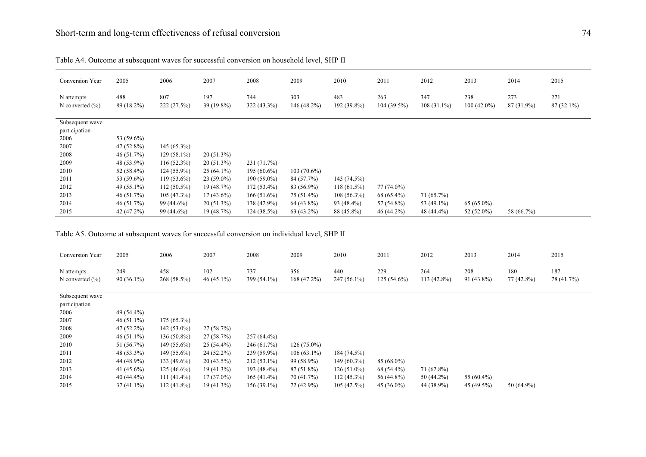| Conversion Year                   | 2005              | 2006               | 2007                | 2008                 | 2009              | 2010               | 2011                 | 2012                 | 2013                 | 2014              | 2015                |
|-----------------------------------|-------------------|--------------------|---------------------|----------------------|-------------------|--------------------|----------------------|----------------------|----------------------|-------------------|---------------------|
| N attempts<br>N converted $(\% )$ | 488<br>89 (18.2%) | 807<br>222 (27.5%) | 197<br>$39(19.8\%)$ | 744<br>$322(43.3\%)$ | 303<br>146(48.2%) | 483<br>192 (39.8%) | 263<br>$104(39.5\%)$ | 347<br>$108(31.1\%)$ | 238<br>$100(42.0\%)$ | 273<br>87 (31.9%) | 271<br>$87(32.1\%)$ |
| Subsequent wave                   |                   |                    |                     |                      |                   |                    |                      |                      |                      |                   |                     |
| participation                     |                   |                    |                     |                      |                   |                    |                      |                      |                      |                   |                     |
| 2006                              | 53 (59.6%)        |                    |                     |                      |                   |                    |                      |                      |                      |                   |                     |
| 2007                              | 47 (52.8%)        | $145(65.3\%)$      |                     |                      |                   |                    |                      |                      |                      |                   |                     |
| 2008                              | 46(51.7%)         | $129(58.1\%)$      | $20(51.3\%)$        |                      |                   |                    |                      |                      |                      |                   |                     |
| 2009                              | 48 (53.9%)        | $116(52.3\%)$      | $20(51.3\%)$        | 231 (71.7%)          |                   |                    |                      |                      |                      |                   |                     |
| 2010                              | 52 (58.4%)        | $124(55.9\%)$      | $25(64.1\%)$        | $195(60.6\%)$        | $103(70.6\%)$     |                    |                      |                      |                      |                   |                     |
| 2011                              | 53 (59.6%)        | $119(53.6\%)$      | $23(59.0\%)$        | $190(59.0\%)$        | 84 (57.7%)        | 143 (74.5%)        |                      |                      |                      |                   |                     |
| 2012                              | 49 (55.1%)        | $112(50.5\%)$      | 19(48.7%)           | $172(53.4\%)$        | 83 (56.9%)        | 118 (61.5%)        | 77 (74.0%)           |                      |                      |                   |                     |
| 2013                              | 46(51.7%)         | 105(47.3%)         | $17(43.6\%)$        | 166(51.6%)           | 75 (51.4%)        | $108(56.3\%)$      | 68 (65.4%)           | 71 (65.7%)           |                      |                   |                     |
| 2014                              | 46 (51.7%)        | 99 (44.6%)         | $20(51.3\%)$        | 138 (42.9%)          | $64(43.8\%)$      | 93 (48.4%)         | 57 (54.8%)           | 53 (49.1%)           | $65(65.0\%)$         |                   |                     |
| 2015                              | 42 (47.2%)        | 99 (44.6%)         | 19(48.7%)           | 124(38.5%)           | $63(43.2\%)$      | 88 (45.8%)         | 46 (44.2%)           | 48 (44.4%)           | 52 $(52.0\%)$        | 58 (66.7%)        |                     |

Table A4. Outcome at subsequent waves for successful conversion on household level, SHP II

Table A5. Outcome at subsequent waves for successful conversion on individual level, SHP II

| Conversion Year                   | 2005                | 2006               | 2007                | 2008               | 2009              | 2010                 | 2011                 | 2012                 | 2013                | 2014              | 2015              |
|-----------------------------------|---------------------|--------------------|---------------------|--------------------|-------------------|----------------------|----------------------|----------------------|---------------------|-------------------|-------------------|
| N attempts<br>N converted $(\% )$ | 249<br>$90(36.1\%)$ | 458<br>268 (58.5%) | 102<br>$46(45.1\%)$ | 737<br>399 (54.1%) | 356<br>168(47.2%) | 440<br>$247(56.1\%)$ | 229<br>$125(54.6\%)$ | 264<br>$113(42.8\%)$ | 208<br>$91(43.8\%)$ | 180<br>77 (42.8%) | 187<br>78 (41.7%) |
|                                   |                     |                    |                     |                    |                   |                      |                      |                      |                     |                   |                   |
| Subsequent wave                   |                     |                    |                     |                    |                   |                      |                      |                      |                     |                   |                   |
| participation                     |                     |                    |                     |                    |                   |                      |                      |                      |                     |                   |                   |
| 2006                              | 49 (54.4%)          |                    |                     |                    |                   |                      |                      |                      |                     |                   |                   |
| 2007                              | $46(51.1\%)$        | $175(65.3\%)$      |                     |                    |                   |                      |                      |                      |                     |                   |                   |
| 2008                              | $47(52.2\%)$        | $142(53.0\%)$      | 27(58.7%)           |                    |                   |                      |                      |                      |                     |                   |                   |
| 2009                              | $46(51.1\%)$        | $136(50.8\%)$      | 27(58.7%)           | $257(64.4\%)$      |                   |                      |                      |                      |                     |                   |                   |
| 2010                              | 51 (56.7%)          | 149 (55.6%)        | $25(54.4\%)$        | 246 (61.7%)        | $126(75.0\%)$     |                      |                      |                      |                     |                   |                   |
| 2011                              | 48 (53.3%)          | 149 (55.6%)        | $24(52.2\%)$        | $239(59.9\%)$      | $106(63.1\%)$     | 184 (74.5%)          |                      |                      |                     |                   |                   |
| 2012                              | 44 (48.9%)          | 133 (49.6%)        | $20(43.5\%)$        | $212(53.1\%)$      | 99 (58.9%)        | $149(60.3\%)$        | $85(68.0\%)$         |                      |                     |                   |                   |
| 2013                              | 41 $(45.6\%)$       | $125(46.6\%)$      | $19(41.3\%)$        | 193 (48.4%)        | 87 (51.8%)        | $126(51.0\%)$        | 68 (54.4%)           | $71(62.8\%)$         |                     |                   |                   |
| 2014                              | $40(44.4\%)$        | $111(41.4\%)$      | $17(37.0\%)$        | $165(41.4\%)$      | 70 (41.7%)        | $112(45.3\%)$        | 56 (44.8%)           | $50(44.2\%)$         | 55 (60.4%)          |                   |                   |
| 2015                              | $37(41.1\%)$        | 112 (41.8%)        | $19(41.3\%)$        | $156(39.1\%)$      | 72 (42.9%)        | 105(42.5%)           | $45(36.0\%)$         | 44 (38.9%)           | 45 (49.5%)          | 50 (64.9%)        |                   |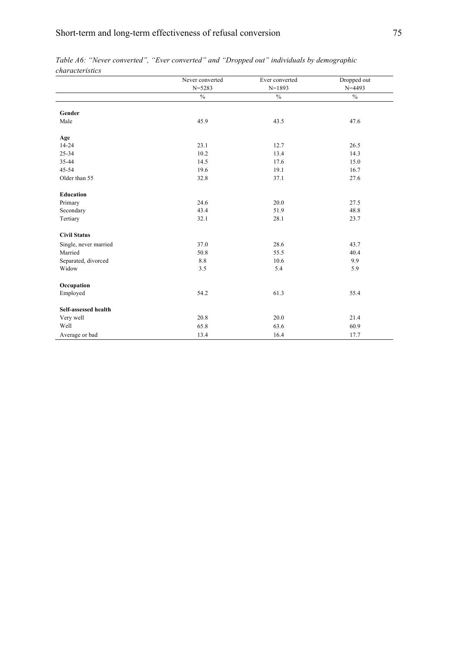|                       | Never converted | Ever converted | Dropped out |
|-----------------------|-----------------|----------------|-------------|
|                       | $N = 5283$      | $N=1893$       | $N = 4493$  |
|                       | $\%$            | $\%$           | $\%$        |
| Gender                |                 |                |             |
| Male                  | 45.9            | 43.5           | 47.6        |
| Age                   |                 |                |             |
| $14 - 24$             | 23.1            | 12.7           | 26.5        |
| 25-34                 | 10.2            | 13.4           | 14.3        |
| 35-44                 | 14.5            | 17.6           | 15.0        |
| 45-54                 | 19.6            | 19.1           | 16.7        |
| Older than 55         | 32.8            | 37.1           | 27.6        |
| <b>Education</b>      |                 |                |             |
| Primary               | 24.6            | 20.0           | 27.5        |
| Secondary             | 43.4            | 51.9           | 48.8        |
| Tertiary              | 32.1            | 28.1           | 23.7        |
| <b>Civil Status</b>   |                 |                |             |
| Single, never married | 37.0            | 28.6           | 43.7        |
| Married               | 50.8            | 55.5           | 40.4        |
| Separated, divorced   | 8.8             | 10.6           | 9.9         |
| Widow                 | 3.5             | 5.4            | 5.9         |
| Occupation            |                 |                |             |
| Employed              | 54.2            | 61.3           | 55.4        |
| Self-assessed health  |                 |                |             |
| Very well             | 20.8            | 20.0           | 21.4        |
| Well                  | 65.8            | 63.6           | 60.9        |
| Average or bad        | 13.4            | 16.4           | 17.7        |

|                 |  |  |  | Table A6: "Never converted", "Ever converted" and "Dropped out" individuals by demographic |  |
|-----------------|--|--|--|--------------------------------------------------------------------------------------------|--|
| characteristics |  |  |  |                                                                                            |  |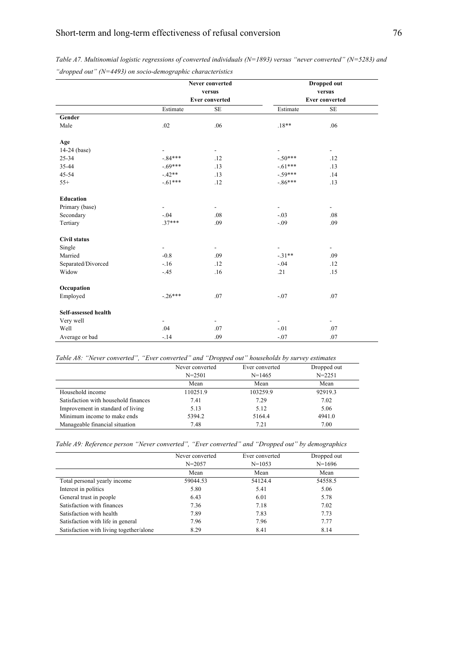|                      |                          | Never converted          |                          | <b>Dropped out</b>       |  |
|----------------------|--------------------------|--------------------------|--------------------------|--------------------------|--|
|                      |                          | versus                   |                          | versus                   |  |
|                      |                          | <b>Ever converted</b>    | <b>Ever converted</b>    |                          |  |
|                      | Estimate                 | $\rm SE$                 | Estimate                 | $\rm SE$                 |  |
| Gender               |                          |                          |                          |                          |  |
| Male                 | .02                      | .06                      | $.18**$                  | .06                      |  |
| Age                  |                          |                          |                          |                          |  |
| $14-24$ (base)       |                          | $\overline{\phantom{a}}$ | $\blacksquare$           | $\blacksquare$           |  |
| 25-34                | $-.84***$                | .12                      | $-.50***$                | .12                      |  |
| 35-44                | $-69***$                 | .13                      | $-.61***$                | .13                      |  |
| 45-54                | $-42**$                  | .13                      | $-59***$                 | .14                      |  |
| $55+$                | $-61***$                 | .12                      | $-.86***$                | .13                      |  |
| <b>Education</b>     |                          |                          |                          |                          |  |
| Primary (base)       | $\overline{\phantom{a}}$ | $\overline{\phantom{a}}$ | $\overline{\phantom{a}}$ | $\blacksquare$           |  |
| Secondary            | $-.04$                   | .08                      | $-.03$                   | .08                      |  |
| Tertiary             | $.37***$                 | .09                      | $-.09$                   | .09                      |  |
| <b>Civil status</b>  |                          |                          |                          |                          |  |
| Single               | $\overline{\phantom{a}}$ | $\overline{\phantom{a}}$ | $\overline{\phantom{a}}$ | $\overline{\phantom{0}}$ |  |
| Married              | $-0.8$                   | .09                      | $-.31**$                 | .09                      |  |
| Separated/Divorced   | $-.16$                   | .12                      | $-.04$                   | .12                      |  |
| Widow                | $-.45$                   | .16                      | .21                      | .15                      |  |
| Occupation           |                          |                          |                          |                          |  |
| Employed             | $-26***$                 | .07                      | $-.07$                   | .07                      |  |
| Self-assessed health |                          |                          |                          |                          |  |
| Very well            | $\overline{\phantom{a}}$ | $\overline{\phantom{a}}$ | $\overline{\phantom{a}}$ | $\overline{\phantom{a}}$ |  |
| Well                 | .04                      | .07                      | $-.01$                   | .07                      |  |
| Average or bad       | $-14$                    | .09                      | $-.07$                   | .07                      |  |

*Table A7. Multinomial logistic regressions of converted individuals (N=1893) versus "never converted" (N=5283) and "dropped out" (N=4493) on socio-demographic characteristics* 

*Table A8: "Never converted", "Ever converted" and "Dropped out" households by survey estimates*

|                                      | Never converted | Ever converted | Dropped out |
|--------------------------------------|-----------------|----------------|-------------|
|                                      | $N = 2501$      | $N = 1465$     | $N = 2251$  |
|                                      | Mean            | Mean           | Mean        |
| Household income                     | 110251.9        | 103259.9       | 92919.3     |
| Satisfaction with household finances | 7.41            | 7.29           | 7.02        |
| Improvement in standard of living    | 5.13            | 5.12           | 5.06        |
| Minimum income to make ends          | 5394.2          | 5164.4         | 4941.0      |
| Manageable financial situation       | 7.48            | 7.21           | 7.00        |

*Table A9: Reference person "Never converted", "Ever converted" and "Dropped out" by demographics*

|                                         | Never converted<br>$N = 2057$ | Ever converted<br>$N = 1053$ | Dropped out<br>$N=1696$ |
|-----------------------------------------|-------------------------------|------------------------------|-------------------------|
|                                         | Mean                          | Mean                         | Mean                    |
| Total personal yearly income            | 59044.53                      | 54124.4                      | 54558.5                 |
| Interest in politics                    | 5.80                          | 5.41                         | 5.06                    |
| General trust in people                 | 6.43                          | 6.01                         | 5.78                    |
| Satisfaction with finances              | 7.36                          | 7.18                         | 7.02                    |
| Satisfaction with health                | 7.89                          | 7.83                         | 7.73                    |
| Satisfaction with life in general       | 7.96                          | 7.96                         | 7.77                    |
| Satisfaction with living together/alone | 8.29                          | 8.41                         | 8.14                    |